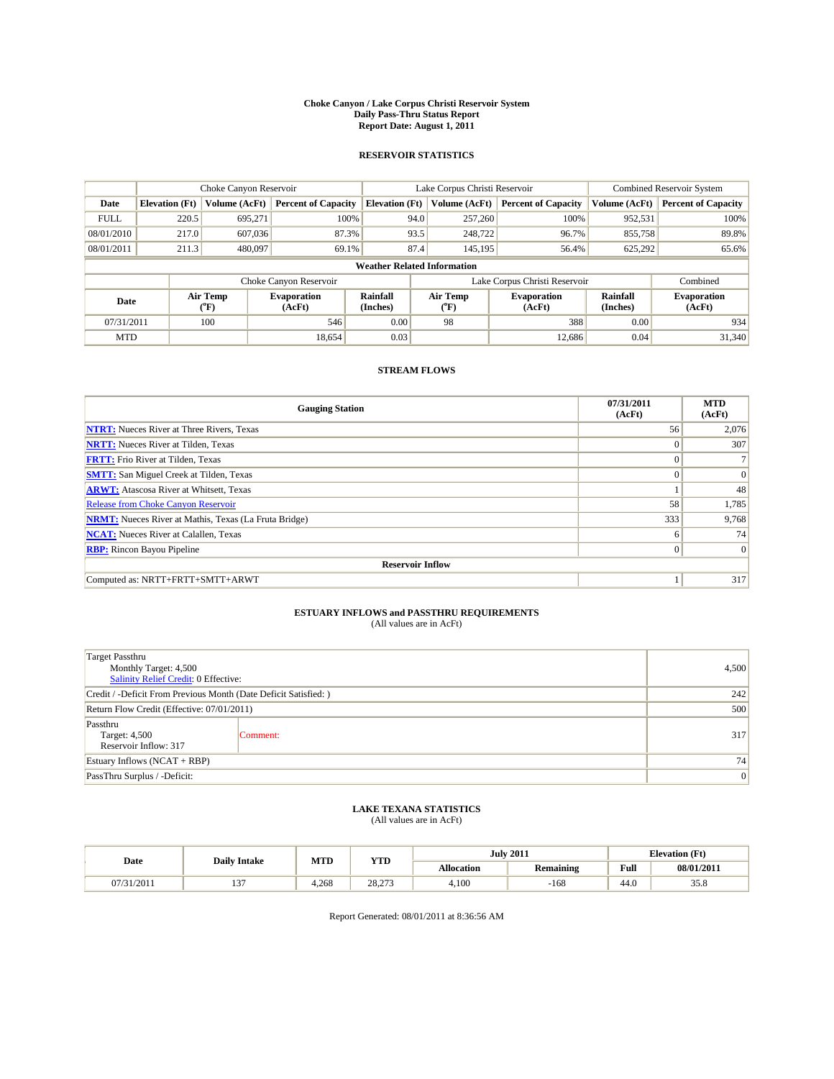#### **Choke Canyon / Lake Corpus Christi Reservoir System Daily Pass-Thru Status Report Report Date: August 1, 2011**

### **RESERVOIR STATISTICS**

|             | Choke Canyon Reservoir             |                                           |                              |                             | Lake Corpus Christi Reservoir | Combined Reservoir System     |                             |                              |  |  |
|-------------|------------------------------------|-------------------------------------------|------------------------------|-----------------------------|-------------------------------|-------------------------------|-----------------------------|------------------------------|--|--|
| Date        | <b>Elevation</b> (Ft)              | Volume (AcFt)                             | <b>Percent of Capacity</b>   | <b>Elevation</b> (Ft)       | Volume (AcFt)                 | <b>Percent of Capacity</b>    | Volume (AcFt)               | <b>Percent of Capacity</b>   |  |  |
| <b>FULL</b> | 220.5                              | 695,271                                   | 100%                         |                             | 94.0<br>257,260               | 100%                          | 952,531                     | 100%                         |  |  |
| 08/01/2010  | 217.0                              | 607,036                                   | 87.3%                        |                             | 93.5<br>248,722               | 96.7%                         | 855,758                     | 89.8%                        |  |  |
| 08/01/2011  | 211.3                              | 480,097                                   | 69.1%                        |                             | 87.4<br>145,195               | 56.4%                         | 625,292                     | 65.6%                        |  |  |
|             | <b>Weather Related Information</b> |                                           |                              |                             |                               |                               |                             |                              |  |  |
|             |                                    |                                           | Choke Canyon Reservoir       |                             |                               | Lake Corpus Christi Reservoir |                             | Combined                     |  |  |
| Date        |                                    | Air Temp<br>$({}^{\mathrm{o}}\mathrm{F})$ | <b>Evaporation</b><br>(AcFt) | <b>Rainfall</b><br>(Inches) | Air Temp<br>("F)              | <b>Evaporation</b><br>(AcFt)  | <b>Rainfall</b><br>(Inches) | <b>Evaporation</b><br>(AcFt) |  |  |
| 07/31/2011  |                                    | 100                                       | 546                          | 0.00                        | 98                            | 388                           | 0.00                        | 934                          |  |  |
| <b>MTD</b>  |                                    |                                           | 18,654                       | 0.03                        |                               | 12.686                        | 0.04                        | 31,340                       |  |  |

## **STREAM FLOWS**

| <b>Gauging Station</b>                                       | 07/31/2011<br>(AcFt) | <b>MTD</b><br>(AcFt) |
|--------------------------------------------------------------|----------------------|----------------------|
| <b>NTRT:</b> Nueces River at Three Rivers, Texas             | 56                   | 2,076                |
| <b>NRTT:</b> Nueces River at Tilden, Texas                   | $\Omega$             | 307                  |
| <b>FRTT:</b> Frio River at Tilden, Texas                     | $\Omega$             |                      |
| <b>SMTT:</b> San Miguel Creek at Tilden, Texas               | $\Omega$             | $\Omega$             |
| <b>ARWT:</b> Atascosa River at Whitsett, Texas               |                      | 48                   |
| Release from Choke Canyon Reservoir                          | 58                   | 1,785                |
| <b>NRMT:</b> Nueces River at Mathis, Texas (La Fruta Bridge) | 333                  | 9,768                |
| <b>NCAT:</b> Nueces River at Calallen, Texas                 | 6                    | 74                   |
| <b>RBP:</b> Rincon Bayou Pipeline                            | $\overline{0}$       | $\Omega$             |
| <b>Reservoir Inflow</b>                                      |                      |                      |
| Computed as: NRTT+FRTT+SMTT+ARWT                             |                      | 317                  |

# **ESTUARY INFLOWS and PASSTHRU REQUIREMENTS**<br>(All values are in AcFt)

| Target Passthru<br>Monthly Target: 4,500<br>Salinity Relief Credit: 0 Effective: | 4,500           |     |
|----------------------------------------------------------------------------------|-----------------|-----|
| Credit / -Deficit From Previous Month (Date Deficit Satisfied: )                 | 242             |     |
| Return Flow Credit (Effective: 07/01/2011)                                       | 500             |     |
| Passthru<br>Target: 4,500<br>Reservoir Inflow: 317                               | Comment:        | 317 |
| Estuary Inflows $(NCAT + RBP)$                                                   | 74              |     |
| PassThru Surplus / -Deficit:                                                     | $\vert 0 \vert$ |     |

## **LAKE TEXANA STATISTICS** (All values are in AcFt)

|            | <b>Daily Intake</b> | MTD   | <b>YTD</b> |                   | <b>July 2011</b> |                                             | <b>Elevation</b> (Ft) |
|------------|---------------------|-------|------------|-------------------|------------------|---------------------------------------------|-----------------------|
| Date       |                     |       |            | <b>Allocation</b> | <b>Remaining</b> | Full<br>the contract of the contract of the | 08/01/2011            |
| 07/31/2011 | $\sim$              | 4.268 | 28.273     | 4.100             | -168             | 44.0                                        | 33.8                  |

Report Generated: 08/01/2011 at 8:36:56 AM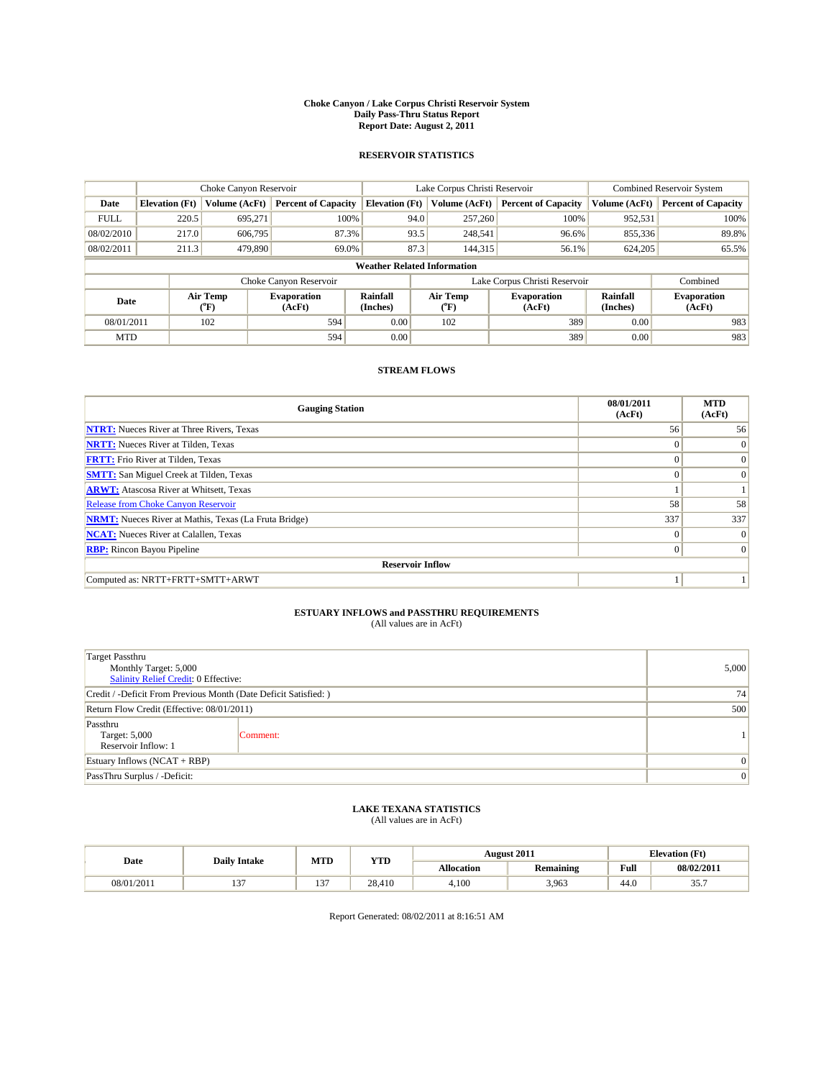#### **Choke Canyon / Lake Corpus Christi Reservoir System Daily Pass-Thru Status Report Report Date: August 2, 2011**

### **RESERVOIR STATISTICS**

|             | Choke Canyon Reservoir             |                                           |                              |                             | Lake Corpus Christi Reservoir |                               |                      | Combined Reservoir System    |  |
|-------------|------------------------------------|-------------------------------------------|------------------------------|-----------------------------|-------------------------------|-------------------------------|----------------------|------------------------------|--|
| Date        | <b>Elevation</b> (Ft)              | Volume (AcFt)                             | <b>Percent of Capacity</b>   | <b>Elevation</b> (Ft)       | Volume (AcFt)                 | <b>Percent of Capacity</b>    | Volume (AcFt)        | <b>Percent of Capacity</b>   |  |
| <b>FULL</b> | 220.5                              | 695,271                                   | 100%                         | 94.0                        | 257,260                       | 100%                          | 952,531              | 100%                         |  |
| 08/02/2010  | 217.0                              | 606,795                                   | 87.3%                        | 93.5                        | 248,541                       | 96.6%                         | 855,336              | 89.8%                        |  |
| 08/02/2011  | 211.3                              | 479,890                                   | 69.0%                        | 87.3                        | 144,315                       | 56.1%                         | 624,205              | 65.5%                        |  |
|             | <b>Weather Related Information</b> |                                           |                              |                             |                               |                               |                      |                              |  |
|             |                                    |                                           | Choke Canyon Reservoir       |                             |                               | Lake Corpus Christi Reservoir |                      | Combined                     |  |
| Date        |                                    | Air Temp<br>$({}^{\mathrm{o}}\mathrm{F})$ | <b>Evaporation</b><br>(AcFt) | <b>Rainfall</b><br>(Inches) | Air Temp<br>(°F)              | <b>Evaporation</b><br>(AcFt)  | Rainfall<br>(Inches) | <b>Evaporation</b><br>(AcFt) |  |
| 08/01/2011  |                                    | 102                                       | 594                          | 0.00                        | 102                           | 389                           | 0.00                 | 983                          |  |
| <b>MTD</b>  |                                    |                                           | 594                          | 0.00                        |                               | 389                           | 0.00                 | 983                          |  |

## **STREAM FLOWS**

| <b>Gauging Station</b>                                       | 08/01/2011<br>(AcFt) | <b>MTD</b><br>(AcFt) |
|--------------------------------------------------------------|----------------------|----------------------|
| <b>NTRT:</b> Nueces River at Three Rivers, Texas             | 56                   | 56                   |
| <b>NRTT:</b> Nueces River at Tilden, Texas                   | $\Omega$             | $\Omega$             |
| <b>FRTT:</b> Frio River at Tilden, Texas                     | $\Omega$             | $\Omega$             |
| <b>SMTT:</b> San Miguel Creek at Tilden, Texas               | $\Omega$             | $\Omega$             |
| <b>ARWT:</b> Atascosa River at Whitsett, Texas               |                      |                      |
| Release from Choke Canyon Reservoir                          | 58                   | 58                   |
| <b>NRMT:</b> Nueces River at Mathis, Texas (La Fruta Bridge) | 337                  | 337                  |
| <b>NCAT:</b> Nueces River at Calallen, Texas                 | $\Omega$             | $\Omega$             |
| <b>RBP:</b> Rincon Bayou Pipeline                            | $\overline{0}$       | $\Omega$             |
| <b>Reservoir Inflow</b>                                      |                      |                      |
| Computed as: NRTT+FRTT+SMTT+ARWT                             |                      |                      |

# **ESTUARY INFLOWS and PASSTHRU REQUIREMENTS**<br>(All values are in AcFt)

| <b>Target Passthru</b><br>Monthly Target: 5,000<br>Salinity Relief Credit: 0 Effective: | 5,000    |  |
|-----------------------------------------------------------------------------------------|----------|--|
| Credit / -Deficit From Previous Month (Date Deficit Satisfied: )                        | 74       |  |
| Return Flow Credit (Effective: 08/01/2011)                                              | 500      |  |
| Passthru<br>Target: 5,000<br>Reservoir Inflow: 1                                        | Comment: |  |
| Estuary Inflows $(NCAT + RBP)$                                                          | $\theta$ |  |
| PassThru Surplus / -Deficit:                                                            | $\theta$ |  |

## **LAKE TEXANA STATISTICS** (All values are in AcFt)

| Date       | <b>Daily Intake</b> | MTD        | <b>YTD</b> |                   | <b>August 2011</b> |      | <b>Elevation</b> (Ft) |
|------------|---------------------|------------|------------|-------------------|--------------------|------|-----------------------|
|            |                     |            |            | <b>Allocation</b> | <b>Remaining</b>   | Full | 08/02/2011            |
| 08/01/2011 | $\sim$<br>. .       | $\sim$<br> | 28.410     | 4.100             | 3,963              | 44.0 | $\sim$ $-$<br>JJ.,    |

Report Generated: 08/02/2011 at 8:16:51 AM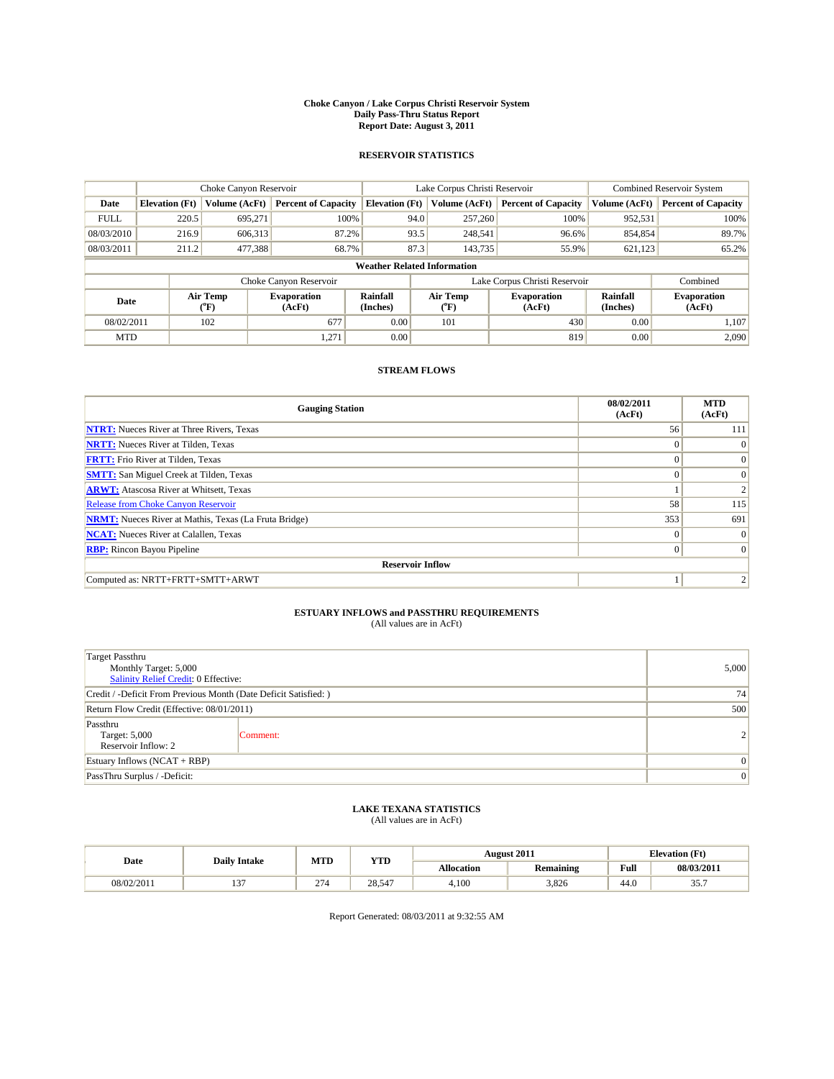#### **Choke Canyon / Lake Corpus Christi Reservoir System Daily Pass-Thru Status Report Report Date: August 3, 2011**

### **RESERVOIR STATISTICS**

|                                                   | Choke Canyon Reservoir             |               |                              |                             | Lake Corpus Christi Reservoir | <b>Combined Reservoir System</b> |                             |                              |  |  |
|---------------------------------------------------|------------------------------------|---------------|------------------------------|-----------------------------|-------------------------------|----------------------------------|-----------------------------|------------------------------|--|--|
| Date                                              | <b>Elevation</b> (Ft)              | Volume (AcFt) | <b>Percent of Capacity</b>   | <b>Elevation</b> (Ft)       | Volume (AcFt)                 | <b>Percent of Capacity</b>       | Volume (AcFt)               | <b>Percent of Capacity</b>   |  |  |
| <b>FULL</b>                                       | 220.5                              | 695,271       | 100%                         | 94.0                        | 257,260                       | 100%                             | 952,531                     | 100%                         |  |  |
| 08/03/2010                                        | 216.9                              | 606,313       | 87.2%                        | 93.5                        | 248,541                       | 96.6%                            | 854,854                     | 89.7%                        |  |  |
| 08/03/2011                                        | 211.2                              | 477,388       | 68.7%                        | 87.3                        | 143,735                       | 55.9%                            | 621,123                     | 65.2%                        |  |  |
|                                                   | <b>Weather Related Information</b> |               |                              |                             |                               |                                  |                             |                              |  |  |
|                                                   |                                    |               | Choke Canyon Reservoir       |                             |                               | Lake Corpus Christi Reservoir    |                             | Combined                     |  |  |
| Air Temp<br>Date<br>$({}^{\mathrm{o}}\mathrm{F})$ |                                    |               | <b>Evaporation</b><br>(AcFt) | <b>Rainfall</b><br>(Inches) | Air Temp<br>(°F)              | <b>Evaporation</b><br>(AcFt)     | <b>Rainfall</b><br>(Inches) | <b>Evaporation</b><br>(AcFt) |  |  |
| 08/02/2011                                        |                                    | 102           | 677                          | 0.00                        | 101                           | 430                              | 0.00                        | 1.107                        |  |  |
| <b>MTD</b>                                        |                                    |               | 1,271                        | 0.00                        |                               | 819                              | 0.00                        | 2.090                        |  |  |

## **STREAM FLOWS**

| <b>Gauging Station</b>                                       | 08/02/2011<br>(AcFt) | <b>MTD</b><br>(AcFt) |
|--------------------------------------------------------------|----------------------|----------------------|
| <b>NTRT:</b> Nueces River at Three Rivers, Texas             | 56                   | 111                  |
| <b>NRTT:</b> Nueces River at Tilden, Texas                   | $\Omega$             | $\theta$             |
| <b>FRTT:</b> Frio River at Tilden, Texas                     | $\Omega$             | $\Omega$             |
| <b>SMTT:</b> San Miguel Creek at Tilden, Texas               | $\Omega$             | $\Omega$             |
| <b>ARWT:</b> Atascosa River at Whitsett, Texas               |                      |                      |
| <b>Release from Choke Canyon Reservoir</b>                   | 58                   | 115                  |
| <b>NRMT:</b> Nueces River at Mathis, Texas (La Fruta Bridge) | 353                  | 691                  |
| <b>NCAT:</b> Nueces River at Calallen, Texas                 | $\Omega$             | $\Omega$             |
| <b>RBP:</b> Rincon Bayou Pipeline                            | $\mathbf{0}$         | $\Omega$             |
| <b>Reservoir Inflow</b>                                      |                      |                      |
| Computed as: NRTT+FRTT+SMTT+ARWT                             |                      |                      |

# **ESTUARY INFLOWS and PASSTHRU REQUIREMENTS**<br>(All values are in AcFt)

| <b>Target Passthru</b><br>Monthly Target: 5,000<br>Salinity Relief Credit: 0 Effective: | 5,000    |                |  |  |  |
|-----------------------------------------------------------------------------------------|----------|----------------|--|--|--|
| Credit / -Deficit From Previous Month (Date Deficit Satisfied: )                        | 74       |                |  |  |  |
| Return Flow Credit (Effective: 08/01/2011)                                              | 500      |                |  |  |  |
| Passthru<br>Target: 5,000<br>Reservoir Inflow: 2                                        | Comment: | $\overline{2}$ |  |  |  |
| Estuary Inflows $(NCAT + RBP)$                                                          | $\Omega$ |                |  |  |  |
| PassThru Surplus / -Deficit:                                                            |          |                |  |  |  |

## **LAKE TEXANA STATISTICS** (All values are in AcFt)

|            | <b>Daily Intake</b> | MTD                       | <b>YTD</b>               |                   | <b>August 2011</b> | <b>Elevation</b> (Ft) |                    |
|------------|---------------------|---------------------------|--------------------------|-------------------|--------------------|-----------------------|--------------------|
| Date       |                     |                           |                          | <b>Allocation</b> | <b>Remaining</b>   | Full                  | 08/03/2011         |
| 08/02/2011 | $\sim$<br>…         | $\sim$<br>21 <sup>c</sup> | 28.54<br>$\sim$ 4 $\sim$ | 4,100             | 3.826              | 44.0                  | $\sim$ $-$<br>JJ.I |

Report Generated: 08/03/2011 at 9:32:55 AM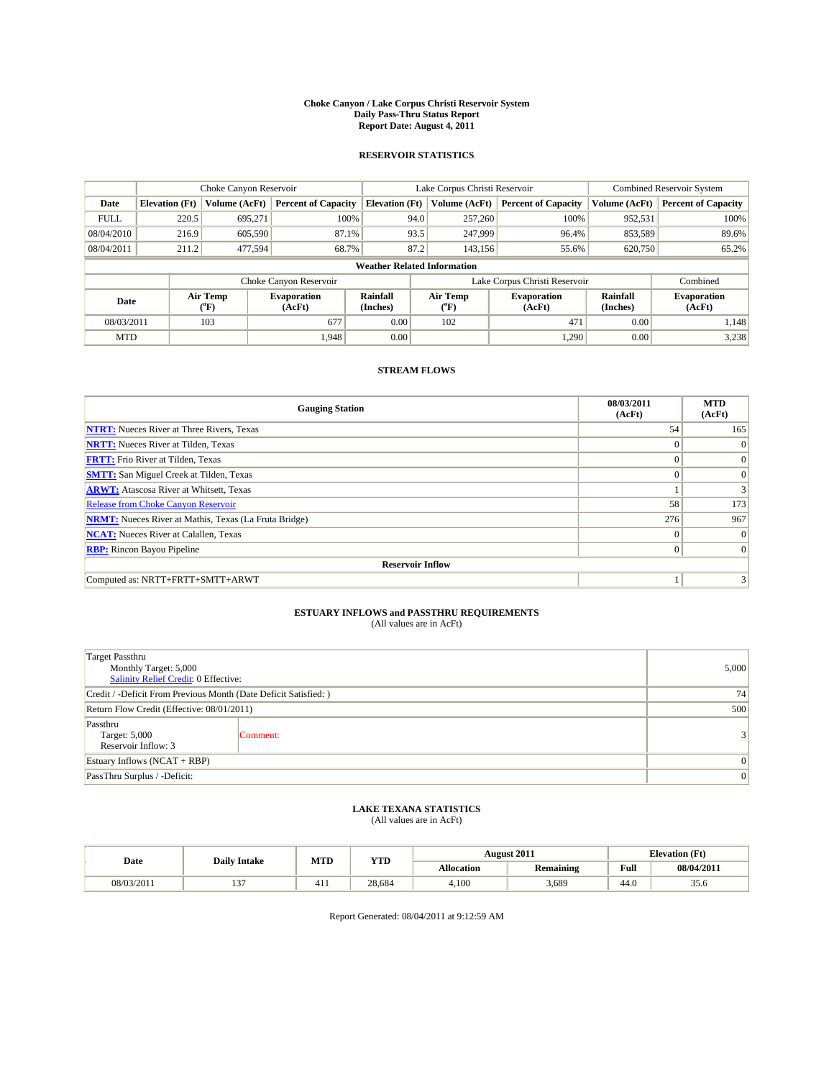#### **Choke Canyon / Lake Corpus Christi Reservoir System Daily Pass-Thru Status Report Report Date: August 4, 2011**

### **RESERVOIR STATISTICS**

|             | Choke Canyon Reservoir    |                             |                              |                                    | Lake Corpus Christi Reservoir |                  |                               |                      | <b>Combined Reservoir System</b> |  |
|-------------|---------------------------|-----------------------------|------------------------------|------------------------------------|-------------------------------|------------------|-------------------------------|----------------------|----------------------------------|--|
| Date        | <b>Elevation</b> (Ft)     | Volume (AcFt)               | <b>Percent of Capacity</b>   | <b>Elevation (Ft)</b>              |                               | Volume (AcFt)    | <b>Percent of Capacity</b>    | Volume (AcFt)        | <b>Percent of Capacity</b>       |  |
| <b>FULL</b> | 220.5                     | 695,271                     | 100%                         |                                    | 94.0                          | 257,260          | 100%                          | 952,531              | 100%                             |  |
| 08/04/2010  | 87.1%<br>216.9<br>605,590 |                             |                              | 93.5                               | 247,999                       | 96.4%            | 853,589                       | 89.6%                |                                  |  |
| 08/04/2011  | 211.2                     | 477,594                     | 68.7%                        |                                    | 87.2                          | 143.156          | 55.6%                         | 620,750              | 65.2%                            |  |
|             |                           |                             |                              | <b>Weather Related Information</b> |                               |                  |                               |                      |                                  |  |
|             |                           |                             | Choke Canyon Reservoir       |                                    |                               |                  | Lake Corpus Christi Reservoir |                      | Combined                         |  |
| Date        |                           | Air Temp<br>${}^{\circ}$ F) | <b>Evaporation</b><br>(AcFt) | <b>Rainfall</b><br>(Inches)        |                               | Air Temp<br>(°F) | <b>Evaporation</b><br>(AcFt)  | Rainfall<br>(Inches) | <b>Evaporation</b><br>(AcFt)     |  |
| 08/03/2011  |                           | 103                         | 677                          | 0.00                               |                               | 102              | 471                           | 0.00                 | 1,148                            |  |
| <b>MTD</b>  |                           |                             | 1,948                        | 0.00                               |                               |                  | 1,290                         | 0.00                 | 3,238                            |  |

## **STREAM FLOWS**

| <b>Gauging Station</b>                                       | 08/03/2011<br>(AcFt) | <b>MTD</b><br>(AcFt) |
|--------------------------------------------------------------|----------------------|----------------------|
| <b>NTRT:</b> Nueces River at Three Rivers, Texas             | 54                   | 165                  |
| <b>NRTT:</b> Nueces River at Tilden, Texas                   | $\Omega$             | $\Omega$             |
| <b>FRTT:</b> Frio River at Tilden, Texas                     | $\Omega$             | $\Omega$             |
| <b>SMTT:</b> San Miguel Creek at Tilden, Texas               | $\Omega$             | $\Omega$             |
| <b>ARWT:</b> Atascosa River at Whitsett, Texas               |                      | $\overline{3}$       |
| Release from Choke Canyon Reservoir                          | 58                   | 173                  |
| <b>NRMT:</b> Nueces River at Mathis, Texas (La Fruta Bridge) | 276                  | 967                  |
| <b>NCAT:</b> Nueces River at Calallen, Texas                 | $\Omega$             | $\Omega$             |
| <b>RBP:</b> Rincon Bayou Pipeline                            | $\overline{0}$       | $\Omega$             |
| <b>Reservoir Inflow</b>                                      |                      |                      |
| Computed as: NRTT+FRTT+SMTT+ARWT                             |                      |                      |

# **ESTUARY INFLOWS and PASSTHRU REQUIREMENTS**<br>(All values are in AcFt)

| <b>Target Passthru</b><br>Monthly Target: 5,000<br>Salinity Relief Credit: 0 Effective: | 5,000    |          |
|-----------------------------------------------------------------------------------------|----------|----------|
| Credit / -Deficit From Previous Month (Date Deficit Satisfied: )                        | 74       |          |
| Return Flow Credit (Effective: 08/01/2011)                                              | 500      |          |
| Passthru<br>Target: 5,000<br>Reservoir Inflow: 3                                        | Comment: |          |
| Estuary Inflows $(NCAT + RBP)$                                                          | $\theta$ |          |
| PassThru Surplus / -Deficit:                                                            |          | $\theta$ |

## **LAKE TEXANA STATISTICS** (All values are in AcFt)

|            | <b>Daily Intake</b> | MTD | YTD    |            | August 2011      |                                             | <b>Elevation</b> (Ft) |
|------------|---------------------|-----|--------|------------|------------------|---------------------------------------------|-----------------------|
| Date       |                     |     |        | Allocation | <b>Remaining</b> | Full<br>the contract of the contract of the | 08/04/2011            |
| 08/03/2011 | $\sim$              | 411 | 28.684 | 4.100      | 3,689            | 44.0                                        | 33.O                  |

Report Generated: 08/04/2011 at 9:12:59 AM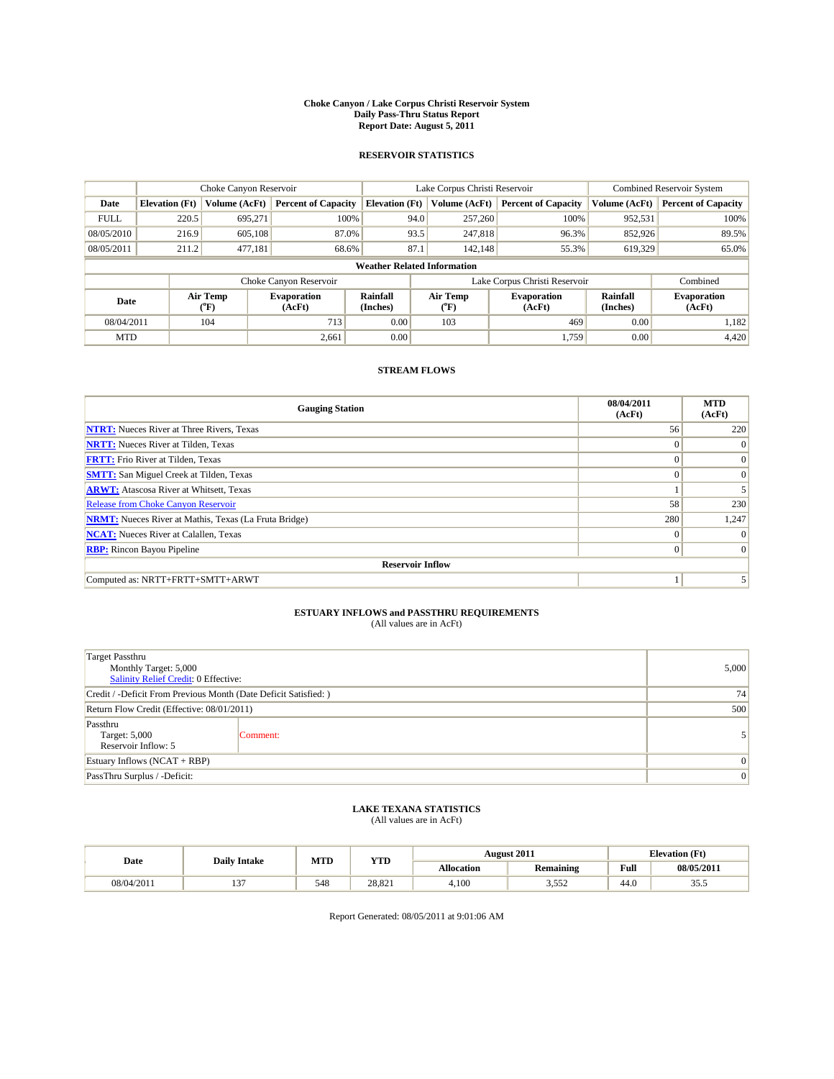#### **Choke Canyon / Lake Corpus Christi Reservoir System Daily Pass-Thru Status Report Report Date: August 5, 2011**

### **RESERVOIR STATISTICS**

|             | Choke Canyon Reservoir |                                |                              |                                    | Lake Corpus Christi Reservoir | <b>Combined Reservoir System</b> |                      |                              |
|-------------|------------------------|--------------------------------|------------------------------|------------------------------------|-------------------------------|----------------------------------|----------------------|------------------------------|
| Date        | <b>Elevation</b> (Ft)  | Volume (AcFt)                  | <b>Percent of Capacity</b>   | <b>Elevation</b> (Ft)              | Volume (AcFt)                 | <b>Percent of Capacity</b>       | Volume (AcFt)        | <b>Percent of Capacity</b>   |
| <b>FULL</b> | 220.5                  | 695,271                        | 100%                         | 94.0                               | 257,260                       | 100%                             | 952,531              | 100%                         |
| 08/05/2010  | 216.9<br>605,108       |                                | 87.0%                        | 93.5                               | 247,818                       | 96.3%                            | 852,926              | 89.5%                        |
| 08/05/2011  | 211.2                  | 477,181                        | 68.6%                        | 87.1                               | 142,148                       | 55.3%                            | 619,329              | 65.0%                        |
|             |                        |                                |                              | <b>Weather Related Information</b> |                               |                                  |                      |                              |
|             |                        |                                | Choke Canyon Reservoir       |                                    |                               | Lake Corpus Christi Reservoir    |                      | Combined                     |
| Date        |                        | Air Temp<br>$({}^o\mathrm{F})$ | <b>Evaporation</b><br>(AcFt) | Rainfall<br>(Inches)               | Air Temp<br>(°F)              | <b>Evaporation</b><br>(AcFt)     | Rainfall<br>(Inches) | <b>Evaporation</b><br>(AcFt) |
| 08/04/2011  |                        | 104                            | 713                          | 0.00                               | 103                           | 469                              | 0.00                 | 1,182                        |
| <b>MTD</b>  |                        |                                | 2,661                        | 0.00                               |                               | 1.759                            | 0.00                 | 4,420                        |

## **STREAM FLOWS**

| <b>Gauging Station</b>                                       | 08/04/2011<br>(AcFt) | <b>MTD</b><br>(AcFt) |
|--------------------------------------------------------------|----------------------|----------------------|
| <b>NTRT:</b> Nueces River at Three Rivers, Texas             | 56                   | 220                  |
| <b>NRTT:</b> Nueces River at Tilden, Texas                   | $\Omega$             | $\Omega$             |
| <b>FRTT:</b> Frio River at Tilden, Texas                     | $\Omega$             | $\Omega$             |
| <b>SMTT:</b> San Miguel Creek at Tilden, Texas               | $\Omega$             | $\Omega$             |
| <b>ARWT:</b> Atascosa River at Whitsett, Texas               |                      |                      |
| <b>Release from Choke Canyon Reservoir</b>                   | 58                   | 230                  |
| <b>NRMT:</b> Nueces River at Mathis, Texas (La Fruta Bridge) | 280                  | 1,247                |
| <b>NCAT:</b> Nueces River at Calallen, Texas                 | $\Omega$             |                      |
| <b>RBP:</b> Rincon Bayou Pipeline                            | $\overline{0}$       | $\Omega$             |
| <b>Reservoir Inflow</b>                                      |                      |                      |
| Computed as: NRTT+FRTT+SMTT+ARWT                             |                      |                      |

# **ESTUARY INFLOWS and PASSTHRU REQUIREMENTS**<br>(All values are in AcFt)

| <b>Target Passthru</b><br>Monthly Target: 5,000<br>Salinity Relief Credit: 0 Effective: | 5,000    |  |  |  |  |
|-----------------------------------------------------------------------------------------|----------|--|--|--|--|
| Credit / -Deficit From Previous Month (Date Deficit Satisfied: )                        | 74       |  |  |  |  |
| Return Flow Credit (Effective: 08/01/2011)                                              | 500      |  |  |  |  |
| Passthru<br>Target: 5,000<br>Reservoir Inflow: 5                                        | Comment: |  |  |  |  |
| Estuary Inflows $(NCAT + RBP)$                                                          | 0        |  |  |  |  |
| PassThru Surplus / -Deficit:                                                            |          |  |  |  |  |

## **LAKE TEXANA STATISTICS** (All values are in AcFt)

| Date       | <b>Daily Intake</b> | MTD | YTD    | <b>August 2011</b> |                  | <b>Elevation</b> (Ft) |            |
|------------|---------------------|-----|--------|--------------------|------------------|-----------------------|------------|
|            |                     |     |        | Allocation         | <b>Remaining</b> | Full                  | 08/05/2011 |
| 08/04/2011 | $\sim$              | 548 | 28.821 | 4.100              | 550<br>ے رہی ر   | 44.0                  | JJ.J       |

Report Generated: 08/05/2011 at 9:01:06 AM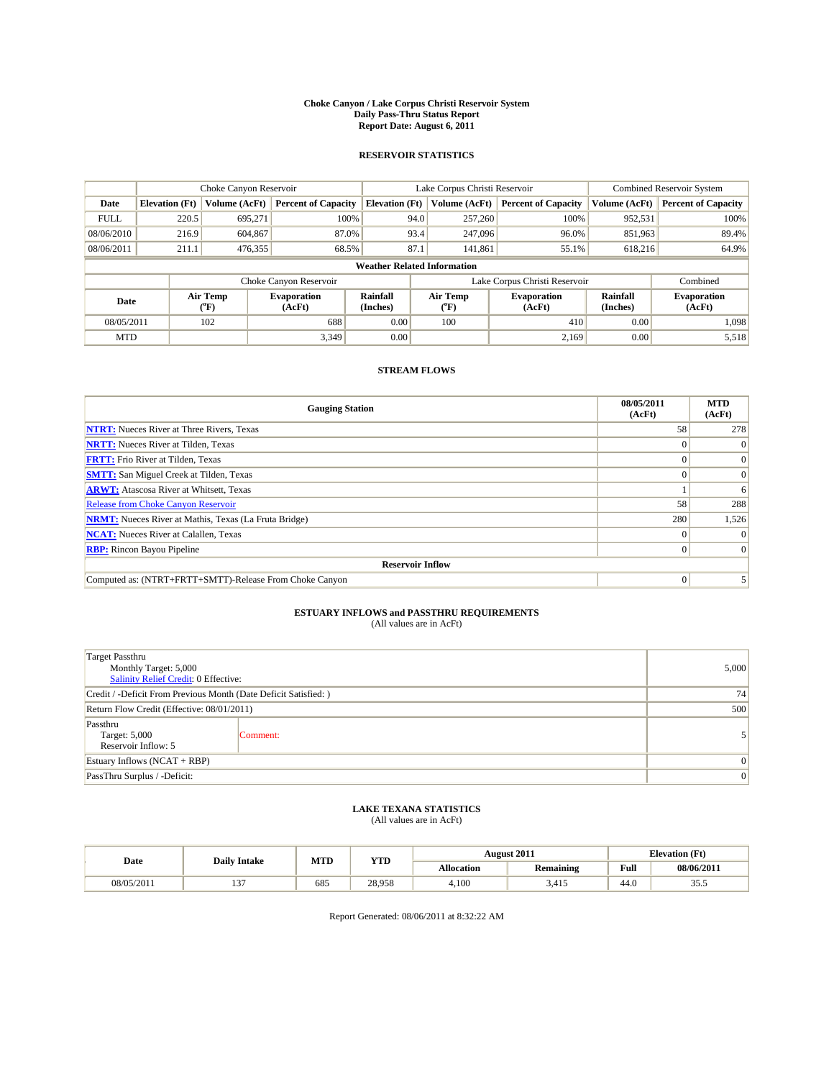#### **Choke Canyon / Lake Corpus Christi Reservoir System Daily Pass-Thru Status Report Report Date: August 6, 2011**

### **RESERVOIR STATISTICS**

|             | Choke Canyon Reservoir    |                                           |                              |                                    | Lake Corpus Christi Reservoir |                               | Combined Reservoir System   |                              |
|-------------|---------------------------|-------------------------------------------|------------------------------|------------------------------------|-------------------------------|-------------------------------|-----------------------------|------------------------------|
| Date        | <b>Elevation</b> (Ft)     | Volume (AcFt)                             | <b>Percent of Capacity</b>   | <b>Elevation</b> (Ft)              | Volume (AcFt)                 | <b>Percent of Capacity</b>    | Volume (AcFt)               | <b>Percent of Capacity</b>   |
| <b>FULL</b> | 220.5                     | 695,271                                   | 100%                         | 94.0                               | 257,260                       | 100%                          | 952,531                     | 100%                         |
| 08/06/2010  | 604,867<br>87.0%<br>216.9 |                                           |                              | 93.4<br>247,096                    | 96.0%                         | 851,963                       | 89.4%                       |                              |
| 08/06/2011  | 211.1                     | 476,355                                   | 68.5%                        | 87.1                               | 141,861                       | 55.1%                         | 618,216                     | 64.9%                        |
|             |                           |                                           |                              | <b>Weather Related Information</b> |                               |                               |                             |                              |
|             |                           |                                           | Choke Canyon Reservoir       |                                    |                               | Lake Corpus Christi Reservoir |                             | Combined                     |
| Date        |                           | Air Temp<br>$({}^{\mathrm{o}}\mathrm{F})$ | <b>Evaporation</b><br>(AcFt) | <b>Rainfall</b><br>(Inches)        | Air Temp<br>("F)              | <b>Evaporation</b><br>(AcFt)  | <b>Rainfall</b><br>(Inches) | <b>Evaporation</b><br>(AcFt) |
| 08/05/2011  |                           | 102                                       | 688                          | 0.00                               | 100                           | 410                           | 0.00                        | 1.098                        |
| <b>MTD</b>  |                           |                                           | 3.349                        | 0.00                               |                               | 2.169                         | 0.00                        | 5,518                        |

## **STREAM FLOWS**

| <b>Gauging Station</b>                                       | 08/05/2011<br>(AcFt) | <b>MTD</b><br>(AcFt) |
|--------------------------------------------------------------|----------------------|----------------------|
| <b>NTRT:</b> Nueces River at Three Rivers, Texas             | 58                   | 278                  |
| <b>NRTT:</b> Nueces River at Tilden, Texas                   |                      |                      |
| <b>FRTT:</b> Frio River at Tilden, Texas                     |                      |                      |
| <b>SMTT:</b> San Miguel Creek at Tilden, Texas               |                      | $\Omega$             |
| <b>ARWT:</b> Atascosa River at Whitsett, Texas               |                      | 6                    |
| Release from Choke Canyon Reservoir                          | 58                   | 288                  |
| <b>NRMT:</b> Nueces River at Mathis, Texas (La Fruta Bridge) | 280                  | 1,526                |
| <b>NCAT:</b> Nueces River at Calallen, Texas                 | $\Omega$             |                      |
| <b>RBP:</b> Rincon Bayou Pipeline                            | $\Omega$             | $\Omega$             |
| <b>Reservoir Inflow</b>                                      |                      |                      |
| Computed as: (NTRT+FRTT+SMTT)-Release From Choke Canyon      | $\Omega$             |                      |

# **ESTUARY INFLOWS and PASSTHRU REQUIREMENTS**<br>(All values are in AcFt)

| <b>Target Passthru</b><br>Monthly Target: 5,000<br>Salinity Relief Credit: 0 Effective: | 5,000    |   |
|-----------------------------------------------------------------------------------------|----------|---|
| Credit / -Deficit From Previous Month (Date Deficit Satisfied: )                        | 74       |   |
| Return Flow Credit (Effective: 08/01/2011)                                              | 500      |   |
| Passthru<br>Target: 5,000<br>Reservoir Inflow: 5                                        | Comment: |   |
| Estuary Inflows $(NCAT + RBP)$                                                          | $\Omega$ |   |
| PassThru Surplus / -Deficit:                                                            |          | 0 |

## **LAKE TEXANA STATISTICS** (All values are in AcFt)

| Date       | <b>Daily Intake</b> | MTD | YTD    |            | <b>August 2011</b> | <b>Elevation</b> (Ft) |            |
|------------|---------------------|-----|--------|------------|--------------------|-----------------------|------------|
|            |                     |     |        | Allocation | <b>Remaining</b>   | Full                  | 08/06/2011 |
| 08/05/2011 | $\sim$              | 685 | 28.958 | 4.100      | 3.41J              | 44.0                  | ن. ر.      |

Report Generated: 08/06/2011 at 8:32:22 AM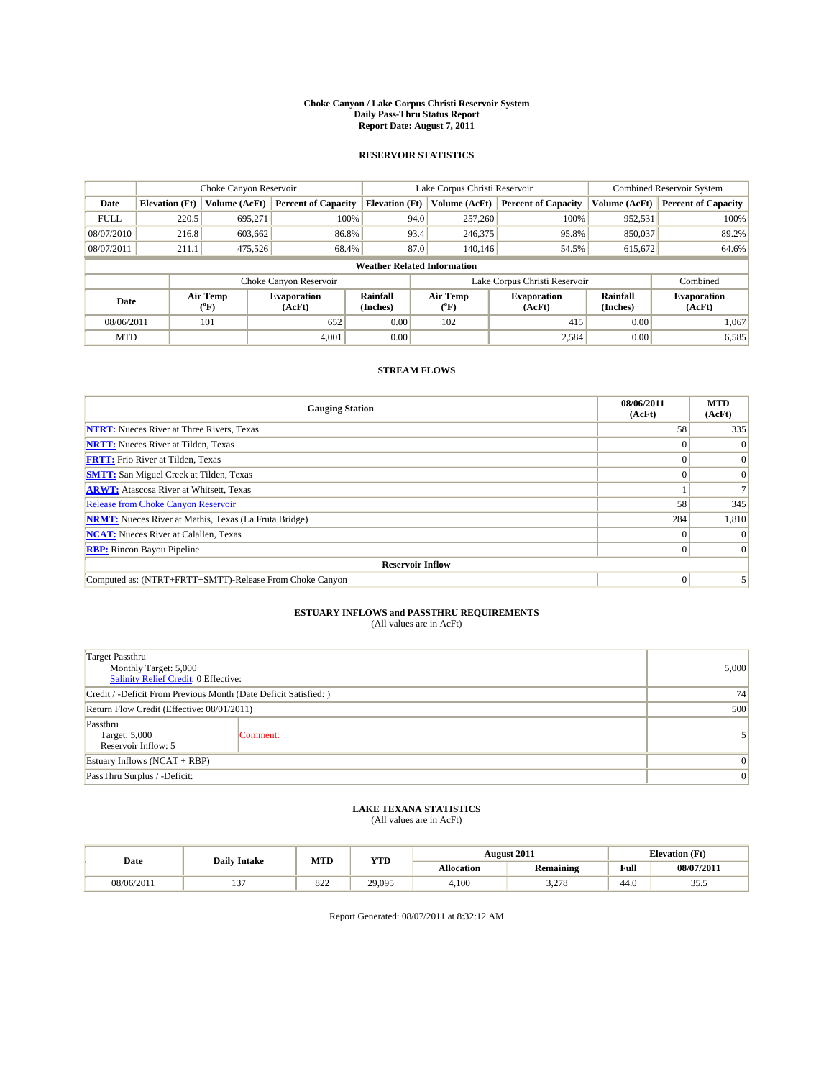#### **Choke Canyon / Lake Corpus Christi Reservoir System Daily Pass-Thru Status Report Report Date: August 7, 2011**

### **RESERVOIR STATISTICS**

|             | Choke Canyon Reservoir             |                                           |                              |                       | Lake Corpus Christi Reservoir | <b>Combined Reservoir System</b> |                             |                              |  |  |  |
|-------------|------------------------------------|-------------------------------------------|------------------------------|-----------------------|-------------------------------|----------------------------------|-----------------------------|------------------------------|--|--|--|
| Date        | <b>Elevation</b> (Ft)              | Volume (AcFt)                             | <b>Percent of Capacity</b>   | <b>Elevation</b> (Ft) | Volume (AcFt)                 | <b>Percent of Capacity</b>       | Volume (AcFt)               | <b>Percent of Capacity</b>   |  |  |  |
| <b>FULL</b> | 220.5                              | 695,271                                   | 100%                         | 94.0                  | 257,260                       | 100%                             | 952,531                     | 100%                         |  |  |  |
| 08/07/2010  | 216.8                              | 603,662                                   | 86.8%                        | 93.4                  | 246,375                       | 95.8%                            | 850,037                     | 89.2%                        |  |  |  |
| 08/07/2011  | 211.1                              | 475,526                                   | 68.4%                        | 87.0                  | 140,146                       | 54.5%                            | 615,672                     | 64.6%                        |  |  |  |
|             | <b>Weather Related Information</b> |                                           |                              |                       |                               |                                  |                             |                              |  |  |  |
|             |                                    |                                           | Choke Canyon Reservoir       |                       |                               | Lake Corpus Christi Reservoir    |                             | Combined                     |  |  |  |
| Date        |                                    | Air Temp<br>$({}^{\mathrm{o}}\mathrm{F})$ | <b>Evaporation</b><br>(AcFt) | Rainfall<br>(Inches)  | Air Temp<br>(°F)              | <b>Evaporation</b><br>(AcFt)     | <b>Rainfall</b><br>(Inches) | <b>Evaporation</b><br>(AcFt) |  |  |  |
| 08/06/2011  |                                    | 101                                       | 652                          | 0.00                  | 102                           | 415                              | 0.00                        | 1.067                        |  |  |  |
| <b>MTD</b>  |                                    |                                           | 4,001                        | 0.00                  |                               | 2,584                            | 0.00                        | 6,585                        |  |  |  |

## **STREAM FLOWS**

| <b>Gauging Station</b>                                       | 08/06/2011<br>(AcFt) | <b>MTD</b><br>(AcFt) |
|--------------------------------------------------------------|----------------------|----------------------|
| <b>NTRT:</b> Nueces River at Three Rivers, Texas             | 58                   | 335                  |
| <b>NRTT:</b> Nueces River at Tilden, Texas                   |                      |                      |
| <b>FRTT:</b> Frio River at Tilden, Texas                     |                      |                      |
| <b>SMTT:</b> San Miguel Creek at Tilden, Texas               |                      |                      |
| <b>ARWT:</b> Atascosa River at Whitsett, Texas               |                      |                      |
| Release from Choke Canyon Reservoir                          | 58                   | 345                  |
| <b>NRMT:</b> Nueces River at Mathis, Texas (La Fruta Bridge) | 284                  | 1,810                |
| <b>NCAT:</b> Nueces River at Calallen, Texas                 | $\Omega$             |                      |
| <b>RBP:</b> Rincon Bayou Pipeline                            | $\Omega$             | $\Omega$             |
| <b>Reservoir Inflow</b>                                      |                      |                      |
| Computed as: (NTRT+FRTT+SMTT)-Release From Choke Canyon      | $\Omega$             |                      |

# **ESTUARY INFLOWS and PASSTHRU REQUIREMENTS**<br>(All values are in AcFt)

| <b>Target Passthru</b><br>Monthly Target: 5,000<br>Salinity Relief Credit: 0 Effective: | 5,000    |  |  |  |  |
|-----------------------------------------------------------------------------------------|----------|--|--|--|--|
| Credit / -Deficit From Previous Month (Date Deficit Satisfied: )                        | 74       |  |  |  |  |
| Return Flow Credit (Effective: 08/01/2011)                                              | 500      |  |  |  |  |
| Passthru<br>Target: 5,000<br>Reservoir Inflow: 5                                        | Comment: |  |  |  |  |
| Estuary Inflows $(NCAT + RBP)$                                                          | $\Omega$ |  |  |  |  |
| PassThru Surplus / -Deficit:                                                            |          |  |  |  |  |

## **LAKE TEXANA STATISTICS** (All values are in AcFt)

| Date       | <b>Daily Intake</b> | MTD                 | <b>YTD</b> |                   | <b>August 2011</b> | <b>Elevation</b> (Ft) |            |
|------------|---------------------|---------------------|------------|-------------------|--------------------|-----------------------|------------|
|            |                     |                     |            | <b>Allocation</b> | <b>Remaining</b>   | Full                  | 08/07/2011 |
| 08/06/2011 | $\sim$<br>. .       | $\circ \sim$<br>844 | 29,095     | 4.100             | 270<br>ں رے د      | 44.0                  | ن. ر.      |

Report Generated: 08/07/2011 at 8:32:12 AM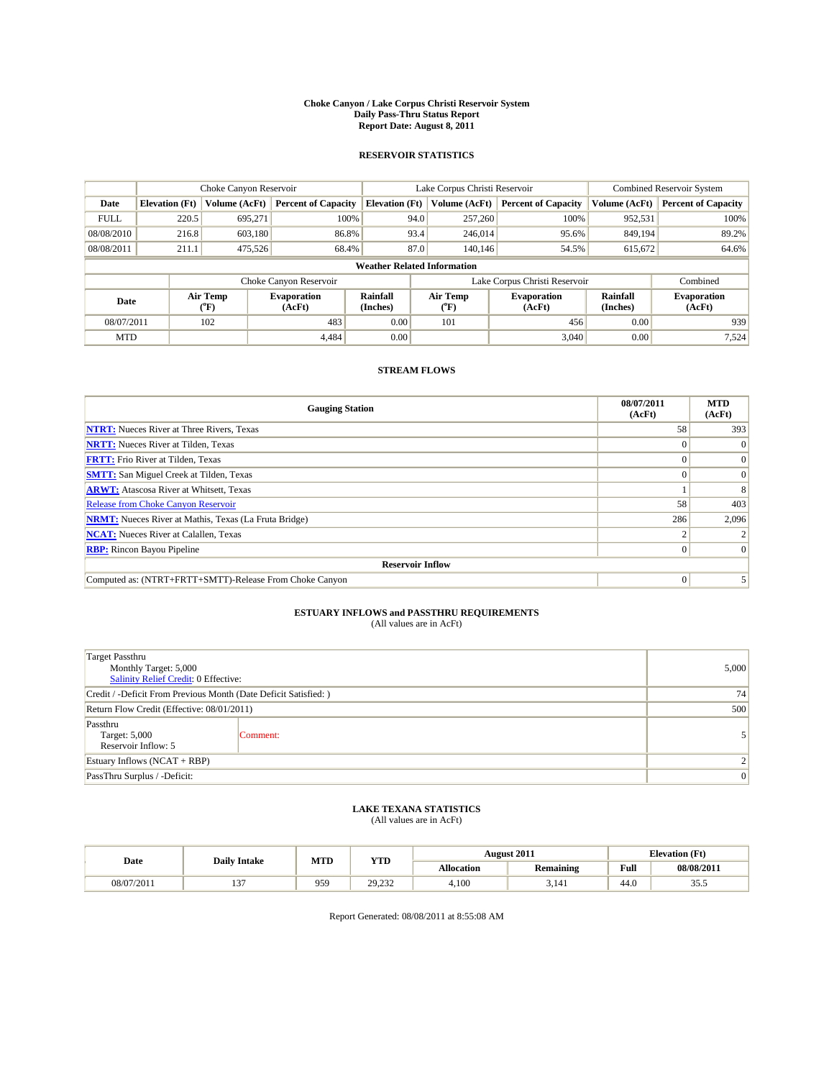#### **Choke Canyon / Lake Corpus Christi Reservoir System Daily Pass-Thru Status Report Report Date: August 8, 2011**

### **RESERVOIR STATISTICS**

|             | Choke Canyon Reservoir             |                  |                              |                       | Lake Corpus Christi Reservoir |                  |                               |                      | Combined Reservoir System    |  |  |
|-------------|------------------------------------|------------------|------------------------------|-----------------------|-------------------------------|------------------|-------------------------------|----------------------|------------------------------|--|--|
| Date        | <b>Elevation</b> (Ft)              | Volume (AcFt)    | <b>Percent of Capacity</b>   | <b>Elevation</b> (Ft) |                               | Volume (AcFt)    | <b>Percent of Capacity</b>    | Volume (AcFt)        | <b>Percent of Capacity</b>   |  |  |
| <b>FULL</b> | 220.5                              | 695,271          | 100%                         |                       | 94.0                          | 257,260          | 100%                          | 952,531              | 100%                         |  |  |
| 08/08/2010  | 216.8                              | 603.180          | 86.8%                        |                       | 93.4                          | 246,014          | 95.6%                         | 849,194              | 89.2%                        |  |  |
| 08/08/2011  | 211.1                              | 475,526          | 68.4%                        |                       | 87.0                          | 140,146          | 54.5%                         | 615,672              | 64.6%                        |  |  |
|             | <b>Weather Related Information</b> |                  |                              |                       |                               |                  |                               |                      |                              |  |  |
|             |                                    |                  | Choke Canyon Reservoir       |                       |                               |                  | Lake Corpus Christi Reservoir |                      | Combined                     |  |  |
| Date        |                                    | Air Temp<br>(°F) | <b>Evaporation</b><br>(AcFt) | Rainfall<br>(Inches)  |                               | Air Temp<br>(°F) | <b>Evaporation</b><br>(AcFt)  | Rainfall<br>(Inches) | <b>Evaporation</b><br>(AcFt) |  |  |
| 08/07/2011  |                                    | 102              | 483                          | 0.00                  |                               | 101              | 456                           | 0.00                 | 939                          |  |  |
| <b>MTD</b>  |                                    |                  | 4.484                        | 0.00                  |                               |                  | 3.040                         | 0.00                 | 7,524                        |  |  |

## **STREAM FLOWS**

| <b>Gauging Station</b>                                       | 08/07/2011<br>(AcFt) | <b>MTD</b><br>(AcFt) |
|--------------------------------------------------------------|----------------------|----------------------|
| <b>NTRT:</b> Nueces River at Three Rivers, Texas             | 58                   | 393                  |
| <b>NRTT:</b> Nueces River at Tilden, Texas                   |                      |                      |
| <b>FRTT:</b> Frio River at Tilden, Texas                     |                      |                      |
| <b>SMTT:</b> San Miguel Creek at Tilden, Texas               |                      | $\Omega$             |
| <b>ARWT:</b> Atascosa River at Whitsett, Texas               |                      |                      |
| <b>Release from Choke Canyon Reservoir</b>                   | 58                   | 403                  |
| <b>NRMT:</b> Nueces River at Mathis, Texas (La Fruta Bridge) | 286                  | 2,096                |
| <b>NCAT:</b> Nueces River at Calallen, Texas                 |                      |                      |
| <b>RBP:</b> Rincon Bayou Pipeline                            | $\Omega$             | $\Omega$             |
| <b>Reservoir Inflow</b>                                      |                      |                      |
| Computed as: (NTRT+FRTT+SMTT)-Release From Choke Canyon      | $\Omega$             |                      |

# **ESTUARY INFLOWS and PASSTHRU REQUIREMENTS**<br>(All values are in AcFt)

| <b>Target Passthru</b><br>Monthly Target: 5,000<br>Salinity Relief Credit: 0 Effective: | 5,000    |  |  |  |  |
|-----------------------------------------------------------------------------------------|----------|--|--|--|--|
| Credit / -Deficit From Previous Month (Date Deficit Satisfied: )                        | 74       |  |  |  |  |
| Return Flow Credit (Effective: 08/01/2011)                                              | 500      |  |  |  |  |
| Passthru<br>Target: 5,000<br>Reservoir Inflow: 5                                        | Comment: |  |  |  |  |
| Estuary Inflows $(NCAT + RBP)$                                                          |          |  |  |  |  |
| PassThru Surplus / -Deficit:                                                            |          |  |  |  |  |

## **LAKE TEXANA STATISTICS** (All values are in AcFt)

| Date       | <b>Daily Intake</b> |     | MTD<br>YTD             | <b>August 2011</b> |                  | <b>Elevation</b> (Ft) |            |
|------------|---------------------|-----|------------------------|--------------------|------------------|-----------------------|------------|
|            |                     |     |                        | Allocation         | <b>Remaining</b> | Full                  | 08/08/2017 |
| 08/07/2011 | $\sim$              | 959 | 20<br>222<br>ے بے دیکھ | 4.100              | 3.141            | 44.0                  | JJ .J      |

Report Generated: 08/08/2011 at 8:55:08 AM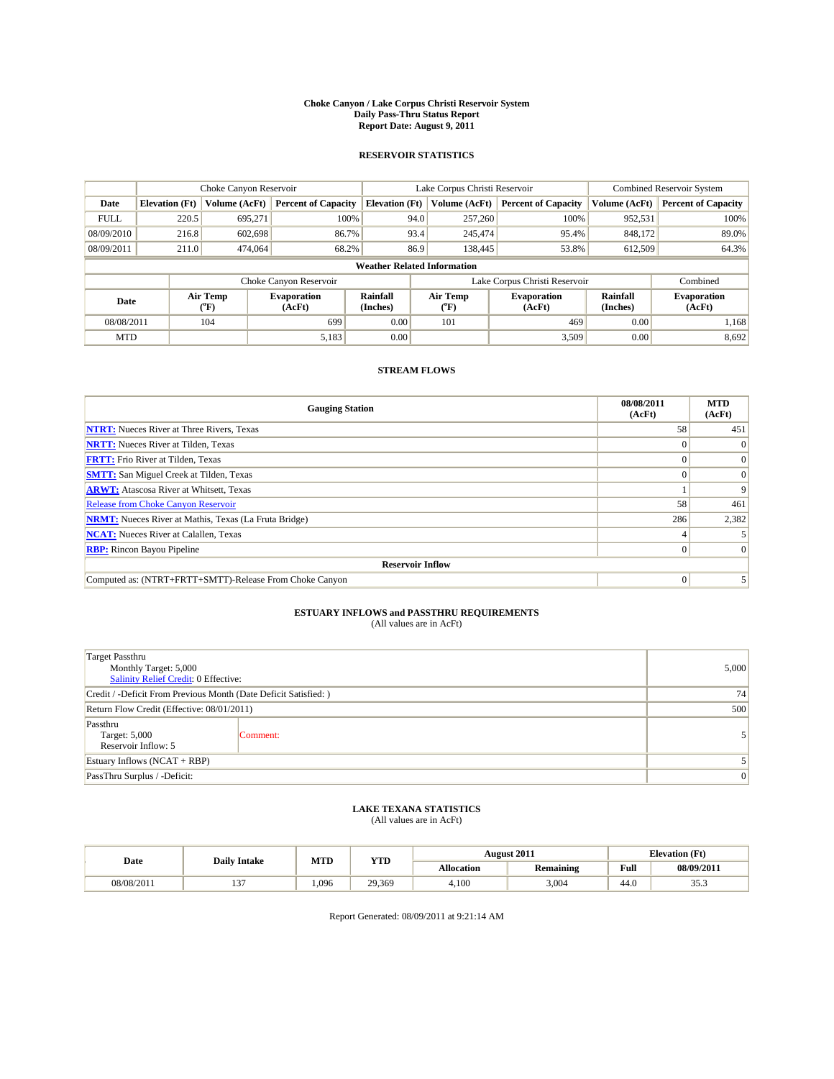#### **Choke Canyon / Lake Corpus Christi Reservoir System Daily Pass-Thru Status Report Report Date: August 9, 2011**

### **RESERVOIR STATISTICS**

|             | Choke Canyon Reservoir             |                                           |                              |                       | Lake Corpus Christi Reservoir | <b>Combined Reservoir System</b> |                             |                              |  |  |  |
|-------------|------------------------------------|-------------------------------------------|------------------------------|-----------------------|-------------------------------|----------------------------------|-----------------------------|------------------------------|--|--|--|
| Date        | <b>Elevation</b> (Ft)              | Volume (AcFt)                             | <b>Percent of Capacity</b>   | <b>Elevation</b> (Ft) | Volume (AcFt)                 | <b>Percent of Capacity</b>       | Volume (AcFt)               | <b>Percent of Capacity</b>   |  |  |  |
| <b>FULL</b> | 220.5                              | 695,271                                   | 100%                         | 94.0                  | 257,260                       | 100%                             | 952,531                     | 100%                         |  |  |  |
| 08/09/2010  | 216.8                              | 602,698                                   | 86.7%                        | 93.4                  | 245,474                       | 95.4%                            | 848,172                     | 89.0%                        |  |  |  |
| 08/09/2011  | 211.0                              | 474,064                                   | 68.2%                        | 86.9                  | 138,445                       | 53.8%                            | 612,509                     | 64.3%                        |  |  |  |
|             | <b>Weather Related Information</b> |                                           |                              |                       |                               |                                  |                             |                              |  |  |  |
|             |                                    |                                           | Choke Canyon Reservoir       |                       |                               | Lake Corpus Christi Reservoir    |                             | Combined                     |  |  |  |
| Date        |                                    | Air Temp<br>$({}^{\mathrm{o}}\mathrm{F})$ | <b>Evaporation</b><br>(AcFt) | Rainfall<br>(Inches)  | Air Temp<br>(°F)              | <b>Evaporation</b><br>(AcFt)     | <b>Rainfall</b><br>(Inches) | <b>Evaporation</b><br>(AcFt) |  |  |  |
| 08/08/2011  |                                    | 104                                       | 699                          | 0.00                  | 101                           | 469                              | 0.00                        | 1.168                        |  |  |  |
| <b>MTD</b>  |                                    |                                           | 5,183                        | 0.00                  |                               | 3.509                            | 0.00                        | 8,692                        |  |  |  |

## **STREAM FLOWS**

| <b>Gauging Station</b>                                       | 08/08/2011<br>(AcFt) | <b>MTD</b><br>(AcFt) |
|--------------------------------------------------------------|----------------------|----------------------|
| <b>NTRT:</b> Nueces River at Three Rivers, Texas             | 58                   | 451                  |
| <b>NRTT:</b> Nueces River at Tilden, Texas                   |                      |                      |
| <b>FRTT:</b> Frio River at Tilden, Texas                     |                      |                      |
| <b>SMTT:</b> San Miguel Creek at Tilden, Texas               |                      | $\Omega$             |
| <b>ARWT:</b> Atascosa River at Whitsett, Texas               |                      | 9                    |
| <b>Release from Choke Canyon Reservoir</b>                   | 58                   | 461                  |
| <b>NRMT:</b> Nueces River at Mathis, Texas (La Fruta Bridge) | 286                  | 2,382                |
| <b>NCAT:</b> Nueces River at Calallen, Texas                 |                      |                      |
| <b>RBP:</b> Rincon Bayou Pipeline                            | $\Omega$             | $\Omega$             |
| <b>Reservoir Inflow</b>                                      |                      |                      |
| Computed as: (NTRT+FRTT+SMTT)-Release From Choke Canyon      | $\Omega$             |                      |

# **ESTUARY INFLOWS and PASSTHRU REQUIREMENTS**<br>(All values are in AcFt)

| <b>Target Passthru</b><br>Monthly Target: 5,000<br>Salinity Relief Credit: 0 Effective: | 5,000    |  |  |  |  |
|-----------------------------------------------------------------------------------------|----------|--|--|--|--|
| Credit / -Deficit From Previous Month (Date Deficit Satisfied: )                        | 74       |  |  |  |  |
| Return Flow Credit (Effective: 08/01/2011)                                              | 500      |  |  |  |  |
| Passthru<br>Target: 5,000<br>Reservoir Inflow: 5                                        | Comment: |  |  |  |  |
| Estuary Inflows $(NCAT + RBP)$                                                          |          |  |  |  |  |
| PassThru Surplus / -Deficit:                                                            |          |  |  |  |  |

## **LAKE TEXANA STATISTICS** (All values are in AcFt)

|            | <b>Daily Intake</b> | MTD  | YTD    |            | August 2011      |                                             | <b>Elevation</b> (Ft) |
|------------|---------------------|------|--------|------------|------------------|---------------------------------------------|-----------------------|
| Date       |                     |      |        | Allocation | <b>Remaining</b> | Full<br>the contract of the contract of the | 08/09/2017            |
| 08/08/2011 | $\sim$              | .096 | 29,369 | 4.100      | 3.004            | 44.0                                        | JJ .J                 |

Report Generated: 08/09/2011 at 9:21:14 AM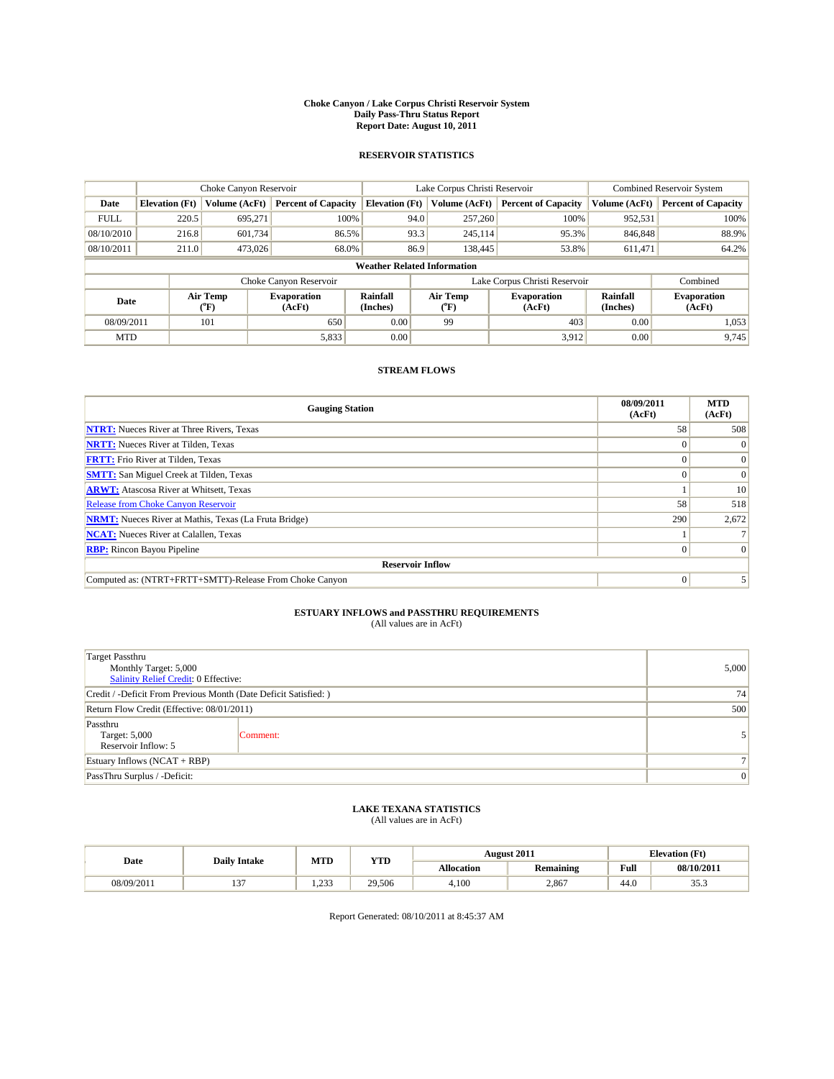#### **Choke Canyon / Lake Corpus Christi Reservoir System Daily Pass-Thru Status Report Report Date: August 10, 2011**

### **RESERVOIR STATISTICS**

|             | Choke Canyon Reservoir             |                                |                              |                             | Lake Corpus Christi Reservoir  | <b>Combined Reservoir System</b> |                      |                              |  |  |  |
|-------------|------------------------------------|--------------------------------|------------------------------|-----------------------------|--------------------------------|----------------------------------|----------------------|------------------------------|--|--|--|
| Date        | <b>Elevation</b> (Ft)              | Volume (AcFt)                  | <b>Percent of Capacity</b>   | <b>Elevation</b> (Ft)       | Volume (AcFt)                  | <b>Percent of Capacity</b>       | Volume (AcFt)        | <b>Percent of Capacity</b>   |  |  |  |
| <b>FULL</b> | 220.5                              | 695,271                        | 100%                         |                             | 94.0<br>257,260                | 100%                             | 952,531              | 100%                         |  |  |  |
| 08/10/2010  | 216.8                              | 601,734                        | 86.5%                        |                             | 93.3<br>245,114                | 95.3%                            | 846,848              | 88.9%                        |  |  |  |
| 08/10/2011  | 211.0                              | 473,026                        | 68.0%                        |                             | 86.9<br>138,445                | 53.8%                            | 611,471              | 64.2%                        |  |  |  |
|             | <b>Weather Related Information</b> |                                |                              |                             |                                |                                  |                      |                              |  |  |  |
|             |                                    |                                | Choke Canyon Reservoir       |                             |                                | Lake Corpus Christi Reservoir    |                      | Combined                     |  |  |  |
| Date        |                                    | Air Temp<br>$({}^o\mathrm{F})$ | <b>Evaporation</b><br>(AcFt) | <b>Rainfall</b><br>(Inches) | Air Temp<br>$({}^o\mathrm{F})$ | <b>Evaporation</b><br>(AcFt)     | Rainfall<br>(Inches) | <b>Evaporation</b><br>(AcFt) |  |  |  |
| 08/09/2011  |                                    | 101                            | 650                          | 0.00                        | 99                             | 403                              | 0.00                 | 1,053                        |  |  |  |
| <b>MTD</b>  |                                    |                                | 5,833                        | 0.00                        |                                | 3,912                            | 0.00                 | 9,745                        |  |  |  |

## **STREAM FLOWS**

| <b>Gauging Station</b>                                       | 08/09/2011<br>(AcFt) | <b>MTD</b><br>(AcFt) |
|--------------------------------------------------------------|----------------------|----------------------|
| <b>NTRT:</b> Nueces River at Three Rivers, Texas             | 58                   | 508                  |
| <b>NRTT:</b> Nueces River at Tilden, Texas                   |                      |                      |
| <b>FRTT:</b> Frio River at Tilden, Texas                     |                      | $\Omega$             |
| <b>SMTT:</b> San Miguel Creek at Tilden, Texas               |                      | $\Omega$             |
| <b>ARWT:</b> Atascosa River at Whitsett, Texas               |                      | 10                   |
| <b>Release from Choke Canyon Reservoir</b>                   | 58                   | 518                  |
| <b>NRMT:</b> Nueces River at Mathis, Texas (La Fruta Bridge) | 290                  | 2,672                |
| <b>NCAT:</b> Nueces River at Calallen, Texas                 |                      |                      |
| <b>RBP:</b> Rincon Bayou Pipeline                            | $\Omega$             | $\Omega$             |
| <b>Reservoir Inflow</b>                                      |                      |                      |
| Computed as: (NTRT+FRTT+SMTT)-Release From Choke Canyon      | $\Omega$             |                      |

# **ESTUARY INFLOWS and PASSTHRU REQUIREMENTS**<br>(All values are in AcFt)

| <b>Target Passthru</b><br>Monthly Target: 5,000<br>Salinity Relief Credit: 0 Effective: | 5,000          |   |
|-----------------------------------------------------------------------------------------|----------------|---|
| Credit / -Deficit From Previous Month (Date Deficit Satisfied: )                        | 74             |   |
| Return Flow Credit (Effective: 08/01/2011)                                              | 500            |   |
| Passthru<br>Target: 5,000<br>Reservoir Inflow: 5                                        | Comment:       |   |
| Estuary Inflows $(NCAT + RBP)$                                                          | 7 <sub>1</sub> |   |
| PassThru Surplus / -Deficit:                                                            |                | 0 |

## **LAKE TEXANA STATISTICS** (All values are in AcFt)

| Date       | <b>Daily Intake</b> | MTD       | YTD    |            | <b>August 2011</b> | <b>Elevation</b> (Ft) |                 |
|------------|---------------------|-----------|--------|------------|--------------------|-----------------------|-----------------|
|            |                     |           |        | Allocation | <b>Remaining</b>   | Full                  | 08/10/2011      |
| 08/09/2011 | $\sim$<br>          | 22<br>ـ ب | 29,506 | 4.100      | 2.867              | 44.0                  | $\sim$<br>JJ .J |

Report Generated: 08/10/2011 at 8:45:37 AM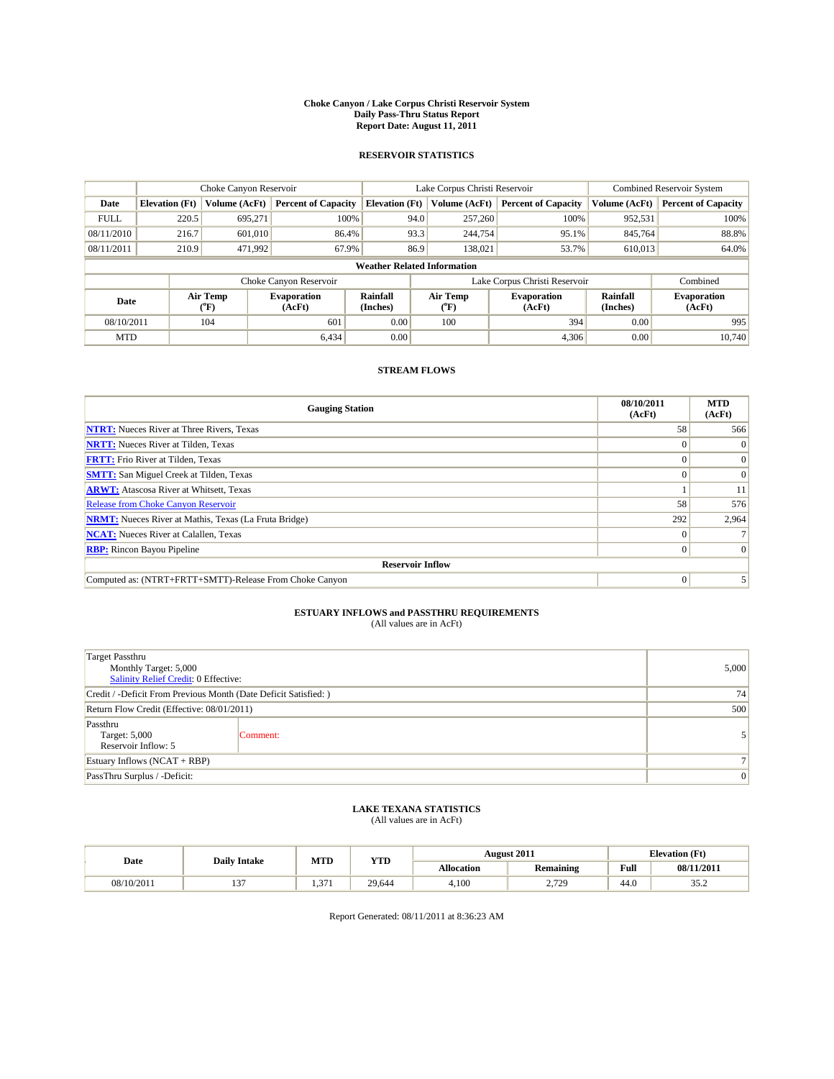#### **Choke Canyon / Lake Corpus Christi Reservoir System Daily Pass-Thru Status Report Report Date: August 11, 2011**

### **RESERVOIR STATISTICS**

|             | Choke Canyon Reservoir             |                  |                              |                       | Lake Corpus Christi Reservoir | <b>Combined Reservoir System</b> |                      |                              |  |  |  |
|-------------|------------------------------------|------------------|------------------------------|-----------------------|-------------------------------|----------------------------------|----------------------|------------------------------|--|--|--|
| Date        | <b>Elevation</b> (Ft)              | Volume (AcFt)    | <b>Percent of Capacity</b>   | <b>Elevation</b> (Ft) | Volume (AcFt)                 | <b>Percent of Capacity</b>       | Volume (AcFt)        | <b>Percent of Capacity</b>   |  |  |  |
| <b>FULL</b> | 220.5                              | 695,271          | 100%                         | 94.0                  | 257,260                       | 100%                             | 952,531              | 100%                         |  |  |  |
| 08/11/2010  | 216.7                              | 601,010          | 86.4%                        | 93.3                  | 244,754                       | 95.1%                            | 845,764              | 88.8%                        |  |  |  |
| 08/11/2011  | 210.9                              | 471,992          | 67.9%                        | 86.9                  | 138,021                       | 53.7%                            | 610,013              | 64.0%                        |  |  |  |
|             | <b>Weather Related Information</b> |                  |                              |                       |                               |                                  |                      |                              |  |  |  |
|             |                                    |                  | Choke Canyon Reservoir       |                       |                               | Lake Corpus Christi Reservoir    |                      | Combined                     |  |  |  |
| Date        |                                    | Air Temp<br>(°F) | <b>Evaporation</b><br>(AcFt) | Rainfall<br>(Inches)  | Air Temp<br>("F)              | <b>Evaporation</b><br>(AcFt)     | Rainfall<br>(Inches) | <b>Evaporation</b><br>(AcFt) |  |  |  |
| 08/10/2011  |                                    | 104              | 601                          | 0.00                  | 100                           | 394                              | 0.00                 | 995                          |  |  |  |
| <b>MTD</b>  |                                    |                  | 6.434                        | 0.00                  |                               | 4,306                            | 0.00                 | 10.740                       |  |  |  |

## **STREAM FLOWS**

| <b>Gauging Station</b>                                       | 08/10/2011<br>(AcFt) | <b>MTD</b><br>(AcFt) |
|--------------------------------------------------------------|----------------------|----------------------|
| <b>NTRT:</b> Nueces River at Three Rivers, Texas             | 58                   | 566                  |
| <b>NRTT:</b> Nueces River at Tilden, Texas                   |                      |                      |
| <b>FRTT:</b> Frio River at Tilden, Texas                     |                      | $\Omega$             |
| <b>SMTT:</b> San Miguel Creek at Tilden, Texas               |                      | $\Omega$             |
| <b>ARWT:</b> Atascosa River at Whitsett, Texas               |                      | 11                   |
| <b>Release from Choke Canyon Reservoir</b>                   | 58                   | 576                  |
| <b>NRMT:</b> Nueces River at Mathis, Texas (La Fruta Bridge) | 292                  | 2,964                |
| <b>NCAT:</b> Nueces River at Calallen, Texas                 | $\Omega$             |                      |
| <b>RBP:</b> Rincon Bayou Pipeline                            | $\Omega$             | $\Omega$             |
| <b>Reservoir Inflow</b>                                      |                      |                      |
| Computed as: (NTRT+FRTT+SMTT)-Release From Choke Canyon      | $\Omega$             |                      |

# **ESTUARY INFLOWS and PASSTHRU REQUIREMENTS**<br>(All values are in AcFt)

| <b>Target Passthru</b><br>Monthly Target: 5,000<br>Salinity Relief Credit: 0 Effective: | 5,000    |  |  |  |  |  |
|-----------------------------------------------------------------------------------------|----------|--|--|--|--|--|
| Credit / -Deficit From Previous Month (Date Deficit Satisfied: )                        | 74       |  |  |  |  |  |
| Return Flow Credit (Effective: 08/01/2011)                                              | 500      |  |  |  |  |  |
| Passthru<br>Target: 5,000<br>Reservoir Inflow: 5                                        | Comment: |  |  |  |  |  |
| Estuary Inflows $(NCAT + RBP)$                                                          |          |  |  |  |  |  |
| PassThru Surplus / -Deficit:                                                            |          |  |  |  |  |  |

## **LAKE TEXANA STATISTICS** (All values are in AcFt)

| Date       | <b>Daily Intake</b> |                   | MTD<br><b>YTD</b> |                   | <b>August 2011</b> | <b>Elevation</b> (Ft)                       |            |
|------------|---------------------|-------------------|-------------------|-------------------|--------------------|---------------------------------------------|------------|
|            |                     |                   |                   | <b>Allocation</b> | <b>Remaining</b>   | Full<br>the contract of the contract of the | 08/11/2011 |
| 08/10/2011 | $\sim$              | 4.37 <sup>1</sup> | 29.644            | 4.100             | ,720<br>$-11$      | 44.0                                        | ے. ب       |

Report Generated: 08/11/2011 at 8:36:23 AM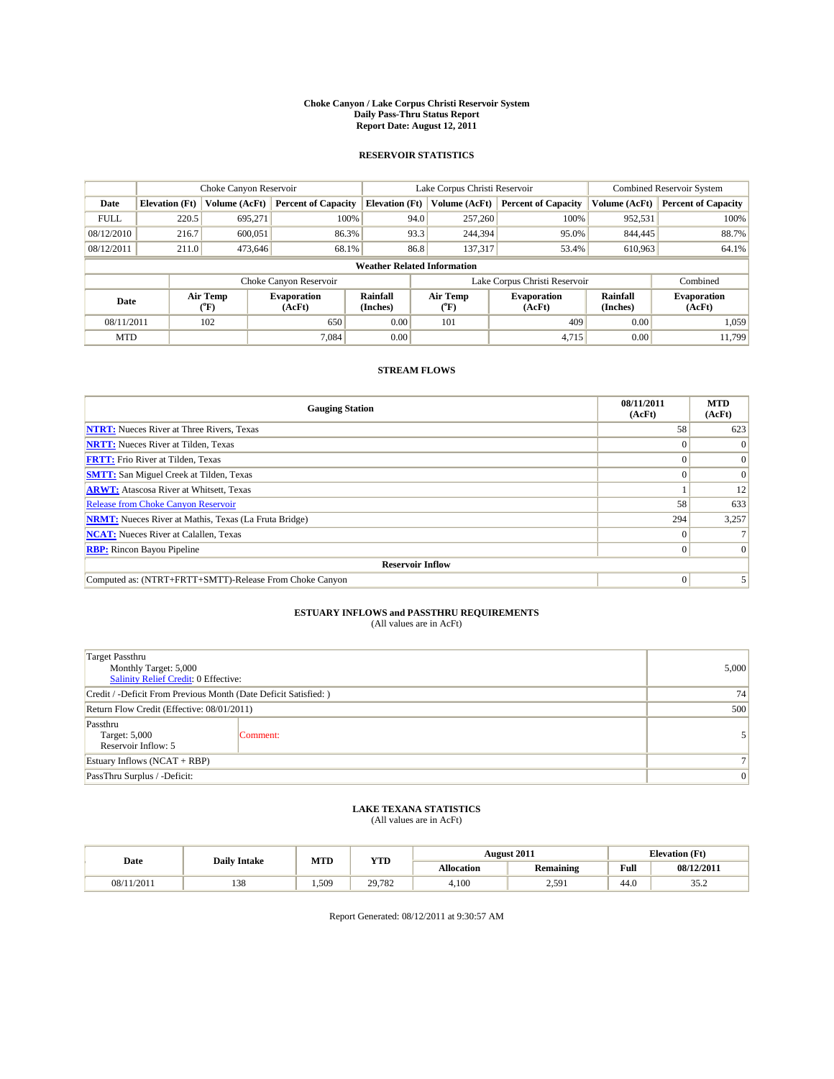#### **Choke Canyon / Lake Corpus Christi Reservoir System Daily Pass-Thru Status Report Report Date: August 12, 2011**

### **RESERVOIR STATISTICS**

|             | Choke Canyon Reservoir             |                                           |                              |                       | Lake Corpus Christi Reservoir           | <b>Combined Reservoir System</b> |                             |                              |  |  |  |
|-------------|------------------------------------|-------------------------------------------|------------------------------|-----------------------|-----------------------------------------|----------------------------------|-----------------------------|------------------------------|--|--|--|
| Date        | <b>Elevation</b> (Ft)              | Volume (AcFt)                             | <b>Percent of Capacity</b>   | <b>Elevation</b> (Ft) | Volume (AcFt)                           | <b>Percent of Capacity</b>       | Volume (AcFt)               | <b>Percent of Capacity</b>   |  |  |  |
| <b>FULL</b> | 220.5                              | 695,271                                   | 100%                         | 94.0                  | 257,260                                 | 100%                             | 952,531                     | 100%                         |  |  |  |
| 08/12/2010  | 216.7                              | 600,051                                   | 86.3%                        | 93.3                  | 244,394                                 | 95.0%                            | 844,445                     | 88.7%                        |  |  |  |
| 08/12/2011  | 211.0                              | 473,646                                   | 68.1%                        | 86.8                  | 137,317                                 | 53.4%                            | 610,963                     | 64.1%                        |  |  |  |
|             | <b>Weather Related Information</b> |                                           |                              |                       |                                         |                                  |                             |                              |  |  |  |
|             |                                    |                                           | Choke Canyon Reservoir       |                       |                                         | Lake Corpus Christi Reservoir    |                             | Combined                     |  |  |  |
| Date        |                                    | Air Temp<br>$({}^{\mathrm{o}}\mathrm{F})$ | <b>Evaporation</b><br>(AcFt) | Rainfall<br>(Inches)  | Air Temp<br>$(^{\mathrm{o}}\mathrm{F})$ | <b>Evaporation</b><br>(AcFt)     | <b>Rainfall</b><br>(Inches) | <b>Evaporation</b><br>(AcFt) |  |  |  |
| 08/11/2011  |                                    | 102                                       | 650                          | 0.00                  | 101                                     | 409                              | 0.00                        | 1.059                        |  |  |  |
| <b>MTD</b>  |                                    |                                           | 7.084                        | 0.00                  |                                         | 4.715                            | 0.00                        | 11.799                       |  |  |  |

## **STREAM FLOWS**

| <b>Gauging Station</b>                                       | 08/11/2011<br>(AcFt) | <b>MTD</b><br>(AcFt) |
|--------------------------------------------------------------|----------------------|----------------------|
| <b>NTRT:</b> Nueces River at Three Rivers, Texas             | 58                   | 623                  |
| <b>NRTT:</b> Nueces River at Tilden, Texas                   |                      |                      |
| <b>FRTT:</b> Frio River at Tilden, Texas                     |                      |                      |
| <b>SMTT:</b> San Miguel Creek at Tilden, Texas               |                      | $\Omega$             |
| <b>ARWT:</b> Atascosa River at Whitsett, Texas               |                      | 12                   |
| <b>Release from Choke Canyon Reservoir</b>                   | 58                   | 633                  |
| <b>NRMT:</b> Nueces River at Mathis, Texas (La Fruta Bridge) | 294                  | 3,257                |
| <b>NCAT:</b> Nueces River at Calallen, Texas                 | $\Omega$             |                      |
| <b>RBP:</b> Rincon Bayou Pipeline                            | $\Omega$             | $\Omega$             |
| <b>Reservoir Inflow</b>                                      |                      |                      |
| Computed as: (NTRT+FRTT+SMTT)-Release From Choke Canyon      | $\Omega$             |                      |

# **ESTUARY INFLOWS and PASSTHRU REQUIREMENTS**<br>(All values are in AcFt)

| <b>Target Passthru</b><br>Monthly Target: 5,000<br>Salinity Relief Credit: 0 Effective: | 5,000    |  |  |  |  |  |
|-----------------------------------------------------------------------------------------|----------|--|--|--|--|--|
| Credit / -Deficit From Previous Month (Date Deficit Satisfied: )                        | 74       |  |  |  |  |  |
| Return Flow Credit (Effective: 08/01/2011)                                              | 500      |  |  |  |  |  |
| Passthru<br>Target: 5,000<br>Reservoir Inflow: 5                                        | Comment: |  |  |  |  |  |
| Estuary Inflows $(NCAT + RBP)$                                                          | 71       |  |  |  |  |  |
| PassThru Surplus / -Deficit:                                                            |          |  |  |  |  |  |

## **LAKE TEXANA STATISTICS** (All values are in AcFt)

| Date       |  | <b>Daily Intake</b> |      | MTD<br>YTD | <b>August 2011</b> |                      | <b>Elevation</b> (Ft) |      |
|------------|--|---------------------|------|------------|--------------------|----------------------|-----------------------|------|
|            |  |                     |      | Allocation | <b>Remaining</b>   | Full                 | 08/12/2011            |      |
| 08/11/2011 |  | 138                 | .509 | 29,782     | 4.100              | <b>50′ (</b><br>2,71 | 44.0                  | ے. ب |

Report Generated: 08/12/2011 at 9:30:57 AM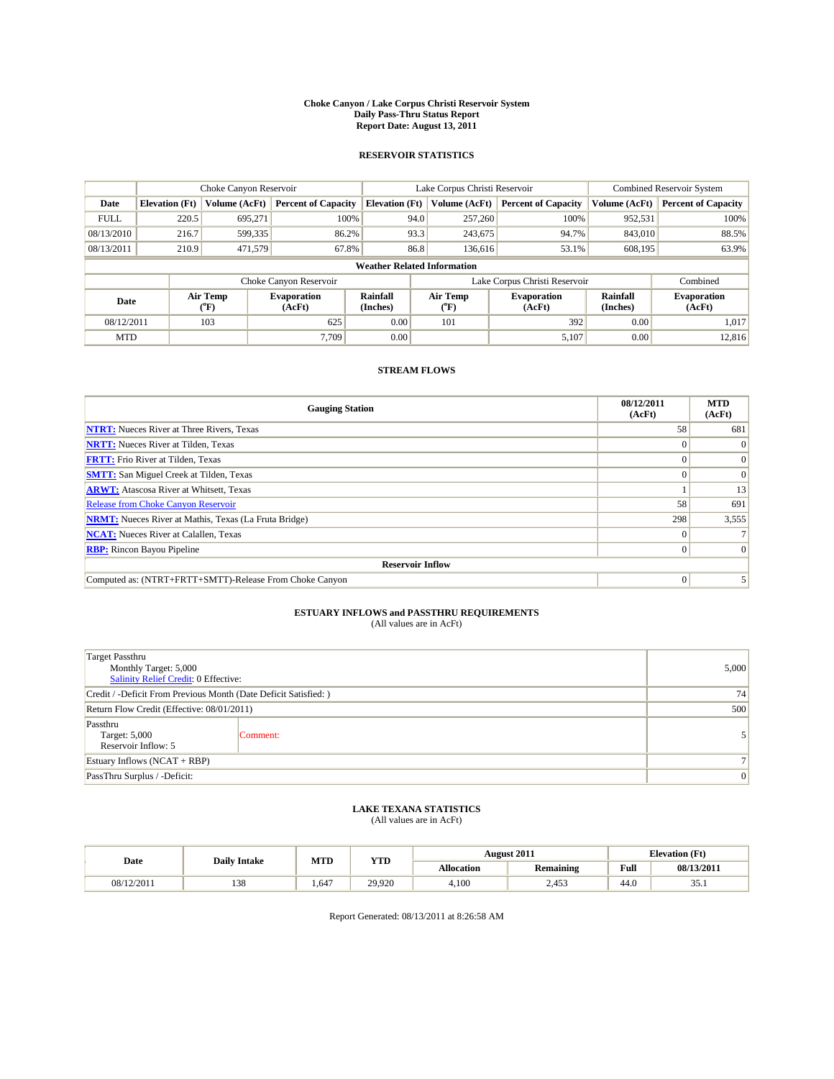#### **Choke Canyon / Lake Corpus Christi Reservoir System Daily Pass-Thru Status Report Report Date: August 13, 2011**

### **RESERVOIR STATISTICS**

|             | Choke Canyon Reservoir             |                             | Lake Corpus Christi Reservoir |                       |                  |         | <b>Combined Reservoir System</b> |                      |                              |  |
|-------------|------------------------------------|-----------------------------|-------------------------------|-----------------------|------------------|---------|----------------------------------|----------------------|------------------------------|--|
| Date        | <b>Elevation</b> (Ft)              | Volume (AcFt)               | <b>Percent of Capacity</b>    | <b>Elevation (Ft)</b> | Volume (AcFt)    |         | <b>Percent of Capacity</b>       | Volume (AcFt)        | <b>Percent of Capacity</b>   |  |
| <b>FULL</b> | 220.5                              | 695,271                     | 100%                          |                       | 94.0             | 257,260 | 100%                             | 952,531              | 100%                         |  |
| 08/13/2010  | 216.7                              | 599,335                     | 86.2%                         |                       | 93.3             | 243,675 | 94.7%                            | 843,010              | 88.5%                        |  |
| 08/13/2011  | 210.9                              | 471,579                     | 67.8%                         |                       | 86.8             | 136,616 | 53.1%                            | 608.195              | 63.9%                        |  |
|             | <b>Weather Related Information</b> |                             |                               |                       |                  |         |                                  |                      |                              |  |
|             |                                    |                             | Choke Canyon Reservoir        |                       |                  |         | Lake Corpus Christi Reservoir    |                      | Combined                     |  |
| Date        |                                    | Air Temp<br>${}^{\circ}$ F) | <b>Evaporation</b><br>(AcFt)  | Rainfall<br>(Inches)  | Air Temp<br>(°F) |         | <b>Evaporation</b><br>(AcFt)     | Rainfall<br>(Inches) | <b>Evaporation</b><br>(AcFt) |  |
| 08/12/2011  |                                    | 103                         | 625                           | 0.00                  | 101              |         | 392                              | 0.00                 | 1,017                        |  |
| <b>MTD</b>  |                                    |                             | 7.709                         | 0.00                  |                  |         | 5,107                            | 0.00                 | 12,816                       |  |

## **STREAM FLOWS**

| <b>Gauging Station</b>                                       | 08/12/2011<br>(AcFt) | <b>MTD</b><br>(AcFt) |
|--------------------------------------------------------------|----------------------|----------------------|
| <b>NTRT:</b> Nueces River at Three Rivers, Texas             | 58                   | 681                  |
| <b>NRTT:</b> Nueces River at Tilden, Texas                   |                      | $\theta$             |
| <b>FRTT:</b> Frio River at Tilden, Texas                     |                      | $\Omega$             |
| <b>SMTT:</b> San Miguel Creek at Tilden, Texas               |                      | $\Omega$             |
| <b>ARWT:</b> Atascosa River at Whitsett, Texas               |                      | 13                   |
| <b>Release from Choke Canyon Reservoir</b>                   | 58                   | 691                  |
| <b>NRMT:</b> Nueces River at Mathis, Texas (La Fruta Bridge) | 298                  | 3,555                |
| <b>NCAT:</b> Nueces River at Calallen, Texas                 | $\Omega$             |                      |
| <b>RBP:</b> Rincon Bayou Pipeline                            | $\overline{0}$       | $\Omega$             |
| <b>Reservoir Inflow</b>                                      |                      |                      |
| Computed as: (NTRT+FRTT+SMTT)-Release From Choke Canyon      | $\Omega$             |                      |

# **ESTUARY INFLOWS and PASSTHRU REQUIREMENTS**<br>(All values are in AcFt)

| <b>Target Passthru</b><br>Monthly Target: 5,000<br>Salinity Relief Credit: 0 Effective: | 5,000    |  |  |  |  |
|-----------------------------------------------------------------------------------------|----------|--|--|--|--|
| Credit / -Deficit From Previous Month (Date Deficit Satisfied: )                        | 74       |  |  |  |  |
| Return Flow Credit (Effective: 08/01/2011)                                              | 500      |  |  |  |  |
| Passthru<br>Target: 5,000<br>Reservoir Inflow: 5                                        | Comment: |  |  |  |  |
| Estuary Inflows $(NCAT + RBP)$                                                          |          |  |  |  |  |
| PassThru Surplus / -Deficit:                                                            |          |  |  |  |  |

## **LAKE TEXANA STATISTICS** (All values are in AcFt)

| Date       | <b>Daily Intake</b> | MTD  | <b>YTD</b> |                   | <b>August 2011</b> | <b>Elevation</b> (Ft) |            |
|------------|---------------------|------|------------|-------------------|--------------------|-----------------------|------------|
|            |                     |      |            | <b>Allocation</b> | <b>Remaining</b>   | Full                  | 08/13/2011 |
| 08/12/2011 | 138                 | .647 | 29,920     | 4.100             | 2,453              | 44.0                  | JJ.1       |

Report Generated: 08/13/2011 at 8:26:58 AM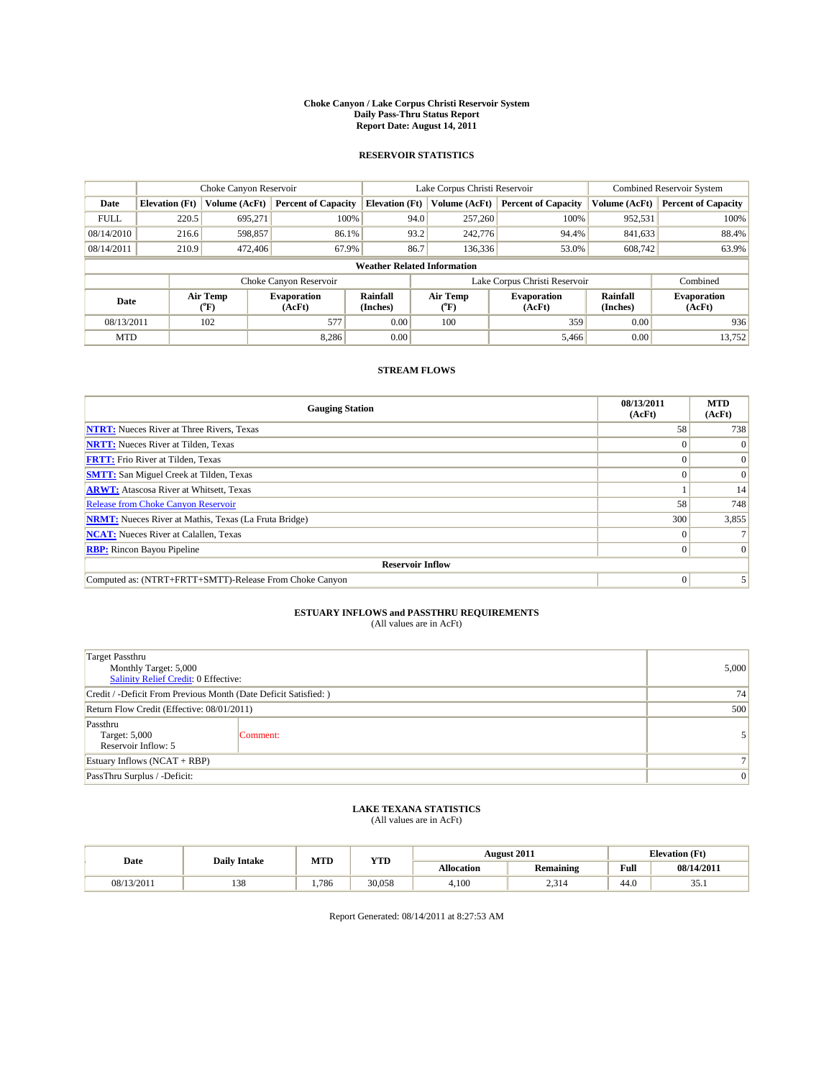#### **Choke Canyon / Lake Corpus Christi Reservoir System Daily Pass-Thru Status Report Report Date: August 14, 2011**

### **RESERVOIR STATISTICS**

|             |                                    | Choke Canyon Reservoir                    |                              |                       | Lake Corpus Christi Reservoir           | <b>Combined Reservoir System</b> |                             |                              |  |  |
|-------------|------------------------------------|-------------------------------------------|------------------------------|-----------------------|-----------------------------------------|----------------------------------|-----------------------------|------------------------------|--|--|
| Date        | <b>Elevation</b> (Ft)              | Volume (AcFt)                             | <b>Percent of Capacity</b>   | <b>Elevation</b> (Ft) | Volume (AcFt)                           | <b>Percent of Capacity</b>       | Volume (AcFt)               | <b>Percent of Capacity</b>   |  |  |
| <b>FULL</b> | 220.5                              | 695,271                                   | 100%                         | 94.0                  | 257,260                                 | 100%                             | 952,531                     | 100%                         |  |  |
| 08/14/2010  | 216.6                              | 598,857                                   | 86.1%                        | 93.2                  | 242,776                                 | 94.4%                            | 841,633                     | 88.4%                        |  |  |
| 08/14/2011  | 210.9                              | 472,406                                   | 67.9%                        | 86.7                  | 136,336                                 | 53.0%                            | 608,742                     | 63.9%                        |  |  |
|             | <b>Weather Related Information</b> |                                           |                              |                       |                                         |                                  |                             |                              |  |  |
|             |                                    |                                           | Choke Canyon Reservoir       |                       |                                         | Lake Corpus Christi Reservoir    |                             | Combined                     |  |  |
| Date        |                                    | Air Temp<br>$({}^{\mathrm{o}}\mathrm{F})$ | <b>Evaporation</b><br>(AcFt) | Rainfall<br>(Inches)  | Air Temp<br>$(^{\mathrm{o}}\mathrm{F})$ | <b>Evaporation</b><br>(AcFt)     | <b>Rainfall</b><br>(Inches) | <b>Evaporation</b><br>(AcFt) |  |  |
| 08/13/2011  |                                    | 102                                       | 577                          | 0.00                  | 100                                     | 359                              | 0.00                        | 936                          |  |  |
| <b>MTD</b>  |                                    |                                           | 8.286                        | 0.00                  |                                         | 5,466                            | 0.00                        | 13,752                       |  |  |

## **STREAM FLOWS**

| <b>Gauging Station</b>                                       | 08/13/2011<br>(AcFt) | <b>MTD</b><br>(AcFt) |
|--------------------------------------------------------------|----------------------|----------------------|
| <b>NTRT:</b> Nueces River at Three Rivers, Texas             | 58                   | 738                  |
| <b>NRTT:</b> Nueces River at Tilden, Texas                   |                      |                      |
| <b>FRTT:</b> Frio River at Tilden, Texas                     |                      | $\Omega$             |
| <b>SMTT:</b> San Miguel Creek at Tilden, Texas               |                      | $\Omega$             |
| <b>ARWT:</b> Atascosa River at Whitsett, Texas               |                      | 14                   |
| <b>Release from Choke Canyon Reservoir</b>                   | 58                   | 748                  |
| <b>NRMT:</b> Nueces River at Mathis, Texas (La Fruta Bridge) | 300                  | 3,855                |
| <b>NCAT:</b> Nueces River at Calallen, Texas                 | $\Omega$             |                      |
| <b>RBP:</b> Rincon Bayou Pipeline                            | $\Omega$             | $\Omega$             |
| <b>Reservoir Inflow</b>                                      |                      |                      |
| Computed as: (NTRT+FRTT+SMTT)-Release From Choke Canyon      | $\Omega$             |                      |

# **ESTUARY INFLOWS and PASSTHRU REQUIREMENTS**<br>(All values are in AcFt)

| <b>Target Passthru</b><br>Monthly Target: 5,000<br>Salinity Relief Credit: 0 Effective: | 5,000          |   |
|-----------------------------------------------------------------------------------------|----------------|---|
| Credit / -Deficit From Previous Month (Date Deficit Satisfied: )                        | 74             |   |
| Return Flow Credit (Effective: 08/01/2011)                                              | 500            |   |
| Passthru<br>Target: 5,000<br>Reservoir Inflow: 5                                        | Comment:       |   |
| Estuary Inflows $(NCAT + RBP)$                                                          | 7 <sub>1</sub> |   |
| PassThru Surplus / -Deficit:                                                            |                | 0 |

## **LAKE TEXANA STATISTICS** (All values are in AcFt)

| Date       | <b>Daily Intake</b> | MTD  | <b>YTD</b> |                   | <b>August 2011</b> |      | <b>Elevation</b> (Ft) |
|------------|---------------------|------|------------|-------------------|--------------------|------|-----------------------|
|            |                     |      |            | <b>Allocation</b> | <b>Remaining</b>   | Full | 08/14/2011            |
| 08/13/2011 | 138                 | .786 | 30.058     | 4.100             | . 21<br>- د ب      | 44.0 | JJ.1                  |

Report Generated: 08/14/2011 at 8:27:53 AM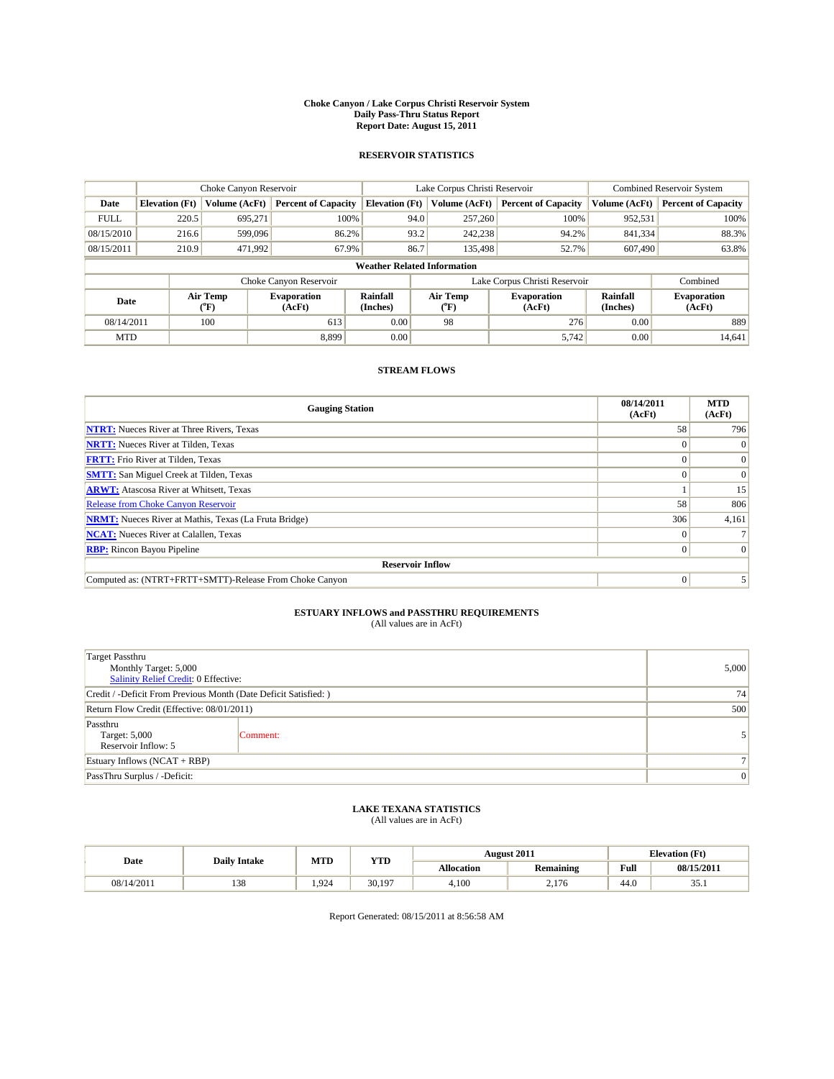#### **Choke Canyon / Lake Corpus Christi Reservoir System Daily Pass-Thru Status Report Report Date: August 15, 2011**

### **RESERVOIR STATISTICS**

|             |                                    | Choke Canyon Reservoir                    |                              |                       | Lake Corpus Christi Reservoir | <b>Combined Reservoir System</b> |                             |                              |  |  |
|-------------|------------------------------------|-------------------------------------------|------------------------------|-----------------------|-------------------------------|----------------------------------|-----------------------------|------------------------------|--|--|
| Date        | <b>Elevation</b> (Ft)              | Volume (AcFt)                             | <b>Percent of Capacity</b>   | <b>Elevation</b> (Ft) | Volume (AcFt)                 | <b>Percent of Capacity</b>       | Volume (AcFt)               | <b>Percent of Capacity</b>   |  |  |
| <b>FULL</b> | 220.5                              | 695,271                                   | 100%                         | 94.0                  | 257,260                       | 100%                             | 952,531                     | 100%                         |  |  |
| 08/15/2010  | 216.6                              | 599,096                                   | 86.2%                        | 93.2                  | 242,238                       | 94.2%                            | 841,334                     | 88.3%                        |  |  |
| 08/15/2011  | 210.9                              | 471,992                                   | 67.9%                        | 86.7                  | 135,498                       | 52.7%                            | 607,490                     | 63.8%                        |  |  |
|             | <b>Weather Related Information</b> |                                           |                              |                       |                               |                                  |                             |                              |  |  |
|             |                                    |                                           | Choke Canyon Reservoir       |                       |                               | Lake Corpus Christi Reservoir    |                             | Combined                     |  |  |
| Date        |                                    | Air Temp<br>$({}^{\mathrm{o}}\mathrm{F})$ | <b>Evaporation</b><br>(AcFt) | Rainfall<br>(Inches)  | Air Temp<br>(°F)              | <b>Evaporation</b><br>(AcFt)     | <b>Rainfall</b><br>(Inches) | <b>Evaporation</b><br>(AcFt) |  |  |
| 08/14/2011  |                                    | 100                                       | 613                          | 0.00                  | 98                            | 276                              | 0.00                        | 889                          |  |  |
| <b>MTD</b>  |                                    |                                           | 8.899                        | 0.00                  |                               | 5,742                            | 0.00                        | 14,641                       |  |  |

## **STREAM FLOWS**

| <b>Gauging Station</b>                                       | 08/14/2011<br>(AcFt) | <b>MTD</b><br>(AcFt) |
|--------------------------------------------------------------|----------------------|----------------------|
| <b>NTRT:</b> Nueces River at Three Rivers, Texas             | 58                   | 796                  |
| <b>NRTT:</b> Nueces River at Tilden, Texas                   |                      |                      |
| <b>FRTT:</b> Frio River at Tilden, Texas                     |                      | $\Omega$             |
| <b>SMTT:</b> San Miguel Creek at Tilden, Texas               | $\theta$             | $\Omega$             |
| <b>ARWT:</b> Atascosa River at Whitsett, Texas               |                      | 15                   |
| <b>Release from Choke Canyon Reservoir</b>                   | 58                   | 806                  |
| <b>NRMT:</b> Nueces River at Mathis, Texas (La Fruta Bridge) | 306                  | 4,161                |
| <b>NCAT:</b> Nueces River at Calallen, Texas                 | $\Omega$             |                      |
| <b>RBP:</b> Rincon Bayou Pipeline                            | $\overline{0}$       | $\Omega$             |
| <b>Reservoir Inflow</b>                                      |                      |                      |
| Computed as: (NTRT+FRTT+SMTT)-Release From Choke Canyon      | $\Omega$             |                      |

# **ESTUARY INFLOWS and PASSTHRU REQUIREMENTS**<br>(All values are in AcFt)

| <b>Target Passthru</b><br>Monthly Target: 5,000<br>Salinity Relief Credit: 0 Effective: | 5,000    |  |  |  |  |
|-----------------------------------------------------------------------------------------|----------|--|--|--|--|
| Credit / -Deficit From Previous Month (Date Deficit Satisfied: )                        | 74       |  |  |  |  |
| Return Flow Credit (Effective: 08/01/2011)                                              | 500      |  |  |  |  |
| Passthru<br>Target: 5,000<br>Reservoir Inflow: 5                                        | Comment: |  |  |  |  |
| Estuary Inflows $(NCAT + RBP)$                                                          |          |  |  |  |  |
| PassThru Surplus / -Deficit:                                                            |          |  |  |  |  |

## **LAKE TEXANA STATISTICS** (All values are in AcFt)

| Date       | <b>Daily Intake</b> | MTD  | <b>YTD</b> |                   | <b>August 2011</b> | <b>Elevation</b> (Ft) |            |
|------------|---------------------|------|------------|-------------------|--------------------|-----------------------|------------|
|            |                     |      |            | <b>Allocation</b> | <b>Remaining</b>   | Full                  | 08/15/2011 |
| 08/14/2011 | 138                 | .924 | 30.197     | 4.100             | 176<br>4.II        | 44.0                  | JJ.1       |

Report Generated: 08/15/2011 at 8:56:58 AM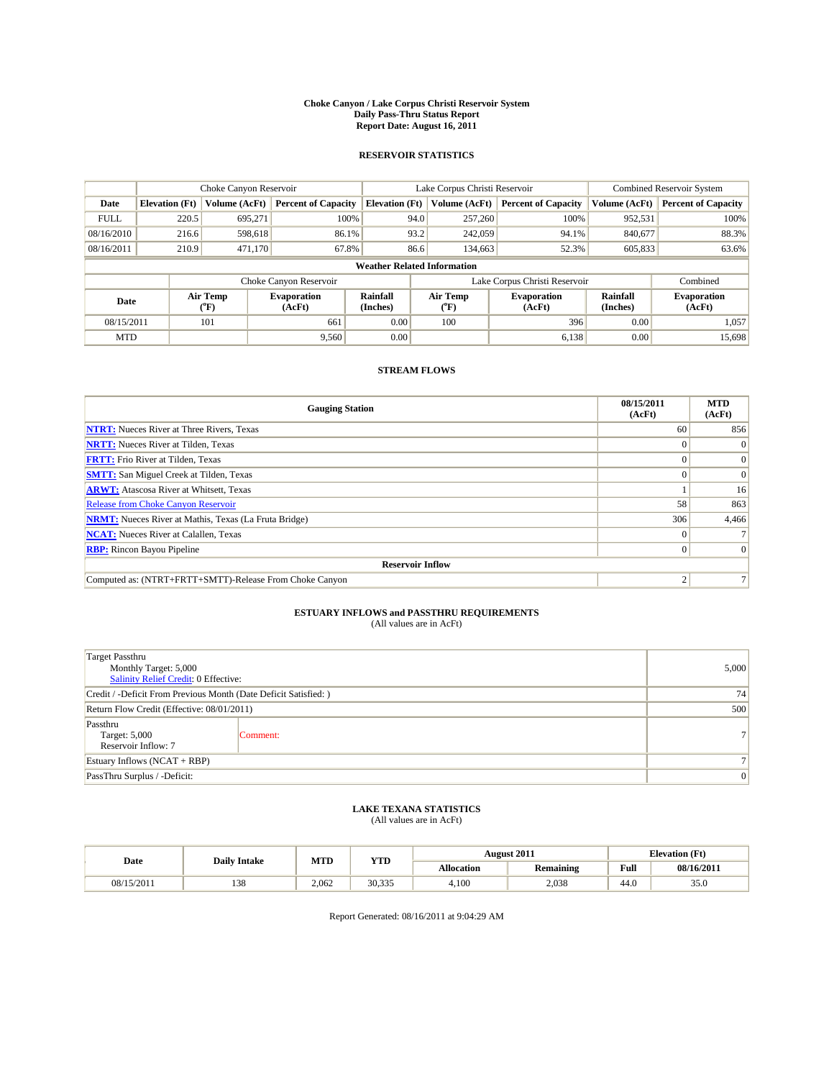#### **Choke Canyon / Lake Corpus Christi Reservoir System Daily Pass-Thru Status Report Report Date: August 16, 2011**

### **RESERVOIR STATISTICS**

|             | Choke Canyon Reservoir             |                                           |                              |                       | Lake Corpus Christi Reservoir  | <b>Combined Reservoir System</b> |                      |                              |  |
|-------------|------------------------------------|-------------------------------------------|------------------------------|-----------------------|--------------------------------|----------------------------------|----------------------|------------------------------|--|
| Date        | <b>Elevation</b> (Ft)              | Volume (AcFt)                             | <b>Percent of Capacity</b>   | <b>Elevation</b> (Ft) | Volume (AcFt)                  | <b>Percent of Capacity</b>       | Volume (AcFt)        | <b>Percent of Capacity</b>   |  |
| <b>FULL</b> | 220.5                              | 695.271                                   | 100%                         | 94.0                  | 257,260                        | 100%                             | 952,531              | 100%                         |  |
| 08/16/2010  | 216.6                              | 598,618                                   | 86.1%                        | 93.2                  | 242,059                        | 94.1%                            | 840,677              | 88.3%                        |  |
| 08/16/2011  | 210.9                              | 471,170                                   | 67.8%                        | 86.6                  | 134,663                        | 52.3%                            | 605,833              | 63.6%                        |  |
|             | <b>Weather Related Information</b> |                                           |                              |                       |                                |                                  |                      |                              |  |
|             |                                    |                                           | Choke Canyon Reservoir       |                       |                                | Lake Corpus Christi Reservoir    |                      | Combined                     |  |
| Date        |                                    | Air Temp<br>$({}^{\mathrm{o}}\mathrm{F})$ | <b>Evaporation</b><br>(AcFt) | Rainfall<br>(Inches)  | Air Temp<br>$({}^o\mathrm{F})$ | <b>Evaporation</b><br>(AcFt)     | Rainfall<br>(Inches) | <b>Evaporation</b><br>(AcFt) |  |
| 08/15/2011  |                                    | 101                                       | 661                          | 0.00                  | 100                            | 396                              | 0.00                 | 1.057                        |  |
| <b>MTD</b>  |                                    |                                           | 9,560                        | 0.00                  |                                | 6,138                            | 0.00                 | 15,698                       |  |

## **STREAM FLOWS**

| <b>Gauging Station</b>                                       | 08/15/2011<br>(AcFt) | <b>MTD</b><br>(AcFt) |  |  |  |  |  |
|--------------------------------------------------------------|----------------------|----------------------|--|--|--|--|--|
| <b>NTRT:</b> Nueces River at Three Rivers, Texas             | 60                   | 856                  |  |  |  |  |  |
| <b>NRTT:</b> Nueces River at Tilden, Texas                   |                      | $\Omega$             |  |  |  |  |  |
| <b>FRTT:</b> Frio River at Tilden, Texas                     |                      | $\Omega$             |  |  |  |  |  |
| <b>SMTT:</b> San Miguel Creek at Tilden, Texas               |                      | $\Omega$             |  |  |  |  |  |
| <b>ARWT:</b> Atascosa River at Whitsett, Texas               |                      | 16                   |  |  |  |  |  |
| <b>Release from Choke Canyon Reservoir</b>                   | 58                   | 863                  |  |  |  |  |  |
| <b>NRMT:</b> Nueces River at Mathis, Texas (La Fruta Bridge) | 306                  | 4,466                |  |  |  |  |  |
| <b>NCAT:</b> Nueces River at Calallen, Texas                 |                      |                      |  |  |  |  |  |
| <b>RBP:</b> Rincon Bayou Pipeline                            | 0                    | $\vert 0 \vert$      |  |  |  |  |  |
| <b>Reservoir Inflow</b>                                      |                      |                      |  |  |  |  |  |
| Computed as: (NTRT+FRTT+SMTT)-Release From Choke Canyon      |                      |                      |  |  |  |  |  |

# **ESTUARY INFLOWS and PASSTHRU REQUIREMENTS**<br>(All values are in AcFt)

| <b>Target Passthru</b><br>Monthly Target: 5,000<br>Salinity Relief Credit: 0 Effective: | 5,000          |                |
|-----------------------------------------------------------------------------------------|----------------|----------------|
| Credit / -Deficit From Previous Month (Date Deficit Satisfied: )                        | 74             |                |
| Return Flow Credit (Effective: 08/01/2011)                                              | 500            |                |
| Passthru<br>Target: 5,000<br>Reservoir Inflow: 7                                        | Comment:       | 7 <sup>1</sup> |
| Estuary Inflows $(NCAT + RBP)$                                                          |                |                |
| PassThru Surplus / -Deficit:                                                            | $\overline{0}$ |                |

## **LAKE TEXANA STATISTICS** (All values are in AcFt)

|            | <b>Daily Intake</b> | MTD   | YTD    |                   | <b>August 2011</b> | <b>Elevation</b> (Ft) |            |
|------------|---------------------|-------|--------|-------------------|--------------------|-----------------------|------------|
| Date       |                     |       |        | <b>Allocation</b> | <b>Remaining</b>   | Full                  | 08/16/2011 |
| 08/15/2011 | 138                 | 2.062 | 30.335 | 4.100             | 2.038              | 44.0                  | 35.0       |

Report Generated: 08/16/2011 at 9:04:29 AM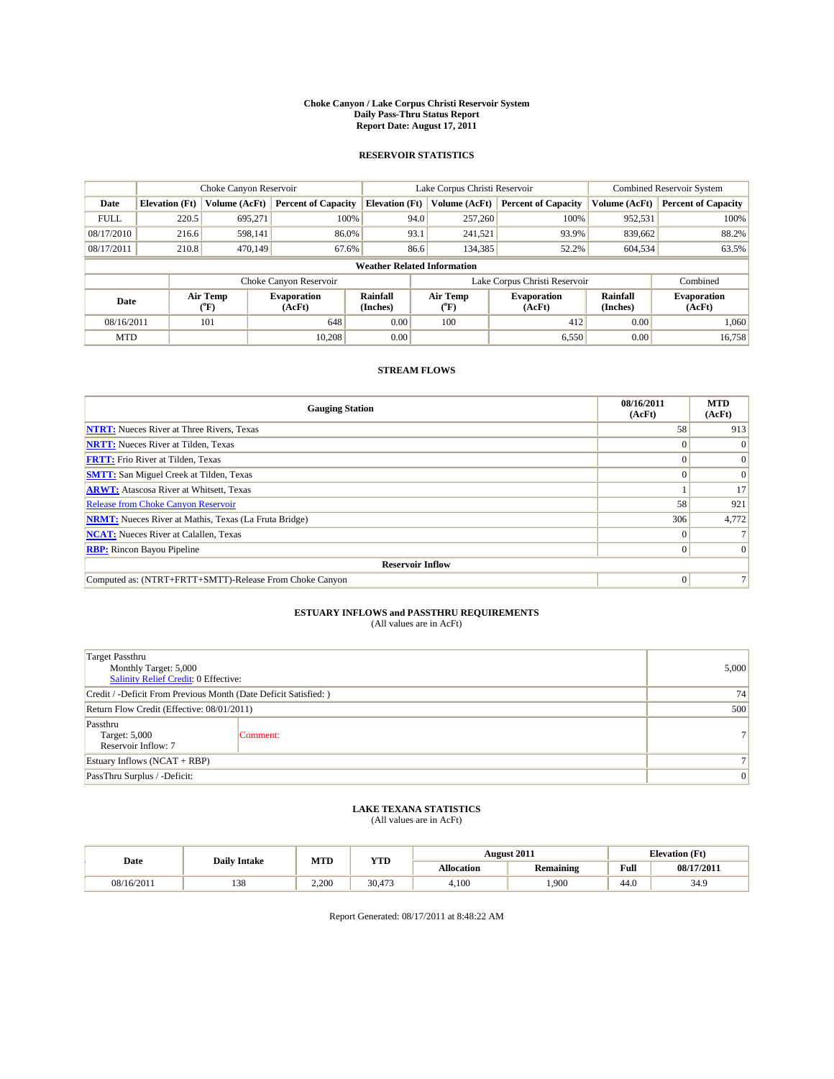#### **Choke Canyon / Lake Corpus Christi Reservoir System Daily Pass-Thru Status Report Report Date: August 17, 2011**

### **RESERVOIR STATISTICS**

|             | Choke Canyon Reservoir             |                                           |                              |                       | Lake Corpus Christi Reservoir | <b>Combined Reservoir System</b> |                             |                              |  |
|-------------|------------------------------------|-------------------------------------------|------------------------------|-----------------------|-------------------------------|----------------------------------|-----------------------------|------------------------------|--|
| Date        | <b>Elevation</b> (Ft)              | Volume (AcFt)                             | <b>Percent of Capacity</b>   | <b>Elevation</b> (Ft) | Volume (AcFt)                 | <b>Percent of Capacity</b>       | Volume (AcFt)               | <b>Percent of Capacity</b>   |  |
| <b>FULL</b> | 220.5                              | 695,271                                   | 100%                         | 94.0                  | 257,260                       | 100%                             | 952,531                     | 100%                         |  |
| 08/17/2010  | 216.6                              | 598,141                                   | 86.0%                        | 93.1                  | 241,521                       | 93.9%                            | 839,662                     | 88.2%                        |  |
| 08/17/2011  | 210.8                              | 470,149                                   | 67.6%                        | 86.6                  | 134,385                       | 52.2%                            | 604,534                     | 63.5%                        |  |
|             | <b>Weather Related Information</b> |                                           |                              |                       |                               |                                  |                             |                              |  |
|             |                                    |                                           | Choke Canyon Reservoir       |                       |                               | Lake Corpus Christi Reservoir    |                             | Combined                     |  |
| Date        |                                    | Air Temp<br>$({}^{\mathrm{o}}\mathrm{F})$ | <b>Evaporation</b><br>(AcFt) | Rainfall<br>(Inches)  | Air Temp<br>("F)              | <b>Evaporation</b><br>(AcFt)     | <b>Rainfall</b><br>(Inches) | <b>Evaporation</b><br>(AcFt) |  |
| 08/16/2011  |                                    | 101                                       | 648                          | 0.00                  | 100                           | 412                              | 0.00                        | 1.060                        |  |
| <b>MTD</b>  |                                    |                                           | 10.208                       | 0.00                  |                               | 6,550                            | 0.00                        | 16,758                       |  |

## **STREAM FLOWS**

| <b>Gauging Station</b>                                       | 08/16/2011<br>(AcFt) | <b>MTD</b><br>(AcFt) |
|--------------------------------------------------------------|----------------------|----------------------|
| <b>NTRT:</b> Nueces River at Three Rivers, Texas             | 58                   | 913                  |
| <b>NRTT:</b> Nueces River at Tilden, Texas                   | $\theta$             |                      |
| <b>FRTT:</b> Frio River at Tilden, Texas                     |                      | $\Omega$             |
| <b>SMTT:</b> San Miguel Creek at Tilden, Texas               |                      | $\Omega$             |
| <b>ARWT:</b> Atascosa River at Whitsett, Texas               |                      | 17                   |
| <b>Release from Choke Canyon Reservoir</b>                   | 58                   | 921                  |
| <b>NRMT:</b> Nueces River at Mathis, Texas (La Fruta Bridge) | 306                  | 4,772                |
| <b>NCAT:</b> Nueces River at Calallen, Texas                 | $\Omega$             |                      |
| <b>RBP:</b> Rincon Bayou Pipeline                            | $\Omega$             | $\Omega$             |
| <b>Reservoir Inflow</b>                                      |                      |                      |
| Computed as: (NTRT+FRTT+SMTT)-Release From Choke Canyon      | $\Omega$             |                      |

# **ESTUARY INFLOWS and PASSTHRU REQUIREMENTS**<br>(All values are in AcFt)

| <b>Target Passthru</b><br>Monthly Target: 5,000<br>Salinity Relief Credit: 0 Effective: | 5,000           |                |
|-----------------------------------------------------------------------------------------|-----------------|----------------|
| Credit / -Deficit From Previous Month (Date Deficit Satisfied: )                        | 74              |                |
| Return Flow Credit (Effective: 08/01/2011)                                              | 500             |                |
| Passthru<br>Target: 5,000<br>Reservoir Inflow: 7                                        | Comment:        | 7 <sup>1</sup> |
| Estuary Inflows $(NCAT + RBP)$                                                          |                 |                |
| PassThru Surplus / -Deficit:                                                            | $\vert 0 \vert$ |                |

## **LAKE TEXANA STATISTICS** (All values are in AcFt)

|            | <b>Daily Intake</b> | MTD   | YTD    |                   | <b>August 2011</b> |      | <b>Elevation</b> (Ft) |
|------------|---------------------|-------|--------|-------------------|--------------------|------|-----------------------|
| Date       |                     |       |        | <b>Allocation</b> | <b>Remaining</b>   | Full | 08/17/2011            |
| 08/16/2011 | 138                 | 2.200 | 30.473 | 4.100             | .900               | 44.0 | 34.9                  |

Report Generated: 08/17/2011 at 8:48:22 AM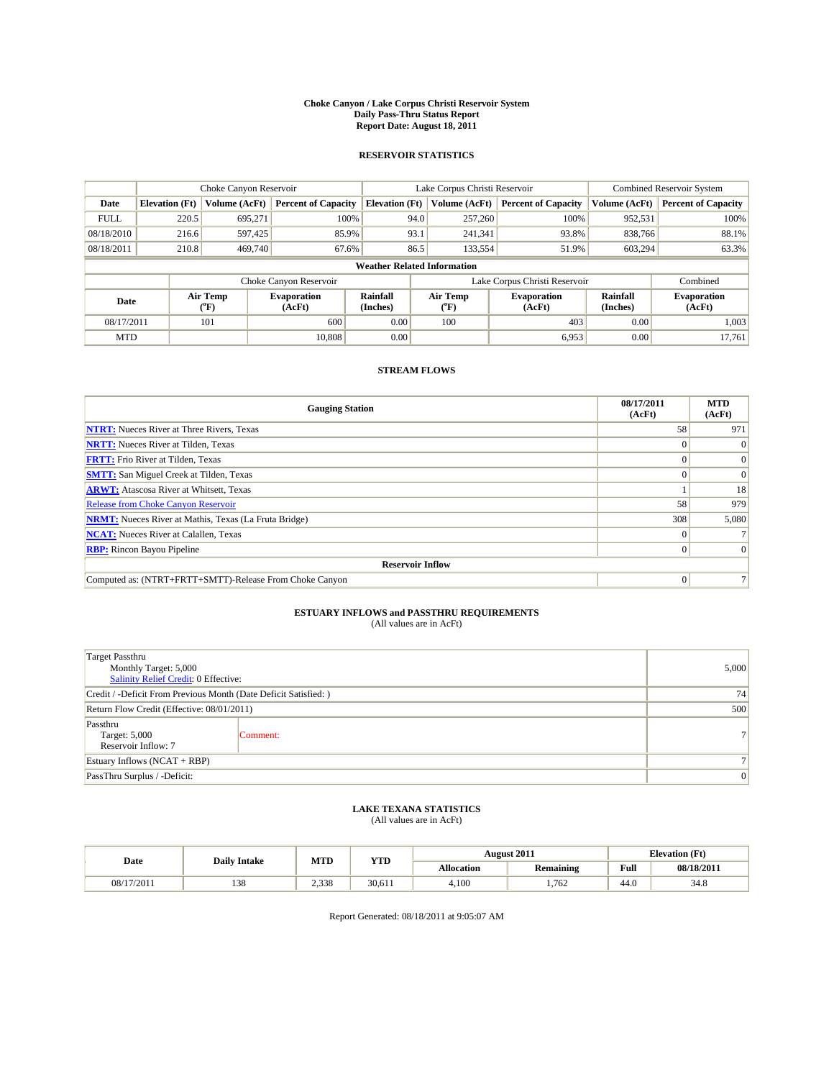#### **Choke Canyon / Lake Corpus Christi Reservoir System Daily Pass-Thru Status Report Report Date: August 18, 2011**

### **RESERVOIR STATISTICS**

|             | Choke Canyon Reservoir             |                                           |                              |                       | Lake Corpus Christi Reservoir | <b>Combined Reservoir System</b> |                      |                              |  |
|-------------|------------------------------------|-------------------------------------------|------------------------------|-----------------------|-------------------------------|----------------------------------|----------------------|------------------------------|--|
| Date        | <b>Elevation</b> (Ft)              | Volume (AcFt)                             | <b>Percent of Capacity</b>   | <b>Elevation</b> (Ft) | Volume (AcFt)                 | <b>Percent of Capacity</b>       | Volume (AcFt)        | <b>Percent of Capacity</b>   |  |
| <b>FULL</b> | 220.5                              | 695,271                                   | 100%                         | 94.0                  | 257,260                       | 100%                             | 952,531              | 100%                         |  |
| 08/18/2010  | 216.6                              | 597,425                                   | 85.9%                        | 93.1                  | 241,341                       | 93.8%                            | 838,766              | 88.1%                        |  |
| 08/18/2011  | 210.8                              | 469,740                                   | 67.6%                        | 86.5                  | 133,554                       | 51.9%                            | 603,294              | 63.3%                        |  |
|             | <b>Weather Related Information</b> |                                           |                              |                       |                               |                                  |                      |                              |  |
|             |                                    |                                           | Choke Canyon Reservoir       |                       |                               | Lake Corpus Christi Reservoir    |                      | Combined                     |  |
| Date        |                                    | Air Temp<br>$({}^{\mathrm{o}}\mathrm{F})$ | <b>Evaporation</b><br>(AcFt) | Rainfall<br>(Inches)  | Air Temp<br>("F)              | <b>Evaporation</b><br>(AcFt)     | Rainfall<br>(Inches) | <b>Evaporation</b><br>(AcFt) |  |
| 08/17/2011  |                                    | 101                                       | 600                          | 0.00                  | 100                           | 403                              | 0.00                 | 1.003                        |  |
| <b>MTD</b>  |                                    |                                           | 10,808                       | 0.00                  |                               | 6,953                            | 0.00                 | 17.761                       |  |

## **STREAM FLOWS**

| <b>Gauging Station</b>                                       | 08/17/2011<br>(AcFt) | <b>MTD</b><br>(AcFt) |
|--------------------------------------------------------------|----------------------|----------------------|
| <b>NTRT:</b> Nueces River at Three Rivers, Texas             | 58                   | 971                  |
| <b>NRTT:</b> Nueces River at Tilden, Texas                   |                      |                      |
| <b>FRTT:</b> Frio River at Tilden, Texas                     |                      |                      |
| <b>SMTT:</b> San Miguel Creek at Tilden, Texas               |                      | $\Omega$             |
| <b>ARWT:</b> Atascosa River at Whitsett, Texas               |                      | 18                   |
| <b>Release from Choke Canyon Reservoir</b>                   | 58                   | 979                  |
| <b>NRMT:</b> Nueces River at Mathis, Texas (La Fruta Bridge) | 308                  | 5,080                |
| <b>NCAT:</b> Nueces River at Calallen, Texas                 | $\Omega$             |                      |
| <b>RBP:</b> Rincon Bayou Pipeline                            | $\Omega$             | $\Omega$             |
| <b>Reservoir Inflow</b>                                      |                      |                      |
| Computed as: (NTRT+FRTT+SMTT)-Release From Choke Canyon      | $\Omega$             |                      |

# **ESTUARY INFLOWS and PASSTHRU REQUIREMENTS**<br>(All values are in AcFt)

| <b>Target Passthru</b><br>Monthly Target: 5,000<br>Salinity Relief Credit: 0 Effective: | 5,000          |                |
|-----------------------------------------------------------------------------------------|----------------|----------------|
| Credit / -Deficit From Previous Month (Date Deficit Satisfied: )                        | 74             |                |
| Return Flow Credit (Effective: 08/01/2011)                                              | 500            |                |
| Passthru<br>Target: 5,000<br>Reservoir Inflow: 7                                        | Comment:       | 7 <sup>1</sup> |
| Estuary Inflows $(NCAT + RBP)$                                                          |                |                |
| PassThru Surplus / -Deficit:                                                            | $\overline{0}$ |                |

## **LAKE TEXANA STATISTICS** (All values are in AcFt)

|            | <b>Daily Intake</b> | MTD   | <b>YTD</b> |                   | <b>August 2011</b> |                                             | <b>Elevation</b> (Ft) |
|------------|---------------------|-------|------------|-------------------|--------------------|---------------------------------------------|-----------------------|
| Date       |                     |       |            | <b>Allocation</b> | <b>Remaining</b>   | Full<br>the contract of the contract of the | 08/18/2011            |
| 08/17/2011 | 138                 | 2.338 | 30.611     | 4.100             | .762               | 44.0                                        | 34.8                  |

Report Generated: 08/18/2011 at 9:05:07 AM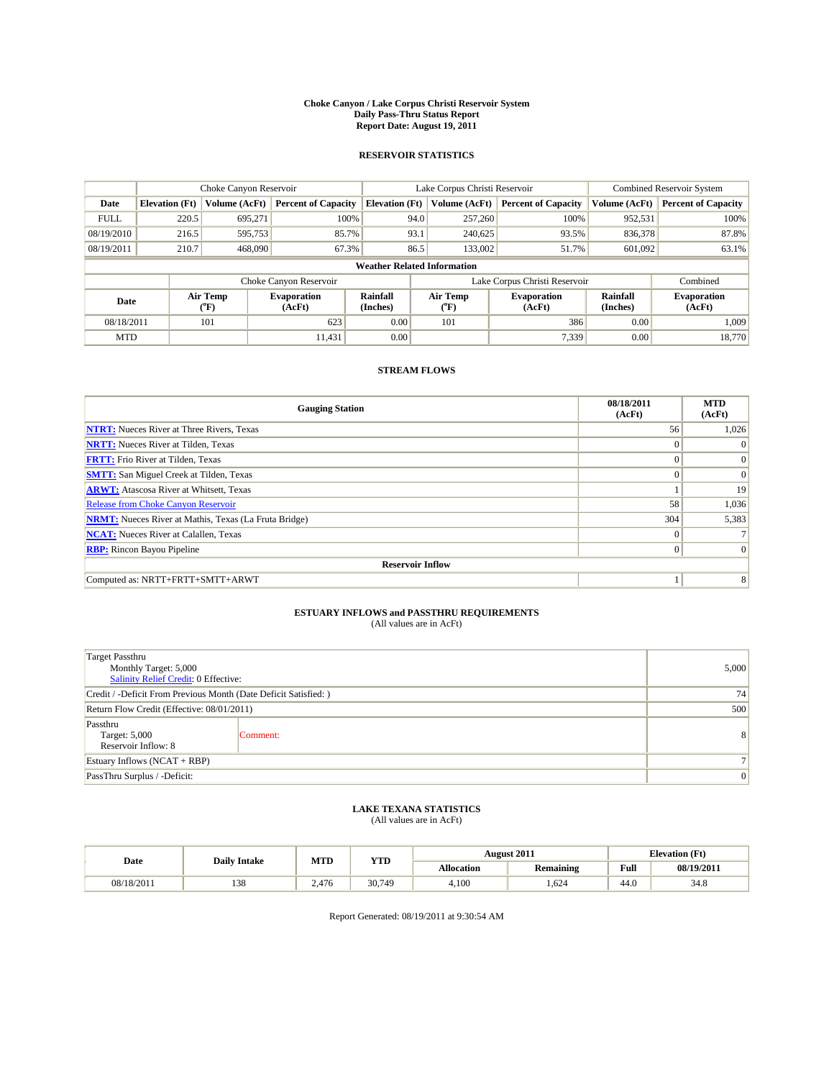#### **Choke Canyon / Lake Corpus Christi Reservoir System Daily Pass-Thru Status Report Report Date: August 19, 2011**

### **RESERVOIR STATISTICS**

|             | Choke Canyon Reservoir             |                                           |                              |                       | Lake Corpus Christi Reservoir           | <b>Combined Reservoir System</b> |                      |                              |  |  |
|-------------|------------------------------------|-------------------------------------------|------------------------------|-----------------------|-----------------------------------------|----------------------------------|----------------------|------------------------------|--|--|
| Date        | <b>Elevation</b> (Ft)              | Volume (AcFt)                             | <b>Percent of Capacity</b>   | <b>Elevation</b> (Ft) | Volume (AcFt)                           | <b>Percent of Capacity</b>       | Volume (AcFt)        | <b>Percent of Capacity</b>   |  |  |
| <b>FULL</b> | 220.5                              | 695,271                                   | 100%                         | 94.0                  | 257,260                                 | 100%                             | 952,531              | 100%                         |  |  |
| 08/19/2010  | 216.5                              | 595,753                                   | 85.7%                        | 93.1                  | 240,625                                 | 93.5%                            | 836,378              | 87.8%                        |  |  |
| 08/19/2011  | 210.7                              | 468,090                                   | 67.3%                        | 86.5                  | 133,002                                 | 51.7%                            | 601,092              | 63.1%                        |  |  |
|             | <b>Weather Related Information</b> |                                           |                              |                       |                                         |                                  |                      |                              |  |  |
|             |                                    |                                           | Choke Canyon Reservoir       |                       |                                         | Lake Corpus Christi Reservoir    |                      | Combined                     |  |  |
| Date        |                                    | Air Temp<br>$({}^{\mathrm{o}}\mathrm{F})$ | <b>Evaporation</b><br>(AcFt) | Rainfall<br>(Inches)  | Air Temp<br>$(^{\mathrm{o}}\mathrm{F})$ | <b>Evaporation</b><br>(AcFt)     | Rainfall<br>(Inches) | <b>Evaporation</b><br>(AcFt) |  |  |
| 08/18/2011  |                                    | 101                                       | 623                          | 0.00                  | 101                                     | 386                              | 0.00                 | 1.009                        |  |  |
| <b>MTD</b>  |                                    |                                           | 11.431                       | 0.00                  |                                         | 7.339                            | 0.00                 | 18.770                       |  |  |

## **STREAM FLOWS**

| <b>Gauging Station</b>                                       | 08/18/2011<br>(AcFt) | <b>MTD</b><br>(AcFt) |  |  |  |  |  |  |
|--------------------------------------------------------------|----------------------|----------------------|--|--|--|--|--|--|
| <b>NTRT:</b> Nueces River at Three Rivers, Texas             | 56                   | 1,026                |  |  |  |  |  |  |
| <b>NRTT:</b> Nueces River at Tilden, Texas                   | $\Omega$             |                      |  |  |  |  |  |  |
| <b>FRTT:</b> Frio River at Tilden, Texas                     | $\Omega$             | $\Omega$             |  |  |  |  |  |  |
| <b>SMTT:</b> San Miguel Creek at Tilden, Texas               | $\Omega$             | $\Omega$             |  |  |  |  |  |  |
| <b>ARWT:</b> Atascosa River at Whitsett, Texas               |                      | 19                   |  |  |  |  |  |  |
| Release from Choke Canyon Reservoir                          | 58                   | 1,036                |  |  |  |  |  |  |
| <b>NRMT:</b> Nueces River at Mathis, Texas (La Fruta Bridge) | 304                  | 5,383                |  |  |  |  |  |  |
| <b>NCAT:</b> Nueces River at Calallen, Texas                 | $\Omega$             |                      |  |  |  |  |  |  |
| <b>RBP:</b> Rincon Bayou Pipeline                            | $\mathbf{0}$         | $\Omega$             |  |  |  |  |  |  |
| <b>Reservoir Inflow</b>                                      |                      |                      |  |  |  |  |  |  |
| Computed as: NRTT+FRTT+SMTT+ARWT                             |                      | 8                    |  |  |  |  |  |  |

# **ESTUARY INFLOWS and PASSTHRU REQUIREMENTS**<br>(All values are in AcFt)

| <b>Target Passthru</b><br>Monthly Target: 5,000<br>Salinity Relief Credit: 0 Effective: | 5,000          |   |
|-----------------------------------------------------------------------------------------|----------------|---|
| Credit / -Deficit From Previous Month (Date Deficit Satisfied: )                        | 74             |   |
| Return Flow Credit (Effective: 08/01/2011)                                              | 500            |   |
| Passthru<br>Target: 5,000<br>Reservoir Inflow: 8                                        | Comment:       | 8 |
| Estuary Inflows $(NCAT + RBP)$                                                          |                |   |
| PassThru Surplus / -Deficit:                                                            | $\overline{0}$ |   |

## **LAKE TEXANA STATISTICS** (All values are in AcFt)

| Date       | <b>Daily Intake</b> | MTD   | <b>YTD</b> |                   | <b>August 2011</b> | <b>Elevation</b> (Ft) |            |
|------------|---------------------|-------|------------|-------------------|--------------------|-----------------------|------------|
|            |                     |       |            | <b>Allocation</b> | <b>Remaining</b>   | Full                  | 08/19/2011 |
| 08/18/2011 | 138                 | 2.476 | 30,749     | 4.100             | .624               | 44.0                  | 34.8       |

Report Generated: 08/19/2011 at 9:30:54 AM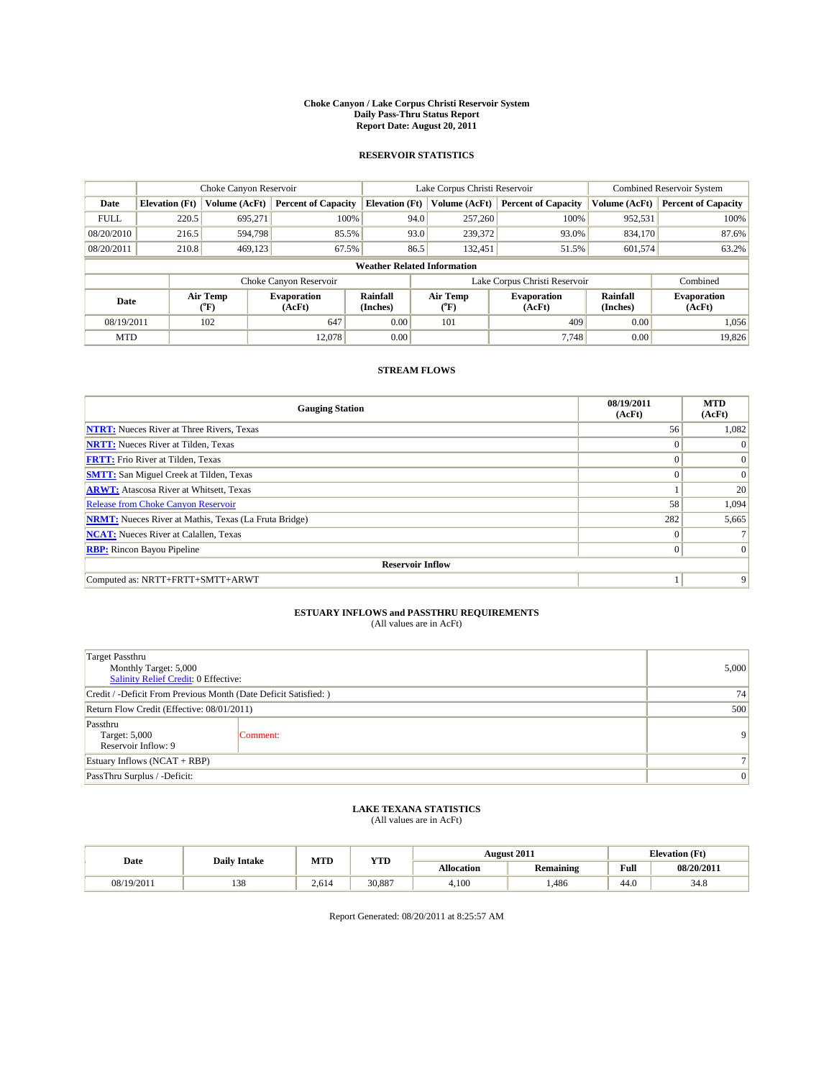#### **Choke Canyon / Lake Corpus Christi Reservoir System Daily Pass-Thru Status Report Report Date: August 20, 2011**

### **RESERVOIR STATISTICS**

|             | Choke Canyon Reservoir             |                                           |                              |                       | Lake Corpus Christi Reservoir           | <b>Combined Reservoir System</b> |                             |                              |  |  |
|-------------|------------------------------------|-------------------------------------------|------------------------------|-----------------------|-----------------------------------------|----------------------------------|-----------------------------|------------------------------|--|--|
| Date        | <b>Elevation</b> (Ft)              | Volume (AcFt)                             | <b>Percent of Capacity</b>   | <b>Elevation</b> (Ft) | Volume (AcFt)                           | <b>Percent of Capacity</b>       | Volume (AcFt)               | <b>Percent of Capacity</b>   |  |  |
| <b>FULL</b> | 220.5                              | 695,271                                   | 100%                         | 94.0                  | 257,260                                 | 100%                             | 952,531                     | 100%                         |  |  |
| 08/20/2010  | 216.5                              | 594.798                                   | 85.5%                        | 93.0                  | 239,372                                 | 93.0%                            | 834,170                     | 87.6%                        |  |  |
| 08/20/2011  | 210.8                              | 469,123                                   | 67.5%                        | 86.5                  | 132,451                                 | 51.5%                            | 601,574                     | 63.2%                        |  |  |
|             | <b>Weather Related Information</b> |                                           |                              |                       |                                         |                                  |                             |                              |  |  |
|             |                                    |                                           | Choke Canyon Reservoir       |                       |                                         | Lake Corpus Christi Reservoir    |                             | Combined                     |  |  |
| Date        |                                    | Air Temp<br>$({}^{\mathrm{o}}\mathrm{F})$ | <b>Evaporation</b><br>(AcFt) | Rainfall<br>(Inches)  | Air Temp<br>$(^{\mathrm{o}}\mathrm{F})$ | <b>Evaporation</b><br>(AcFt)     | <b>Rainfall</b><br>(Inches) | <b>Evaporation</b><br>(AcFt) |  |  |
| 08/19/2011  |                                    | 102                                       | 647                          | 0.00                  | 101                                     | 409                              | 0.00                        | 1.056                        |  |  |
| <b>MTD</b>  |                                    |                                           | 12.078                       | 0.00                  |                                         | 7.748                            | 0.00                        | 19,826                       |  |  |

## **STREAM FLOWS**

| <b>Gauging Station</b>                                       | 08/19/2011<br>(AcFt) | <b>MTD</b><br>(AcFt) |
|--------------------------------------------------------------|----------------------|----------------------|
| <b>NTRT:</b> Nueces River at Three Rivers, Texas             | 56                   | 1,082                |
| <b>NRTT:</b> Nueces River at Tilden, Texas                   | $\Omega$             |                      |
| <b>FRTT:</b> Frio River at Tilden, Texas                     | $\Omega$             | $\Omega$             |
| <b>SMTT:</b> San Miguel Creek at Tilden, Texas               | $\Omega$             | $\Omega$             |
| <b>ARWT:</b> Atascosa River at Whitsett, Texas               |                      | 20                   |
| <b>Release from Choke Canyon Reservoir</b>                   | 58                   | 1,094                |
| <b>NRMT:</b> Nueces River at Mathis, Texas (La Fruta Bridge) | 282                  | 5,665                |
| <b>NCAT:</b> Nueces River at Calallen, Texas                 | $\Omega$             |                      |
| <b>RBP:</b> Rincon Bayou Pipeline                            | $\mathbf{0}$         | $\Omega$             |
| <b>Reservoir Inflow</b>                                      |                      |                      |
| Computed as: NRTT+FRTT+SMTT+ARWT                             |                      | 9                    |

# **ESTUARY INFLOWS and PASSTHRU REQUIREMENTS**<br>(All values are in AcFt)

| <b>Target Passthru</b><br>Monthly Target: 5,000<br>Salinity Relief Credit: 0 Effective: | 5,000          |                |
|-----------------------------------------------------------------------------------------|----------------|----------------|
| Credit / -Deficit From Previous Month (Date Deficit Satisfied: )                        | 74             |                |
| Return Flow Credit (Effective: 08/01/2011)                                              | 500            |                |
| Passthru<br>Target: 5,000<br>Reservoir Inflow: 9                                        | Comment:       | $\overline{9}$ |
| Estuary Inflows $(NCAT + RBP)$                                                          | 7 <sup>1</sup> |                |
| PassThru Surplus / -Deficit:                                                            | 0              |                |

## **LAKE TEXANA STATISTICS** (All values are in AcFt)

| Date       | <b>Daily Intake</b> | MTD   | <b>YTD</b> |                   | <b>August 2011</b> | <b>Elevation</b> (Ft) |            |
|------------|---------------------|-------|------------|-------------------|--------------------|-----------------------|------------|
|            |                     |       |            | <b>Allocation</b> | <b>Remaining</b>   | Full                  | 08/20/2011 |
| 08/19/2011 | 138                 | 2.614 | 30,887     | 4.100             | ,486               | 44.0                  | 34.8       |

Report Generated: 08/20/2011 at 8:25:57 AM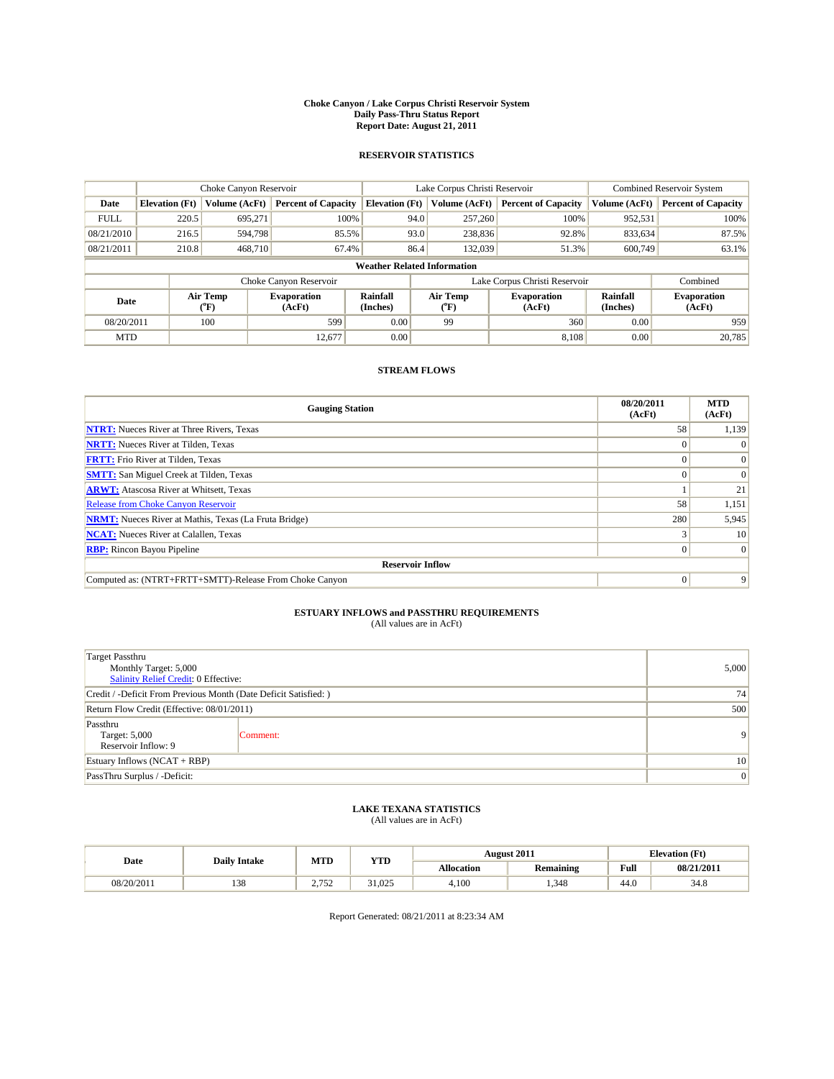#### **Choke Canyon / Lake Corpus Christi Reservoir System Daily Pass-Thru Status Report Report Date: August 21, 2011**

### **RESERVOIR STATISTICS**

|             | Choke Canyon Reservoir             |                                           |                              |                       | Lake Corpus Christi Reservoir | <b>Combined Reservoir System</b> |                      |                              |  |  |
|-------------|------------------------------------|-------------------------------------------|------------------------------|-----------------------|-------------------------------|----------------------------------|----------------------|------------------------------|--|--|
| Date        | <b>Elevation</b> (Ft)              | Volume (AcFt)                             | <b>Percent of Capacity</b>   | <b>Elevation</b> (Ft) | Volume (AcFt)                 | <b>Percent of Capacity</b>       | Volume (AcFt)        | <b>Percent of Capacity</b>   |  |  |
| <b>FULL</b> | 220.5                              | 695,271                                   | 100%                         | 94.0                  | 257,260                       | 100%                             | 952,531              | 100%                         |  |  |
| 08/21/2010  | 216.5                              | 594.798                                   | 85.5%                        | 93.0                  | 238,836                       | 92.8%                            | 833,634              | 87.5%                        |  |  |
| 08/21/2011  | 210.8                              | 468,710                                   | 67.4%                        | 86.4                  | 132,039                       | 51.3%                            | 600,749              | 63.1%                        |  |  |
|             | <b>Weather Related Information</b> |                                           |                              |                       |                               |                                  |                      |                              |  |  |
|             |                                    |                                           | Choke Canyon Reservoir       |                       |                               | Lake Corpus Christi Reservoir    |                      | Combined                     |  |  |
| Date        |                                    | Air Temp<br>$({}^{\mathrm{o}}\mathrm{F})$ | <b>Evaporation</b><br>(AcFt) | Rainfall<br>(Inches)  | Air Temp<br>("F)              | <b>Evaporation</b><br>(AcFt)     | Rainfall<br>(Inches) | <b>Evaporation</b><br>(AcFt) |  |  |
| 08/20/2011  |                                    | 100                                       | 599                          | 0.00                  | 99                            | 360                              | 0.00                 | 959                          |  |  |
| <b>MTD</b>  |                                    |                                           | 12,677                       | 0.00                  |                               | 8.108                            | 0.00                 | 20,785                       |  |  |

## **STREAM FLOWS**

| <b>Gauging Station</b>                                       | 08/20/2011<br>(AcFt) | <b>MTD</b><br>(AcFt) |  |  |  |  |  |
|--------------------------------------------------------------|----------------------|----------------------|--|--|--|--|--|
| <b>NTRT:</b> Nueces River at Three Rivers, Texas             | 58                   | 1,139                |  |  |  |  |  |
| <b>NRTT:</b> Nueces River at Tilden, Texas                   |                      |                      |  |  |  |  |  |
| <b>FRTT:</b> Frio River at Tilden, Texas                     |                      |                      |  |  |  |  |  |
| <b>SMTT:</b> San Miguel Creek at Tilden, Texas               |                      | $\Omega$             |  |  |  |  |  |
| <b>ARWT:</b> Atascosa River at Whitsett, Texas               |                      | 21                   |  |  |  |  |  |
| <b>Release from Choke Canyon Reservoir</b>                   | 58                   | 1,151                |  |  |  |  |  |
| <b>NRMT:</b> Nueces River at Mathis, Texas (La Fruta Bridge) | 280                  | 5,945                |  |  |  |  |  |
| <b>NCAT:</b> Nueces River at Calallen, Texas                 |                      | 10                   |  |  |  |  |  |
| <b>RBP:</b> Rincon Bayou Pipeline                            | $\overline{0}$       | $\Omega$             |  |  |  |  |  |
| <b>Reservoir Inflow</b>                                      |                      |                      |  |  |  |  |  |
| Computed as: (NTRT+FRTT+SMTT)-Release From Choke Canyon      | $\Omega$             | 9                    |  |  |  |  |  |

# **ESTUARY INFLOWS and PASSTHRU REQUIREMENTS**<br>(All values are in AcFt)

| <b>Target Passthru</b><br>Monthly Target: 5,000<br>Salinity Relief Credit: 0 Effective: | 5,000           |                |
|-----------------------------------------------------------------------------------------|-----------------|----------------|
| Credit / -Deficit From Previous Month (Date Deficit Satisfied: )                        | 74              |                |
| Return Flow Credit (Effective: 08/01/2011)                                              | 500             |                |
| Passthru<br>Target: 5,000<br>Reservoir Inflow: 9                                        | Comment:        | $\overline{9}$ |
| Estuary Inflows $(NCAT + RBP)$                                                          | 10 <sup>1</sup> |                |
| PassThru Surplus / -Deficit:                                                            | 0               |                |

## **LAKE TEXANA STATISTICS** (All values are in AcFt)

| Date       | <b>Daily Intake</b> | MTD          | <b>YTD</b>   |                   | <b>August 2011</b> |      | <b>Elevation</b> (Ft) |
|------------|---------------------|--------------|--------------|-------------------|--------------------|------|-----------------------|
|            |                     |              |              | <b>Allocation</b> | <b>Remaining</b>   | Full | 08/21/2011            |
| 08/20/2011 | 138                 | 2.75<br>ے رو | 31.025<br>21 | 4.100             | .348               | 44.0 | 34.8                  |

Report Generated: 08/21/2011 at 8:23:34 AM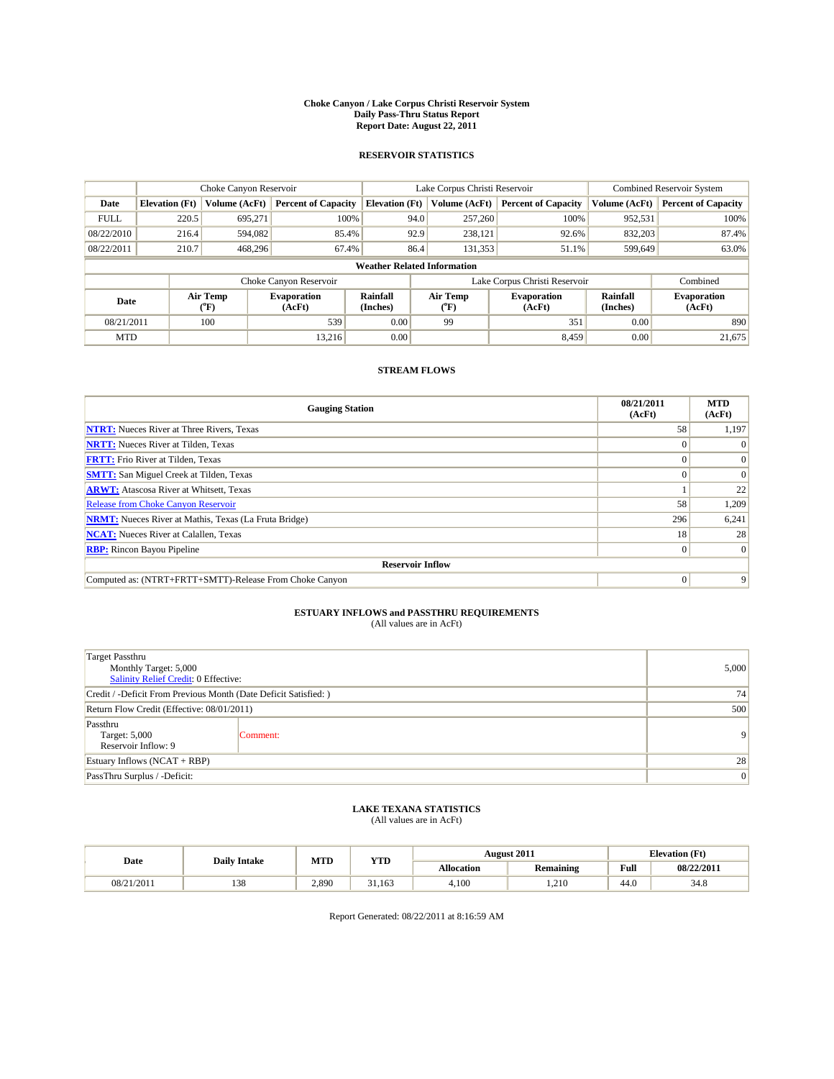#### **Choke Canyon / Lake Corpus Christi Reservoir System Daily Pass-Thru Status Report Report Date: August 22, 2011**

### **RESERVOIR STATISTICS**

|             | Choke Canyon Reservoir             |                                           |                              |                       | Lake Corpus Christi Reservoir |                               |                             | <b>Combined Reservoir System</b> |  |
|-------------|------------------------------------|-------------------------------------------|------------------------------|-----------------------|-------------------------------|-------------------------------|-----------------------------|----------------------------------|--|
| Date        | <b>Elevation</b> (Ft)              | Volume (AcFt)                             | <b>Percent of Capacity</b>   | <b>Elevation</b> (Ft) | Volume (AcFt)                 | <b>Percent of Capacity</b>    | Volume (AcFt)               | <b>Percent of Capacity</b>       |  |
| <b>FULL</b> | 220.5                              | 695,271                                   | 100%                         | 94.0                  | 257,260                       | 100%                          | 952,531                     | 100%                             |  |
| 08/22/2010  | 216.4                              | 594,082                                   | 85.4%                        | 92.9                  | 238,121                       | 92.6%                         | 832,203                     | 87.4%                            |  |
| 08/22/2011  | 210.7                              | 468.296                                   | 67.4%                        | 86.4                  | 131,353                       | 51.1%                         | 599,649                     | 63.0%                            |  |
|             | <b>Weather Related Information</b> |                                           |                              |                       |                               |                               |                             |                                  |  |
|             |                                    |                                           | Choke Canyon Reservoir       |                       |                               | Lake Corpus Christi Reservoir |                             | Combined                         |  |
| Date        |                                    | Air Temp<br>$({}^{\mathrm{o}}\mathrm{F})$ | <b>Evaporation</b><br>(AcFt) | Rainfall<br>(Inches)  | Air Temp<br>(°F)              | <b>Evaporation</b><br>(AcFt)  | <b>Rainfall</b><br>(Inches) | <b>Evaporation</b><br>(AcFt)     |  |
| 08/21/2011  |                                    | 100                                       | 539                          | 0.00                  | 99                            | 351                           | 0.00                        | 890                              |  |
| <b>MTD</b>  |                                    |                                           | 13.216                       | 0.00                  |                               | 8.459                         | 0.00                        | 21.675                           |  |

## **STREAM FLOWS**

| <b>Gauging Station</b>                                       | 08/21/2011<br>(AcFt) | <b>MTD</b><br>(AcFt) |  |  |  |  |  |
|--------------------------------------------------------------|----------------------|----------------------|--|--|--|--|--|
| <b>NTRT:</b> Nueces River at Three Rivers, Texas             | 58                   | 1,197                |  |  |  |  |  |
| <b>NRTT:</b> Nueces River at Tilden, Texas                   |                      |                      |  |  |  |  |  |
| <b>FRTT:</b> Frio River at Tilden, Texas                     |                      | $\Omega$             |  |  |  |  |  |
| <b>SMTT:</b> San Miguel Creek at Tilden, Texas               |                      | $\Omega$             |  |  |  |  |  |
| <b>ARWT:</b> Atascosa River at Whitsett, Texas               |                      | 22                   |  |  |  |  |  |
| <b>Release from Choke Canyon Reservoir</b>                   | 58                   | 1,209                |  |  |  |  |  |
| <b>NRMT:</b> Nueces River at Mathis, Texas (La Fruta Bridge) | 296                  | 6,241                |  |  |  |  |  |
| <b>NCAT:</b> Nueces River at Calallen, Texas                 | 18                   | 28                   |  |  |  |  |  |
| <b>RBP:</b> Rincon Bayou Pipeline                            | $\overline{0}$       | $\Omega$             |  |  |  |  |  |
| <b>Reservoir Inflow</b>                                      |                      |                      |  |  |  |  |  |
| Computed as: (NTRT+FRTT+SMTT)-Release From Choke Canyon      | $\Omega$             | 9                    |  |  |  |  |  |

# **ESTUARY INFLOWS and PASSTHRU REQUIREMENTS**<br>(All values are in AcFt)

| <b>Target Passthru</b><br>Monthly Target: 5,000<br>Salinity Relief Credit: 0 Effective: | 5,000    |                |
|-----------------------------------------------------------------------------------------|----------|----------------|
| Credit / -Deficit From Previous Month (Date Deficit Satisfied: )                        | 74       |                |
| Return Flow Credit (Effective: 08/01/2011)                                              | 500      |                |
| Passthru<br>Target: 5,000<br>Reservoir Inflow: 9                                        | Comment: | 9 <sup>1</sup> |
| Estuary Inflows $(NCAT + RBP)$                                                          | 28       |                |
| PassThru Surplus / -Deficit:                                                            | 0        |                |

## **LAKE TEXANA STATISTICS** (All values are in AcFt)

| Date       | <b>Daily Intake</b> | MTD   | <b>YTD</b>   |                   | <b>August 2011</b> | <b>Elevation</b> (Ft) |            |
|------------|---------------------|-------|--------------|-------------------|--------------------|-----------------------|------------|
|            |                     |       |              | <b>Allocation</b> | <b>Remaining</b>   | Full                  | 08/22/2011 |
| 08/21/2011 | 138                 | 2,890 | 31<br>31.163 | 4.100             | 1.210              | 44.0                  | 34.8       |

Report Generated: 08/22/2011 at 8:16:59 AM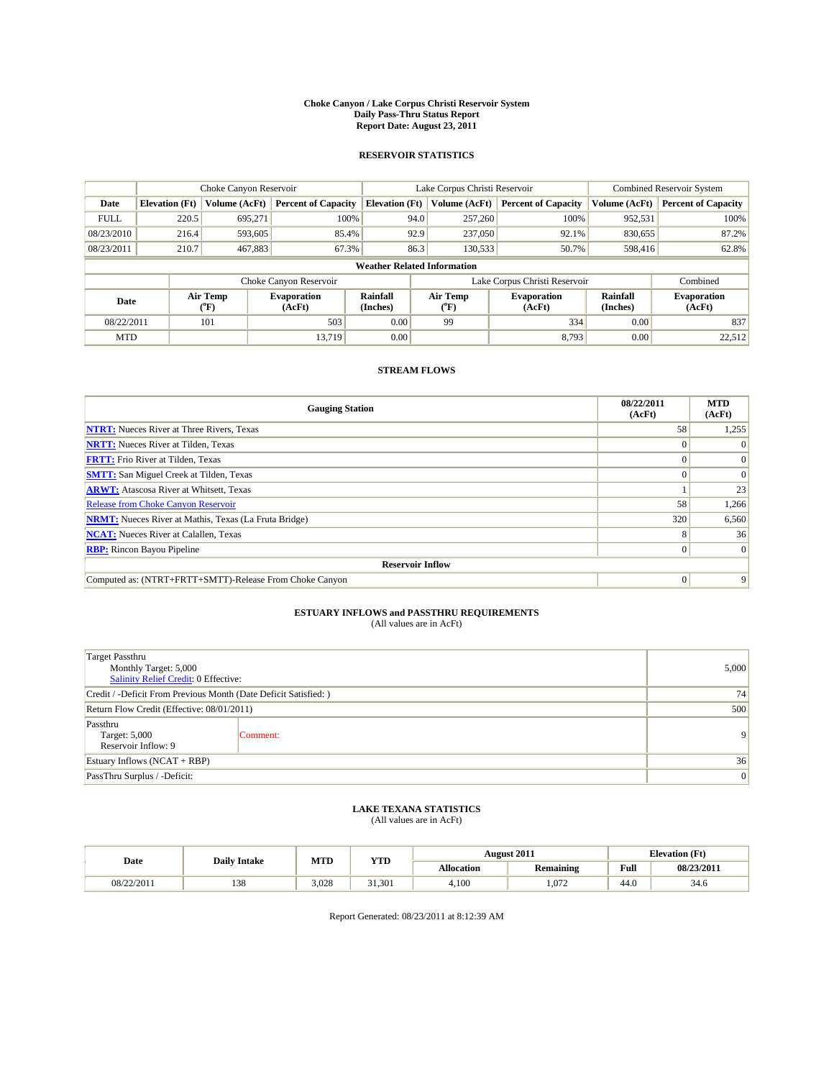#### **Choke Canyon / Lake Corpus Christi Reservoir System Daily Pass-Thru Status Report Report Date: August 23, 2011**

### **RESERVOIR STATISTICS**

|             | Choke Canyon Reservoir             |                                           |                              |                       | Lake Corpus Christi Reservoir |                               |                      | <b>Combined Reservoir System</b> |  |
|-------------|------------------------------------|-------------------------------------------|------------------------------|-----------------------|-------------------------------|-------------------------------|----------------------|----------------------------------|--|
| Date        | <b>Elevation</b> (Ft)              | Volume (AcFt)                             | <b>Percent of Capacity</b>   | <b>Elevation</b> (Ft) | Volume (AcFt)                 | <b>Percent of Capacity</b>    | Volume (AcFt)        | <b>Percent of Capacity</b>       |  |
| <b>FULL</b> | 220.5                              | 695,271                                   | 100%                         | 94.0                  | 257,260                       | 100%                          | 952,531              | 100%                             |  |
| 08/23/2010  | 216.4                              | 593,605                                   | 85.4%                        | 92.9                  | 237,050                       | 92.1%                         | 830,655              | 87.2%                            |  |
| 08/23/2011  | 210.7                              | 467,883                                   | 67.3%                        | 86.3                  | 130,533                       | 50.7%                         | 598,416              | 62.8%                            |  |
|             | <b>Weather Related Information</b> |                                           |                              |                       |                               |                               |                      |                                  |  |
|             |                                    |                                           | Choke Canyon Reservoir       |                       |                               | Lake Corpus Christi Reservoir |                      | Combined                         |  |
| Date        |                                    | Air Temp<br>$({}^{\mathrm{o}}\mathrm{F})$ | <b>Evaporation</b><br>(AcFt) | Rainfall<br>(Inches)  | Air Temp<br>("F)              | <b>Evaporation</b><br>(AcFt)  | Rainfall<br>(Inches) | <b>Evaporation</b><br>(AcFt)     |  |
| 08/22/2011  |                                    | 101                                       | 503                          | 0.00                  | 99                            | 334                           | 0.00                 | 837                              |  |
| <b>MTD</b>  |                                    |                                           | 13.719                       | 0.00                  |                               | 8.793                         | 0.00                 | 22.512                           |  |

## **STREAM FLOWS**

| <b>Gauging Station</b>                                       | 08/22/2011<br>(AcFt) | <b>MTD</b><br>(AcFt) |  |  |  |  |  |
|--------------------------------------------------------------|----------------------|----------------------|--|--|--|--|--|
| <b>NTRT:</b> Nueces River at Three Rivers, Texas             | 58                   | 1,255                |  |  |  |  |  |
| <b>NRTT:</b> Nueces River at Tilden, Texas                   |                      |                      |  |  |  |  |  |
| <b>FRTT:</b> Frio River at Tilden, Texas                     |                      |                      |  |  |  |  |  |
| <b>SMTT:</b> San Miguel Creek at Tilden, Texas               |                      | $\Omega$             |  |  |  |  |  |
| <b>ARWT:</b> Atascosa River at Whitsett, Texas               |                      | 23                   |  |  |  |  |  |
| <b>Release from Choke Canyon Reservoir</b>                   | 58                   | 1,266                |  |  |  |  |  |
| <b>NRMT:</b> Nueces River at Mathis, Texas (La Fruta Bridge) | 320                  | 6,560                |  |  |  |  |  |
| <b>NCAT:</b> Nueces River at Calallen, Texas                 | 8                    | 36                   |  |  |  |  |  |
| <b>RBP:</b> Rincon Bayou Pipeline                            | $\overline{0}$       | $\Omega$             |  |  |  |  |  |
| <b>Reservoir Inflow</b>                                      |                      |                      |  |  |  |  |  |
| Computed as: (NTRT+FRTT+SMTT)-Release From Choke Canyon      | $\Omega$             | 9                    |  |  |  |  |  |

# **ESTUARY INFLOWS and PASSTHRU REQUIREMENTS**<br>(All values are in AcFt)

| <b>Target Passthru</b><br>Monthly Target: 5,000<br>Salinity Relief Credit: 0 Effective: | 5,000    |                |
|-----------------------------------------------------------------------------------------|----------|----------------|
| Credit / -Deficit From Previous Month (Date Deficit Satisfied: )                        | 74       |                |
| Return Flow Credit (Effective: 08/01/2011)                                              | 500      |                |
| Passthru<br>Target: 5,000<br>Reservoir Inflow: 9                                        | Comment: | $\overline{9}$ |
| Estuary Inflows $(NCAT + RBP)$                                                          | 36       |                |
| PassThru Surplus / -Deficit:                                                            | 0        |                |

## **LAKE TEXANA STATISTICS** (All values are in AcFt)

| Date       | <b>Daily Intake</b> | MTD   | <b>YTD</b>   | <b>August 2011</b> |                  | <b>Elevation</b> (Ft) |            |
|------------|---------------------|-------|--------------|--------------------|------------------|-----------------------|------------|
|            |                     |       |              | <b>Allocation</b>  | <b>Remaining</b> | Full                  | 08/23/2011 |
| 08/22/2011 | 138                 | 3.028 | 31.301<br>21 | 4.100              | .072             | 44.0                  | 34.6       |

Report Generated: 08/23/2011 at 8:12:39 AM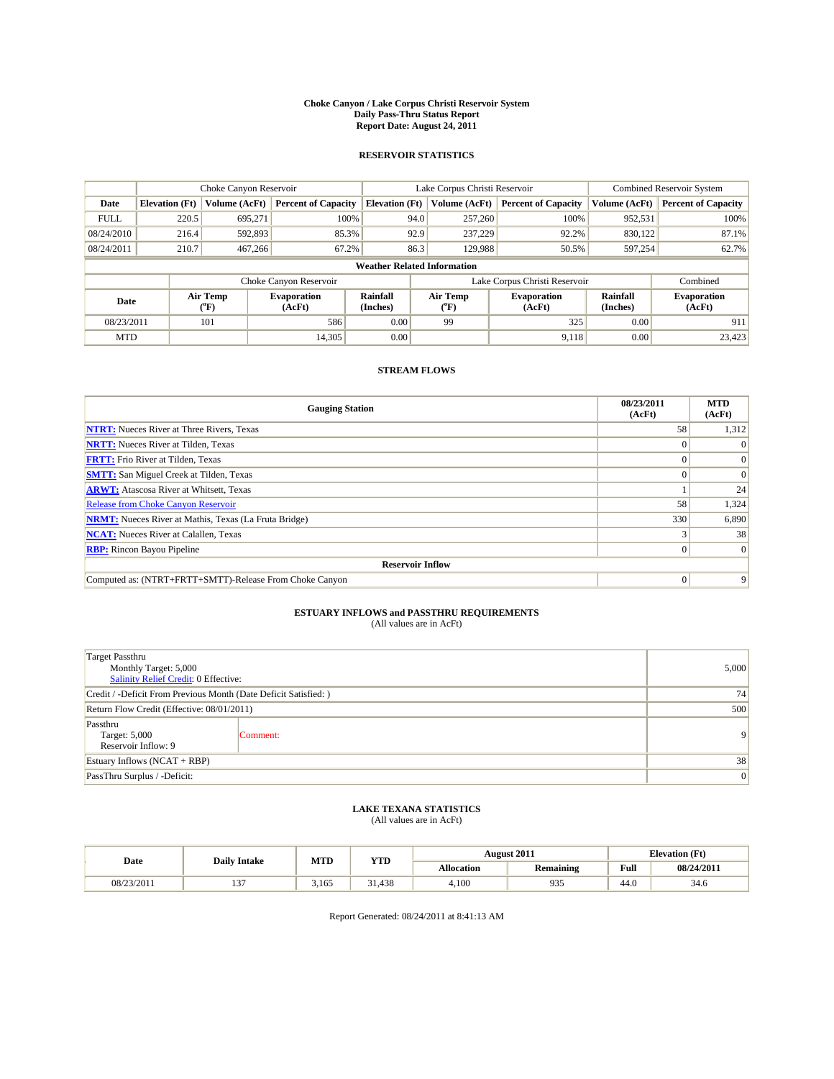#### **Choke Canyon / Lake Corpus Christi Reservoir System Daily Pass-Thru Status Report Report Date: August 24, 2011**

### **RESERVOIR STATISTICS**

|             | Choke Canyon Reservoir             |                                           |                              |                       | Lake Corpus Christi Reservoir |                               |                      | <b>Combined Reservoir System</b> |  |
|-------------|------------------------------------|-------------------------------------------|------------------------------|-----------------------|-------------------------------|-------------------------------|----------------------|----------------------------------|--|
| Date        | <b>Elevation</b> (Ft)              | Volume (AcFt)                             | <b>Percent of Capacity</b>   | <b>Elevation</b> (Ft) | Volume (AcFt)                 | <b>Percent of Capacity</b>    | Volume (AcFt)        | <b>Percent of Capacity</b>       |  |
| <b>FULL</b> | 220.5                              | 695,271                                   | 100%                         | 94.0                  | 257,260                       | 100%                          | 952,531              | 100%                             |  |
| 08/24/2010  | 216.4                              | 592,893                                   | 85.3%                        | 92.9                  | 237,229                       | 92.2%                         | 830,122              | 87.1%                            |  |
| 08/24/2011  | 210.7                              | 467,266                                   | 67.2%                        | 86.3                  | 129,988                       | 50.5%                         | 597,254              | 62.7%                            |  |
|             | <b>Weather Related Information</b> |                                           |                              |                       |                               |                               |                      |                                  |  |
|             |                                    |                                           | Choke Canyon Reservoir       |                       |                               | Lake Corpus Christi Reservoir |                      | Combined                         |  |
| Date        |                                    | Air Temp<br>$({}^{\mathrm{o}}\mathrm{F})$ | <b>Evaporation</b><br>(AcFt) | Rainfall<br>(Inches)  | Air Temp<br>("F)              | <b>Evaporation</b><br>(AcFt)  | Rainfall<br>(Inches) | <b>Evaporation</b><br>(AcFt)     |  |
| 08/23/2011  |                                    | 101                                       | 586                          | 0.00                  | 99                            | 325                           | 0.00                 | 911                              |  |
| <b>MTD</b>  |                                    |                                           | 14,305                       | 0.00                  |                               | 9.118                         | 0.00                 | 23,423                           |  |

## **STREAM FLOWS**

| <b>Gauging Station</b>                                       | 08/23/2011<br>(AcFt) | <b>MTD</b><br>(AcFt) |  |  |  |  |  |
|--------------------------------------------------------------|----------------------|----------------------|--|--|--|--|--|
| <b>NTRT:</b> Nueces River at Three Rivers, Texas             | 58                   | 1,312                |  |  |  |  |  |
| <b>NRTT:</b> Nueces River at Tilden, Texas                   |                      |                      |  |  |  |  |  |
| <b>FRTT:</b> Frio River at Tilden, Texas                     |                      |                      |  |  |  |  |  |
| <b>SMTT:</b> San Miguel Creek at Tilden, Texas               |                      | $\Omega$             |  |  |  |  |  |
| <b>ARWT:</b> Atascosa River at Whitsett, Texas               |                      | 24                   |  |  |  |  |  |
| <b>Release from Choke Canyon Reservoir</b>                   | 58                   | 1,324                |  |  |  |  |  |
| <b>NRMT:</b> Nueces River at Mathis, Texas (La Fruta Bridge) | 330                  | 6,890                |  |  |  |  |  |
| <b>NCAT:</b> Nueces River at Calallen, Texas                 |                      | 38                   |  |  |  |  |  |
| <b>RBP:</b> Rincon Bayou Pipeline                            | $\overline{0}$       | $\Omega$             |  |  |  |  |  |
| <b>Reservoir Inflow</b>                                      |                      |                      |  |  |  |  |  |
| Computed as: (NTRT+FRTT+SMTT)-Release From Choke Canyon      | $\Omega$             | 9                    |  |  |  |  |  |

# **ESTUARY INFLOWS and PASSTHRU REQUIREMENTS**<br>(All values are in AcFt)

| <b>Target Passthru</b><br>Monthly Target: 5,000<br>Salinity Relief Credit: 0 Effective: | 5,000    |                |
|-----------------------------------------------------------------------------------------|----------|----------------|
| Credit / -Deficit From Previous Month (Date Deficit Satisfied: )                        | 74       |                |
| Return Flow Credit (Effective: 08/01/2011)                                              | 500      |                |
| Passthru<br>Target: 5,000<br>Reservoir Inflow: 9                                        | Comment: | $\overline{9}$ |
| Estuary Inflows $(NCAT + RBP)$                                                          | 38       |                |
| PassThru Surplus / -Deficit:                                                            | 0        |                |

## **LAKE TEXANA STATISTICS** (All values are in AcFt)

| Date       | <b>Daily Intake</b> | MTD   | YTD    |            | <b>August 2011</b> |      | <b>Elevation</b> (Ft) |
|------------|---------------------|-------|--------|------------|--------------------|------|-----------------------|
|            |                     |       |        | Allocation | <b>Remaining</b>   | Full | 08/24/2011            |
| 08/23/2011 | $\sim$<br>$\cdot$   | 3.165 | 31.438 | 4.100      | 935                | 44.0 | 34.6                  |

Report Generated: 08/24/2011 at 8:41:13 AM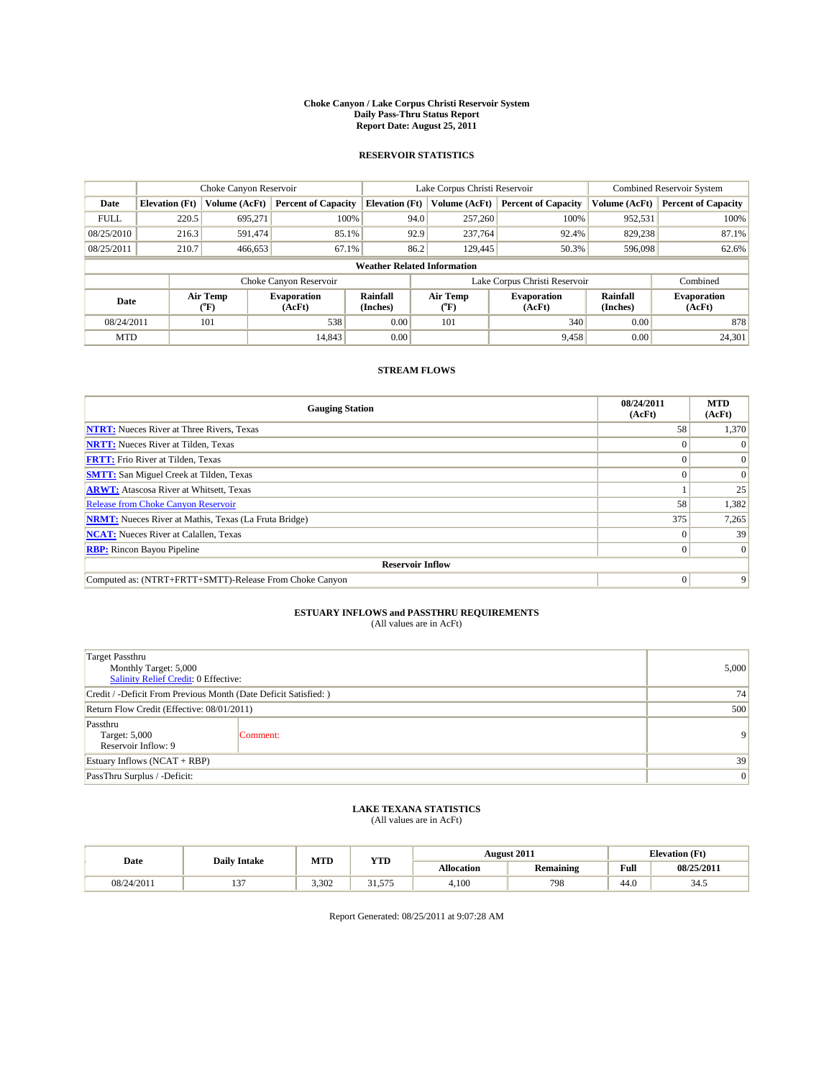#### **Choke Canyon / Lake Corpus Christi Reservoir System Daily Pass-Thru Status Report Report Date: August 25, 2011**

### **RESERVOIR STATISTICS**

|             | Choke Canyon Reservoir             |                                           |                              |                             | Lake Corpus Christi Reservoir | <b>Combined Reservoir System</b> |                      |                              |  |  |
|-------------|------------------------------------|-------------------------------------------|------------------------------|-----------------------------|-------------------------------|----------------------------------|----------------------|------------------------------|--|--|
| Date        | <b>Elevation</b> (Ft)              | Volume (AcFt)                             | <b>Percent of Capacity</b>   | <b>Elevation</b> (Ft)       | Volume (AcFt)                 | <b>Percent of Capacity</b>       | Volume (AcFt)        | <b>Percent of Capacity</b>   |  |  |
| <b>FULL</b> | 220.5                              | 695,271                                   | 100%                         | 94.0                        | 257,260                       | 100%                             | 952,531              | 100%                         |  |  |
| 08/25/2010  | 216.3                              | 591,474                                   | 85.1%                        | 92.9                        | 237,764                       | 92.4%                            | 829,238              | 87.1%                        |  |  |
| 08/25/2011  | 210.7                              | 466,653                                   | 67.1%                        | 86.2                        | 129,445                       | 50.3%                            | 596,098              | 62.6%                        |  |  |
|             | <b>Weather Related Information</b> |                                           |                              |                             |                               |                                  |                      |                              |  |  |
|             |                                    |                                           | Choke Canyon Reservoir       |                             |                               | Lake Corpus Christi Reservoir    |                      | Combined                     |  |  |
| Date        |                                    | Air Temp<br>$({}^{\mathrm{o}}\mathrm{F})$ | <b>Evaporation</b><br>(AcFt) | <b>Rainfall</b><br>(Inches) | Air Temp<br>(°F)              | <b>Evaporation</b><br>(AcFt)     | Rainfall<br>(Inches) | <b>Evaporation</b><br>(AcFt) |  |  |
| 08/24/2011  |                                    | 101                                       | 538                          | 0.00                        | 101                           | 340                              | 0.00                 | 878                          |  |  |
| <b>MTD</b>  |                                    |                                           | 14,843                       | 0.00                        |                               | 9,458                            | 0.00                 | 24,301                       |  |  |

## **STREAM FLOWS**

| <b>Gauging Station</b>                                       | 08/24/2011<br>(AcFt) | <b>MTD</b><br>(AcFt) |  |  |  |  |
|--------------------------------------------------------------|----------------------|----------------------|--|--|--|--|
| <b>NTRT:</b> Nueces River at Three Rivers, Texas             | 58                   | 1,370                |  |  |  |  |
| <b>NRTT:</b> Nueces River at Tilden, Texas                   |                      | $\Omega$             |  |  |  |  |
| <b>FRTT:</b> Frio River at Tilden, Texas                     |                      | $\Omega$             |  |  |  |  |
| <b>SMTT:</b> San Miguel Creek at Tilden, Texas               |                      | $\Omega$             |  |  |  |  |
| <b>ARWT:</b> Atascosa River at Whitsett, Texas               |                      | 25                   |  |  |  |  |
| <b>Release from Choke Canyon Reservoir</b>                   | 58                   | 1,382                |  |  |  |  |
| <b>NRMT:</b> Nueces River at Mathis, Texas (La Fruta Bridge) | 375                  | 7,265                |  |  |  |  |
| <b>NCAT:</b> Nueces River at Calallen, Texas                 |                      | 39                   |  |  |  |  |
| <b>RBP:</b> Rincon Bayou Pipeline                            | 0                    | $\Omega$             |  |  |  |  |
| <b>Reservoir Inflow</b>                                      |                      |                      |  |  |  |  |
| Computed as: (NTRT+FRTT+SMTT)-Release From Choke Canyon      | $\theta$             | 9                    |  |  |  |  |

# **ESTUARY INFLOWS and PASSTHRU REQUIREMENTS**<br>(All values are in AcFt)

| <b>Target Passthru</b><br>Monthly Target: 5,000<br>Salinity Relief Credit: 0 Effective: | 5,000    |                |
|-----------------------------------------------------------------------------------------|----------|----------------|
| Credit / -Deficit From Previous Month (Date Deficit Satisfied: )                        | 74       |                |
| Return Flow Credit (Effective: 08/01/2011)                                              | 500      |                |
| Passthru<br>Target: 5,000<br>Reservoir Inflow: 9                                        | Comment: | 9 <sub>1</sub> |
| Estuary Inflows $(NCAT + RBP)$                                                          | 39       |                |
| PassThru Surplus / -Deficit:                                                            | 0        |                |

## **LAKE TEXANA STATISTICS** (All values are in AcFt)

|            | <b>Daily Intake</b> | MTD   | <b>YTD</b>               |                   | <b>August 2011</b> |      | <b>Elevation</b> (Ft) |
|------------|---------------------|-------|--------------------------|-------------------|--------------------|------|-----------------------|
| Date       |                     |       |                          | <b>Allocation</b> | <b>Remaining</b>   | Full | 08/25/2011            |
| 08/24/2011 | $\sim$              | 3.302 | 21<br>575<br>ر، ر. ر. ر. | 4.100             | 798                | 44.0 | 34.5                  |

Report Generated: 08/25/2011 at 9:07:28 AM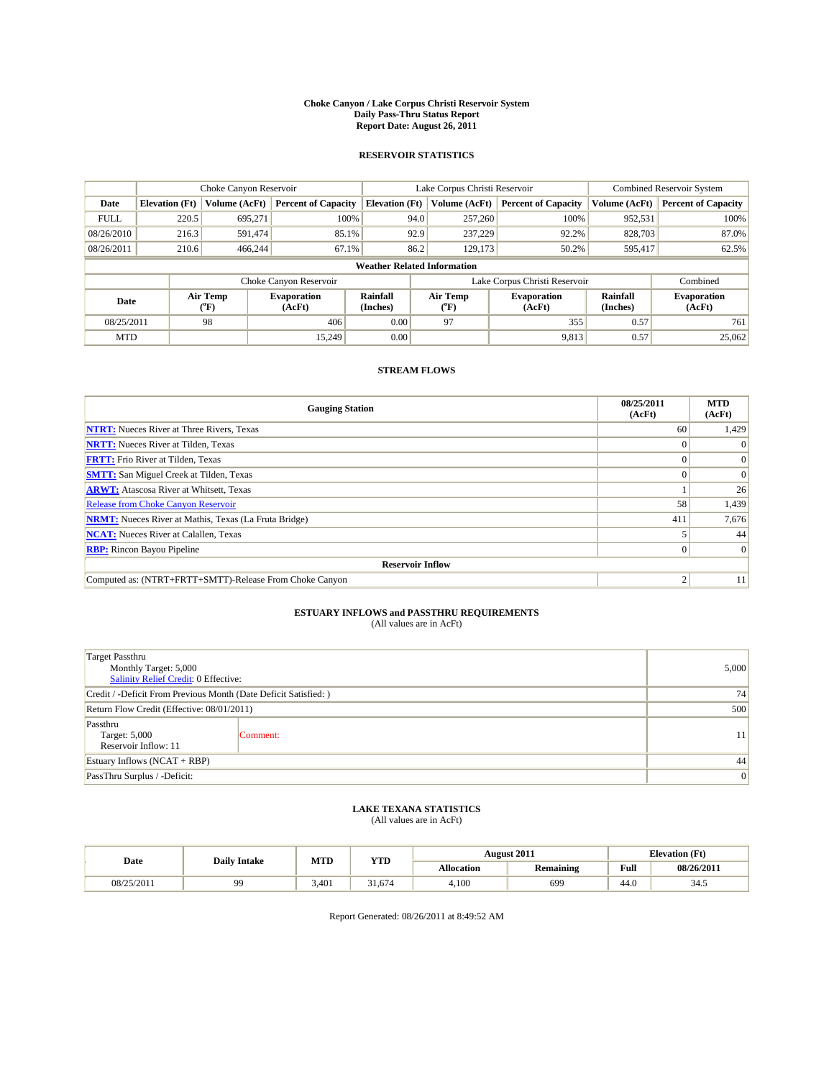#### **Choke Canyon / Lake Corpus Christi Reservoir System Daily Pass-Thru Status Report Report Date: August 26, 2011**

### **RESERVOIR STATISTICS**

|             | Choke Canyon Reservoir             |                                           |                              |                             | Lake Corpus Christi Reservoir | <b>Combined Reservoir System</b> |                      |                              |  |  |
|-------------|------------------------------------|-------------------------------------------|------------------------------|-----------------------------|-------------------------------|----------------------------------|----------------------|------------------------------|--|--|
| Date        | <b>Elevation</b> (Ft)              | Volume (AcFt)                             | <b>Percent of Capacity</b>   | <b>Elevation</b> (Ft)       | Volume (AcFt)                 | <b>Percent of Capacity</b>       | Volume (AcFt)        | <b>Percent of Capacity</b>   |  |  |
| <b>FULL</b> | 220.5                              | 695,271                                   | 100%                         | 94.0                        | 257,260                       | 100%                             | 952,531              | 100%                         |  |  |
| 08/26/2010  | 216.3                              | 591,474                                   | 85.1%                        | 92.9                        | 237,229                       | 92.2%                            | 828,703              | 87.0%                        |  |  |
| 08/26/2011  | 210.6                              | 466,244                                   | 67.1%                        | 86.2                        | 129,173                       | 50.2%                            | 595,417              | 62.5%                        |  |  |
|             | <b>Weather Related Information</b> |                                           |                              |                             |                               |                                  |                      |                              |  |  |
|             |                                    |                                           | Choke Canyon Reservoir       |                             |                               | Lake Corpus Christi Reservoir    |                      | Combined                     |  |  |
| Date        |                                    | Air Temp<br>$({}^{\mathrm{o}}\mathrm{F})$ | <b>Evaporation</b><br>(AcFt) | <b>Rainfall</b><br>(Inches) | Air Temp<br>("F)              | <b>Evaporation</b><br>(AcFt)     | Rainfall<br>(Inches) | <b>Evaporation</b><br>(AcFt) |  |  |
| 08/25/2011  |                                    | 98                                        | 406                          | 0.00                        | 97                            | 355                              | 0.57                 | 761                          |  |  |
| <b>MTD</b>  |                                    |                                           | 15.249                       | 0.00                        |                               | 9,813                            | 0.57                 | 25,062                       |  |  |

## **STREAM FLOWS**

| <b>Gauging Station</b>                                       | 08/25/2011<br>(AcFt) | <b>MTD</b><br>(AcFt) |  |  |  |  |  |
|--------------------------------------------------------------|----------------------|----------------------|--|--|--|--|--|
| <b>NTRT:</b> Nueces River at Three Rivers, Texas             | 60                   | 1,429                |  |  |  |  |  |
| <b>NRTT:</b> Nueces River at Tilden, Texas                   |                      |                      |  |  |  |  |  |
| <b>FRTT:</b> Frio River at Tilden, Texas                     |                      |                      |  |  |  |  |  |
| <b>SMTT:</b> San Miguel Creek at Tilden, Texas               |                      | $\Omega$             |  |  |  |  |  |
| <b>ARWT:</b> Atascosa River at Whitsett, Texas               |                      | 26                   |  |  |  |  |  |
| <b>Release from Choke Canyon Reservoir</b>                   | 58                   | 1,439                |  |  |  |  |  |
| <b>NRMT:</b> Nueces River at Mathis, Texas (La Fruta Bridge) | 411                  | 7,676                |  |  |  |  |  |
| <b>NCAT:</b> Nueces River at Calallen, Texas                 |                      | 44                   |  |  |  |  |  |
| <b>RBP:</b> Rincon Bayou Pipeline                            | $\overline{0}$       | $\Omega$             |  |  |  |  |  |
| <b>Reservoir Inflow</b>                                      |                      |                      |  |  |  |  |  |
| Computed as: (NTRT+FRTT+SMTT)-Release From Choke Canyon      | ◠                    | 11                   |  |  |  |  |  |

# **ESTUARY INFLOWS and PASSTHRU REQUIREMENTS**<br>(All values are in AcFt)

| <b>Target Passthru</b><br>Monthly Target: 5,000<br>Salinity Relief Credit: 0 Effective: | 5,000    |    |
|-----------------------------------------------------------------------------------------|----------|----|
| Credit / -Deficit From Previous Month (Date Deficit Satisfied: )                        | 74       |    |
| Return Flow Credit (Effective: 08/01/2011)                                              | 500      |    |
| Passthru<br>Target: 5,000<br>Reservoir Inflow: 11                                       | Comment: | 11 |
| Estuary Inflows $(NCAT + RBP)$                                                          | 44       |    |
| PassThru Surplus / -Deficit:                                                            | 0        |    |

## **LAKE TEXANA STATISTICS** (All values are in AcFt)

|            | <b>Daily Intake</b> | MTD   | <b>YTD</b> | <b>August 2011</b> |                  |      | <b>Elevation</b> (Ft) |
|------------|---------------------|-------|------------|--------------------|------------------|------|-----------------------|
| Date       |                     |       |            | <b>Allocation</b>  | <b>Remaining</b> | Full | 08/26/2011            |
| 08/25/2011 | ۵O                  | 3.401 | - 1.674ء   | 4,100              | 699              | 44.0 | 34.5                  |

Report Generated: 08/26/2011 at 8:49:52 AM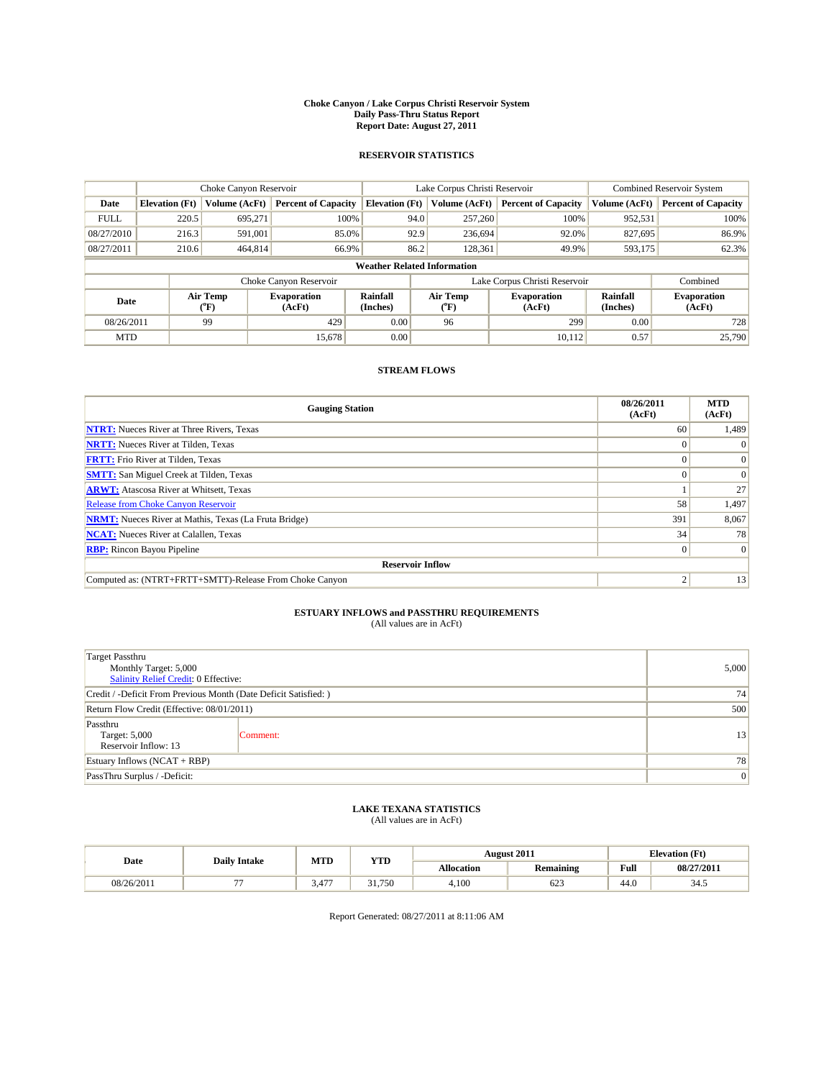#### **Choke Canyon / Lake Corpus Christi Reservoir System Daily Pass-Thru Status Report Report Date: August 27, 2011**

### **RESERVOIR STATISTICS**

|             | Choke Canyon Reservoir             |                          |                              |                       | Lake Corpus Christi Reservoir |                               |                      | <b>Combined Reservoir System</b> |  |
|-------------|------------------------------------|--------------------------|------------------------------|-----------------------|-------------------------------|-------------------------------|----------------------|----------------------------------|--|
| Date        | <b>Elevation</b> (Ft)              | Volume (AcFt)            | <b>Percent of Capacity</b>   | <b>Elevation (Ft)</b> | Volume (AcFt)                 | <b>Percent of Capacity</b>    | Volume (AcFt)        | <b>Percent of Capacity</b>       |  |
| <b>FULL</b> | 220.5                              | 695,271                  | 100%                         | 94.0                  | 257,260                       | 100%                          | 952,531              | 100%                             |  |
| 08/27/2010  | 216.3                              | 591,001                  | 85.0%                        | 92.9                  | 236,694                       | 92.0%                         | 827,695              | 86.9%                            |  |
| 08/27/2011  | 210.6                              | 464,814                  | 66.9%                        | 86.2                  | 128,361                       | 49.9%                         | 593,175              | 62.3%                            |  |
|             | <b>Weather Related Information</b> |                          |                              |                       |                               |                               |                      |                                  |  |
|             |                                    |                          | Choke Canyon Reservoir       |                       |                               | Lake Corpus Christi Reservoir |                      | Combined                         |  |
| Date        |                                    | Air Temp<br>$\rm ^{o}F)$ | <b>Evaporation</b><br>(AcFt) | Rainfall<br>(Inches)  | Air Temp<br>("F)              | <b>Evaporation</b><br>(AcFt)  | Rainfall<br>(Inches) | <b>Evaporation</b><br>(AcFt)     |  |
| 08/26/2011  |                                    | 99                       | 429                          | 0.00                  | 96                            | 299                           | 0.00                 | 728                              |  |
| <b>MTD</b>  |                                    |                          | 15,678                       | 0.00                  |                               | 10.112                        | 0.57                 | 25,790                           |  |

## **STREAM FLOWS**

| <b>Gauging Station</b>                                       | 08/26/2011<br>(AcFt) | <b>MTD</b><br>(AcFt) |
|--------------------------------------------------------------|----------------------|----------------------|
| <b>NTRT:</b> Nueces River at Three Rivers, Texas             | 60                   | 1,489                |
| <b>NRTT:</b> Nueces River at Tilden, Texas                   |                      | $\Omega$             |
| <b>FRTT:</b> Frio River at Tilden, Texas                     |                      | $\Omega$             |
| <b>SMTT:</b> San Miguel Creek at Tilden, Texas               |                      | $\Omega$             |
| <b>ARWT:</b> Atascosa River at Whitsett, Texas               |                      | 27                   |
| Release from Choke Canyon Reservoir                          | 58                   | 1,497                |
| <b>NRMT:</b> Nueces River at Mathis, Texas (La Fruta Bridge) | 391                  | 8,067                |
| <b>NCAT:</b> Nueces River at Calallen, Texas                 | 34                   | 78                   |
| <b>RBP:</b> Rincon Bayou Pipeline                            | 0                    | $\Omega$             |
| <b>Reservoir Inflow</b>                                      |                      |                      |
| Computed as: (NTRT+FRTT+SMTT)-Release From Choke Canyon      |                      | 13                   |

# **ESTUARY INFLOWS and PASSTHRU REQUIREMENTS**<br>(All values are in AcFt)

| <b>Target Passthru</b><br>Monthly Target: 5,000<br>Salinity Relief Credit: 0 Effective: | 5,000    |    |
|-----------------------------------------------------------------------------------------|----------|----|
| Credit / -Deficit From Previous Month (Date Deficit Satisfied: )                        | 74       |    |
| Return Flow Credit (Effective: 08/01/2011)                                              | 500      |    |
| Passthru<br>Target: 5,000<br>Reservoir Inflow: 13                                       | Comment: | 13 |
| Estuary Inflows $(NCAT + RBP)$                                                          | 78       |    |
| PassThru Surplus / -Deficit:                                                            | 0        |    |

## **LAKE TEXANA STATISTICS** (All values are in AcFt)

| Date       | <b>Daily Intake</b> | MTD        | <b>YTD</b>      | <b>August 2011</b> |                  | <b>Elevation</b> (Ft) |            |
|------------|---------------------|------------|-----------------|--------------------|------------------|-----------------------|------------|
|            |                     |            |                 | <b>Allocation</b>  | <b>Remaining</b> | Full                  | 08/27/2011 |
| 08/26/2011 | --                  | 477<br>5.4 | .750<br>21<br>. | 4.100              | 623              | 44.0                  | 34.5       |

Report Generated: 08/27/2011 at 8:11:06 AM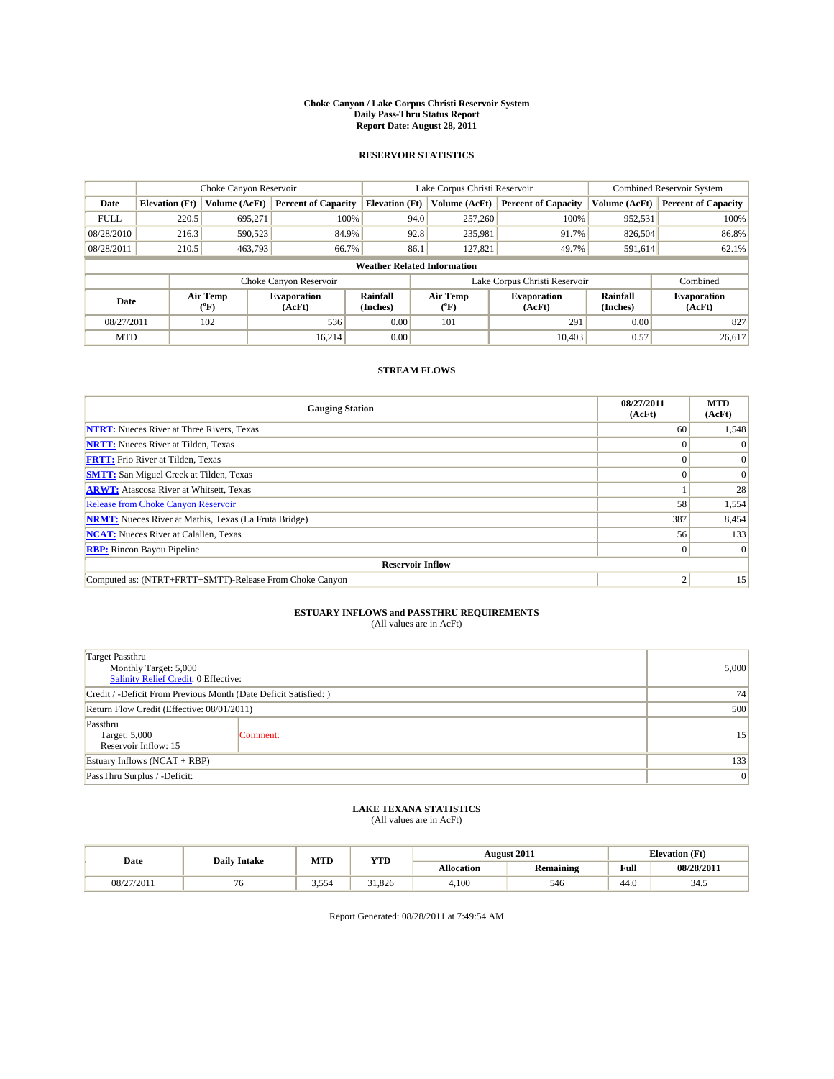#### **Choke Canyon / Lake Corpus Christi Reservoir System Daily Pass-Thru Status Report Report Date: August 28, 2011**

### **RESERVOIR STATISTICS**

|             | Choke Canyon Reservoir             |                                           |                              |                             | Lake Corpus Christi Reservoir | <b>Combined Reservoir System</b> |                      |                              |  |  |
|-------------|------------------------------------|-------------------------------------------|------------------------------|-----------------------------|-------------------------------|----------------------------------|----------------------|------------------------------|--|--|
| Date        | <b>Elevation</b> (Ft)              | Volume (AcFt)                             | <b>Percent of Capacity</b>   | <b>Elevation</b> (Ft)       | Volume (AcFt)                 | <b>Percent of Capacity</b>       | Volume (AcFt)        | <b>Percent of Capacity</b>   |  |  |
| <b>FULL</b> | 220.5                              | 695,271                                   | 100%                         | 94.0                        | 257,260                       | 100%                             | 952,531              | 100%                         |  |  |
| 08/28/2010  | 216.3                              | 590,523                                   | 84.9%                        | 92.8                        | 235,981                       | 91.7%                            | 826,504              | 86.8%                        |  |  |
| 08/28/2011  | 210.5                              | 463,793                                   | 66.7%                        | 86.1                        | 127,821                       | 49.7%                            | 591,614              | 62.1%                        |  |  |
|             | <b>Weather Related Information</b> |                                           |                              |                             |                               |                                  |                      |                              |  |  |
|             |                                    |                                           | Choke Canyon Reservoir       |                             |                               | Lake Corpus Christi Reservoir    |                      | Combined                     |  |  |
| Date        |                                    | Air Temp<br>$({}^{\mathrm{o}}\mathrm{F})$ | <b>Evaporation</b><br>(AcFt) | <b>Rainfall</b><br>(Inches) | Air Temp<br>(°F)              | <b>Evaporation</b><br>(AcFt)     | Rainfall<br>(Inches) | <b>Evaporation</b><br>(AcFt) |  |  |
| 08/27/2011  |                                    | 102                                       | 536                          | 0.00                        | 101                           | 291                              | 0.00                 | 827                          |  |  |
| <b>MTD</b>  |                                    |                                           | 16.214                       | 0.00                        |                               | 10.403                           | 0.57                 | 26.617                       |  |  |

## **STREAM FLOWS**

| <b>Gauging Station</b>                                       | 08/27/2011<br>(AcFt) | <b>MTD</b><br>(AcFt) |
|--------------------------------------------------------------|----------------------|----------------------|
| <b>NTRT:</b> Nueces River at Three Rivers, Texas             | 60                   | 1,548                |
| <b>NRTT:</b> Nueces River at Tilden, Texas                   |                      |                      |
| <b>FRTT:</b> Frio River at Tilden, Texas                     |                      | $\Omega$             |
| <b>SMTT:</b> San Miguel Creek at Tilden, Texas               |                      | $\Omega$             |
| <b>ARWT:</b> Atascosa River at Whitsett, Texas               |                      | 28                   |
| Release from Choke Canyon Reservoir                          | 58                   | 1,554                |
| <b>NRMT:</b> Nueces River at Mathis, Texas (La Fruta Bridge) | 387                  | 8,454                |
| <b>NCAT:</b> Nueces River at Calallen, Texas                 | 56                   | 133                  |
| <b>RBP:</b> Rincon Bayou Pipeline                            | $\overline{0}$       | $\Omega$             |
| <b>Reservoir Inflow</b>                                      |                      |                      |
| Computed as: (NTRT+FRTT+SMTT)-Release From Choke Canyon      | $\overline{c}$       | 15                   |

# **ESTUARY INFLOWS and PASSTHRU REQUIREMENTS**<br>(All values are in AcFt)

| <b>Target Passthru</b><br>Monthly Target: 5,000<br>Salinity Relief Credit: 0 Effective: | 5,000    |    |
|-----------------------------------------------------------------------------------------|----------|----|
| Credit / -Deficit From Previous Month (Date Deficit Satisfied: )                        | 74       |    |
| Return Flow Credit (Effective: 08/01/2011)                                              | 500      |    |
| Passthru<br>Target: 5,000<br>Reservoir Inflow: 15                                       | Comment: | 15 |
| Estuary Inflows $(NCAT + RBP)$                                                          | 133      |    |
| PassThru Surplus / -Deficit:                                                            | 0        |    |

## **LAKE TEXANA STATISTICS** (All values are in AcFt)

|            | <b>Daily Intake</b> | MTD   | <b>YTD</b> | <b>August 2011</b> |                  | <b>Elevation</b> (Ft)                       |            |
|------------|---------------------|-------|------------|--------------------|------------------|---------------------------------------------|------------|
| Date       |                     |       |            | <b>Allocation</b>  | <b>Remaining</b> | Full<br>the contract of the contract of the | 08/28/2011 |
| 08/27/2011 | / O                 | 3.554 | 31.826     | 4.100              | 546              | 44.0                                        | 34.5       |

Report Generated: 08/28/2011 at 7:49:54 AM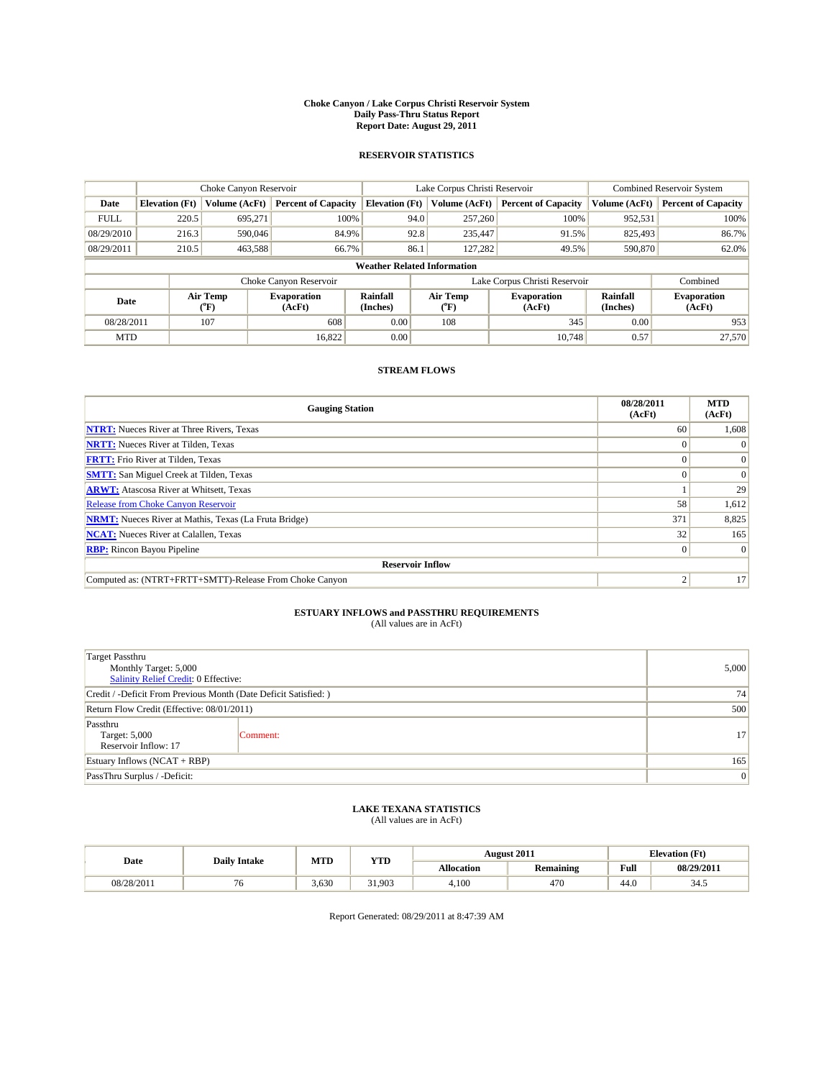#### **Choke Canyon / Lake Corpus Christi Reservoir System Daily Pass-Thru Status Report Report Date: August 29, 2011**

### **RESERVOIR STATISTICS**

|             | Choke Canyon Reservoir             |                                           |                              |                             | Lake Corpus Christi Reservoir           |                               |                      | <b>Combined Reservoir System</b> |  |
|-------------|------------------------------------|-------------------------------------------|------------------------------|-----------------------------|-----------------------------------------|-------------------------------|----------------------|----------------------------------|--|
| Date        | <b>Elevation</b> (Ft)              | Volume (AcFt)                             | <b>Percent of Capacity</b>   | <b>Elevation</b> (Ft)       | Volume (AcFt)                           | <b>Percent of Capacity</b>    | Volume (AcFt)        | <b>Percent of Capacity</b>       |  |
| <b>FULL</b> | 220.5                              | 695,271                                   | 100%                         | 94.0                        | 257,260                                 | 100%                          | 952,531              | 100%                             |  |
| 08/29/2010  | 216.3                              | 590,046                                   | 84.9%                        | 92.8                        | 235,447                                 | 91.5%                         | 825,493              | 86.7%                            |  |
| 08/29/2011  | 210.5                              | 463,588                                   | 66.7%                        | 86.1                        | 127,282                                 | 49.5%                         | 590,870              | 62.0%                            |  |
|             | <b>Weather Related Information</b> |                                           |                              |                             |                                         |                               |                      |                                  |  |
|             |                                    |                                           | Choke Canyon Reservoir       |                             |                                         | Lake Corpus Christi Reservoir |                      | Combined                         |  |
| Date        |                                    | Air Temp<br>$({}^{\mathrm{o}}\mathrm{F})$ | <b>Evaporation</b><br>(AcFt) | <b>Rainfall</b><br>(Inches) | Air Temp<br>$(^{\mathrm{o}}\mathrm{F})$ | <b>Evaporation</b><br>(AcFt)  | Rainfall<br>(Inches) | <b>Evaporation</b><br>(AcFt)     |  |
| 08/28/2011  |                                    | 107                                       | 608                          | 0.00                        | 108                                     | 345                           | 0.00                 | 953                              |  |
| <b>MTD</b>  |                                    |                                           | 16,822                       | 0.00                        |                                         | 10.748                        | 0.57                 | 27,570                           |  |

## **STREAM FLOWS**

| <b>Gauging Station</b>                                       | 08/28/2011<br>(AcFt) | <b>MTD</b><br>(AcFt) |
|--------------------------------------------------------------|----------------------|----------------------|
| <b>NTRT:</b> Nueces River at Three Rivers, Texas             | 60                   | 1,608                |
| <b>NRTT:</b> Nueces River at Tilden, Texas                   |                      |                      |
| <b>FRTT:</b> Frio River at Tilden, Texas                     |                      | $\Omega$             |
| <b>SMTT:</b> San Miguel Creek at Tilden, Texas               |                      | $\Omega$             |
| <b>ARWT:</b> Atascosa River at Whitsett, Texas               |                      | 29                   |
| Release from Choke Canyon Reservoir                          | 58                   | 1,612                |
| <b>NRMT:</b> Nueces River at Mathis, Texas (La Fruta Bridge) | 371                  | 8,825                |
| <b>NCAT:</b> Nueces River at Calallen, Texas                 | 32                   | 165                  |
| <b>RBP:</b> Rincon Bayou Pipeline                            | $\Omega$             | $\Omega$             |
| <b>Reservoir Inflow</b>                                      |                      |                      |
| Computed as: (NTRT+FRTT+SMTT)-Release From Choke Canyon      | ◠                    | 17                   |

# **ESTUARY INFLOWS and PASSTHRU REQUIREMENTS**<br>(All values are in AcFt)

| <b>Target Passthru</b><br>Monthly Target: 5,000<br>Salinity Relief Credit: 0 Effective: | 5,000    |                 |
|-----------------------------------------------------------------------------------------|----------|-----------------|
| Credit / -Deficit From Previous Month (Date Deficit Satisfied: )                        | 74       |                 |
| Return Flow Credit (Effective: 08/01/2011)                                              | 500      |                 |
| Passthru<br>Target: 5,000<br>Reservoir Inflow: 17                                       | Comment: | 17 <sup>1</sup> |
| Estuary Inflows $(NCAT + RBP)$                                                          | 165      |                 |
| PassThru Surplus / -Deficit:                                                            | 0        |                 |

## **LAKE TEXANA STATISTICS** (All values are in AcFt)

| Date       | <b>Daily Intake</b> |       | MTD<br>YTD |            | <b>August 2011</b> |      | <b>Elevation</b> (Ft) |
|------------|---------------------|-------|------------|------------|--------------------|------|-----------------------|
|            |                     |       |            | Allocation | <b>Remaining</b>   | Full | 08/29/2011            |
| 08/28/2011 |                     | 3.630 | 31,903     | 4.100      | 470                | 44.0 | 34.5                  |

Report Generated: 08/29/2011 at 8:47:39 AM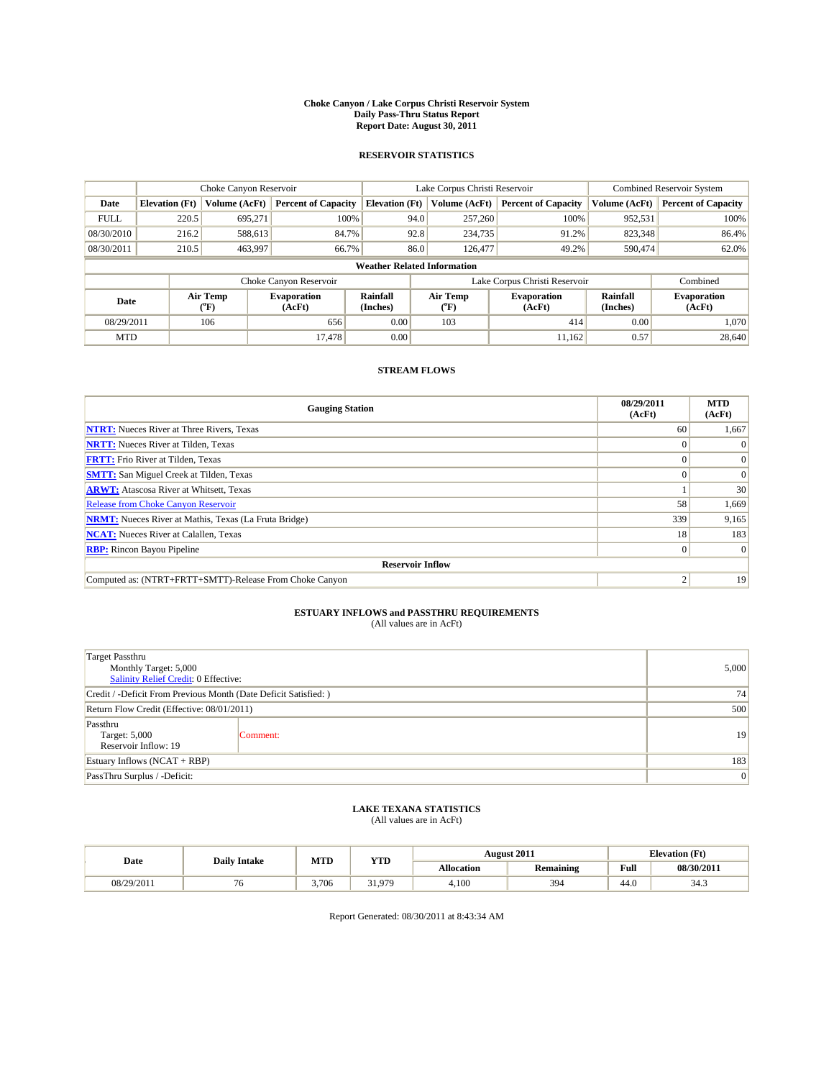#### **Choke Canyon / Lake Corpus Christi Reservoir System Daily Pass-Thru Status Report Report Date: August 30, 2011**

### **RESERVOIR STATISTICS**

|             | Choke Canyon Reservoir             |                             |                              |                             | Lake Corpus Christi Reservoir           | <b>Combined Reservoir System</b> |                      |                              |  |
|-------------|------------------------------------|-----------------------------|------------------------------|-----------------------------|-----------------------------------------|----------------------------------|----------------------|------------------------------|--|
| Date        | <b>Elevation</b> (Ft)              | Volume (AcFt)               | <b>Percent of Capacity</b>   | <b>Elevation</b> (Ft)       | Volume (AcFt)                           | <b>Percent of Capacity</b>       | Volume (AcFt)        | <b>Percent of Capacity</b>   |  |
| <b>FULL</b> | 220.5                              | 695,271                     | 100%                         | 94.0                        | 257,260                                 | 100%                             | 952,531              | 100%                         |  |
| 08/30/2010  | 216.2                              | 588,613                     | 84.7%                        | 92.8                        | 234,735                                 | 91.2%                            | 823,348              | 86.4%                        |  |
| 08/30/2011  | 210.5                              | 463,997                     | 66.7%                        | 86.0                        | 126,477                                 | 49.2%                            | 590,474              | 62.0%                        |  |
|             | <b>Weather Related Information</b> |                             |                              |                             |                                         |                                  |                      |                              |  |
|             |                                    |                             | Choke Canyon Reservoir       |                             |                                         | Lake Corpus Christi Reservoir    |                      | Combined                     |  |
| Date        |                                    | Air Temp<br>${}^{\circ}$ F) | <b>Evaporation</b><br>(AcFt) | <b>Rainfall</b><br>(Inches) | Air Temp<br>$(^{\mathrm{o}}\mathrm{F})$ | <b>Evaporation</b><br>(AcFt)     | Rainfall<br>(Inches) | <b>Evaporation</b><br>(AcFt) |  |
| 08/29/2011  |                                    | 106                         | 656                          | 0.00                        | 103                                     | 414                              | 0.00                 | 1.070                        |  |
| <b>MTD</b>  |                                    |                             | 17,478                       | 0.00                        |                                         | 11,162                           | 0.57                 | 28,640                       |  |

## **STREAM FLOWS**

| <b>Gauging Station</b>                                       | 08/29/2011<br>(AcFt) | <b>MTD</b><br>(AcFt) |
|--------------------------------------------------------------|----------------------|----------------------|
| <b>NTRT:</b> Nueces River at Three Rivers, Texas             | 60                   | 1,667                |
| <b>NRTT:</b> Nueces River at Tilden, Texas                   |                      |                      |
| <b>FRTT:</b> Frio River at Tilden, Texas                     |                      |                      |
| <b>SMTT:</b> San Miguel Creek at Tilden, Texas               |                      | $\Omega$             |
| <b>ARWT:</b> Atascosa River at Whitsett, Texas               |                      | 30                   |
| <b>Release from Choke Canyon Reservoir</b>                   | 58                   | 1,669                |
| <b>NRMT:</b> Nueces River at Mathis, Texas (La Fruta Bridge) | 339                  | 9,165                |
| <b>NCAT:</b> Nueces River at Calallen, Texas                 | 18                   | 183                  |
| <b>RBP:</b> Rincon Bayou Pipeline                            | $\overline{0}$       | $\Omega$             |
| <b>Reservoir Inflow</b>                                      |                      |                      |
| Computed as: (NTRT+FRTT+SMTT)-Release From Choke Canyon      | ◠                    | 19                   |

# **ESTUARY INFLOWS and PASSTHRU REQUIREMENTS**<br>(All values are in AcFt)

| <b>Target Passthru</b><br>Monthly Target: 5,000<br>Salinity Relief Credit: 0 Effective: | 5,000    |     |
|-----------------------------------------------------------------------------------------|----------|-----|
| Credit / -Deficit From Previous Month (Date Deficit Satisfied: )                        | 74       |     |
| Return Flow Credit (Effective: 08/01/2011)                                              | 500      |     |
| Passthru<br>Target: 5,000<br>Reservoir Inflow: 19                                       | Comment: | 19  |
| Estuary Inflows $(NCAT + RBP)$                                                          |          | 183 |
| PassThru Surplus / -Deficit:                                                            | 0        |     |

## **LAKE TEXANA STATISTICS** (All values are in AcFt)

|            | <b>Daily Intake</b> | MTD   | <b>YTD</b> |                   | <b>August 2011</b> | <b>Elevation</b> (Ft) |              |
|------------|---------------------|-------|------------|-------------------|--------------------|-----------------------|--------------|
| Date       |                     |       |            | <b>Allocation</b> | <b>Remaining</b>   | Full                  | 08/30/2011   |
| 08/29/2011 | ιU                  | 3.706 | 31 979     | 4,100             | 394                | 44.0                  | 2.17<br>34.3 |

Report Generated: 08/30/2011 at 8:43:34 AM